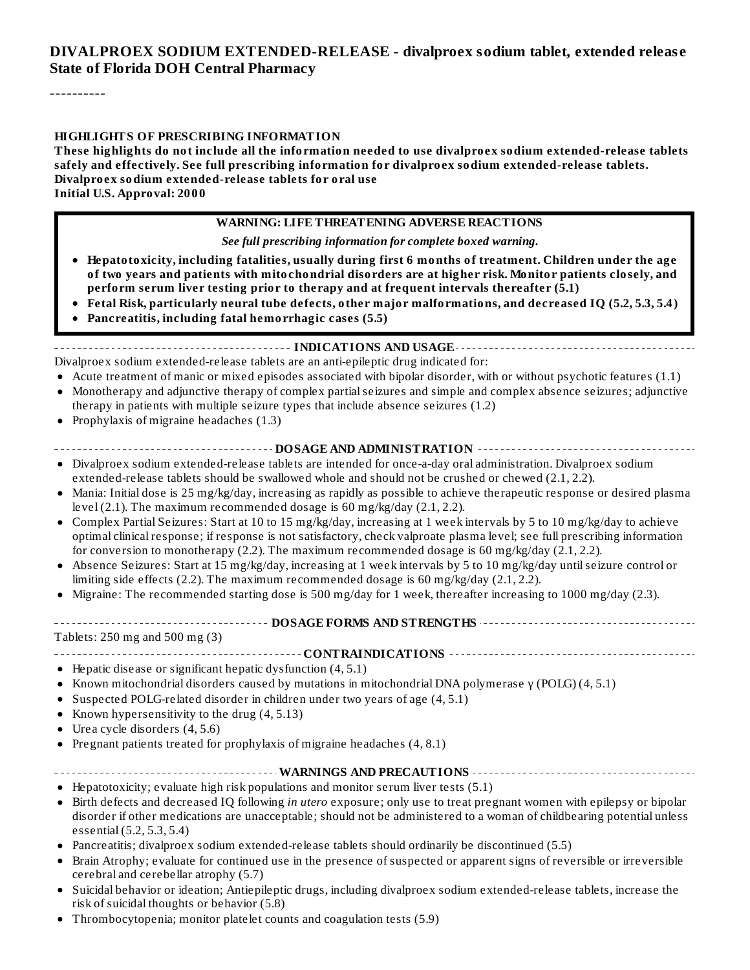#### **DIVALPROEX SODIUM EXTENDED-RELEASE - divalproex sodium tablet, extended releas e State of Florida DOH Central Pharmacy**

----------

#### **HIGHLIGHTS OF PRESCRIBING INFORMATION**

**These highlights do not include all the information needed to use divalproex sodium extended-release tablets safely and effectively. See full prescribing information for divalproex sodium extended-release tablets. Divalproex sodium extended-release tablets for oral use Initial U.S. Approval: 2000**

#### **WARNING: LIFE THREATENING ADVERSE REACTIONS**

*See full prescribing information for complete boxed warning.*

- **Hepatotoxicity, including fatalities, usually during first 6 months of treatment. Children under the age of two years and patients with mitochondrial disorders are at higher risk. Monitor patients closely, and perform serum liver testing prior to therapy and at frequent intervals thereafter (5.1)**
- **Fetal Risk, particularly neural tube defects, other major malformations, and decreased IQ (5.2, 5.3, 5.4)**
- **Pancreatitis, including fatal hemorrhagic cases (5.5)**

**INDICATIONS AND USAGE**

- Divalproex sodium extended-release tablets are an anti-epileptic drug indicated for:
- Acute treatment of manic or mixed episodes associated with bipolar disorder, with or without psychotic features (1.1) Monotherapy and adjunctive therapy of complex partialseizures and simple and complex absence seizures; adjunctive  $\bullet$
- therapy in patients with multiple seizure types that include absence seizures (1.2)
- Prophylaxis of migraine headaches (1.3)  $\bullet$
- **DOSAGE AND ADMINISTRATION**
- Divalproex sodium extended-release tablets are intended for once-a-day oral administration. Divalproex sodium extended-release tablets should be swallowed whole and should not be crushed or chewed (2.1, 2.2).
- Mania: Initial dose is 25 mg/kg/day, increasing as rapidly as possible to achieve therapeutic response or desired plasma  $\bullet$ level  $(2.1)$ . The maximum recommended dosage is  $60 \text{ mg/kg/day}$   $(2.1, 2.2)$ .
- Complex Partial Seizures: Start at 10 to 15 mg/kg/day, increasing at 1 week intervals by 5 to 10 mg/kg/day to achieve optimal clinical response; if response is not satisfactory, check valproate plasma level; see full prescribing information for conversion to monotherapy (2.2). The maximum recommended dosage is 60 mg/kg/day (2.1, 2.2).
- Absence Seizures: Start at 15 mg/kg/day, increasing at 1 week intervals by 5 to 10 mg/kg/day untilseizure control or  $\bullet$ limiting side effects (2.2). The maximum recommended dosage is 60 mg/kg/day (2.1, 2.2).
- Migraine: The recommended starting dose is 500 mg/day for 1 week, thereafter increasing to 1000 mg/day (2.3).

#### **DOSAGE FORMS AND STRENGTHS**

Tablets: 250 mg and 500 mg (3)

**CONTRAINDICATIONS**

- Hepatic disease or significant hepatic dysfunction (4, 5.1)
- Known mitochondrial disorders caused by mutations in mitochondrial DNA polymerase  $\gamma$  (POLG) (4, 5.1)
- Suspected POLG-related disorder in children under two years of age (4, 5.1)  $\bullet$
- Known hypersensitivity to the drug (4, 5.13)  $\bullet$
- Urea cycle disorders (4, 5.6)  $\bullet$
- Pregnant patients treated for prophylaxis of migraine headaches  $(4, 8.1)$

#### **WARNINGS AND PRECAUTIONS**

- Hepatotoxicity; evaluate high risk populations and monitor serum liver tests (5.1)
- Birth defects and decreased IQ following *in utero* exposure; only use to treat pregnant women with epilepsy or bipolar  $\bullet$ disorder if other medications are unacceptable; should not be administered to a woman of childbearing potential unless essential (5.2, 5.3, 5.4)
- Pancreatitis; divalproex sodium extended-release tablets should ordinarily be discontinued (5.5)
- Brain Atrophy; evaluate for continued use in the presence of suspected or apparent signs of reversible or irreversible  $\bullet$ cerebral and cerebellar atrophy (5.7)
- Suicidal behavior or ideation; Antiepileptic drugs, including divalproex sodium extended-release tablets, increase the  $\bullet$ risk of suicidal thoughts or behavior (5.8)
- Thrombocytopenia; monitor platelet counts and coagulation tests (5.9) $\bullet$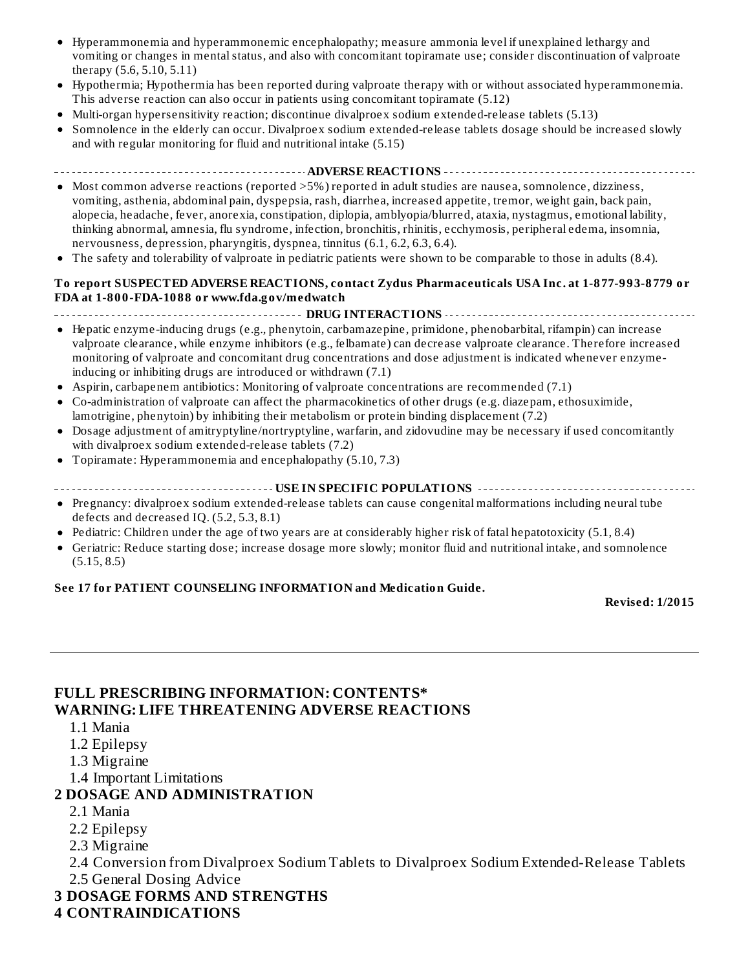- Hyperammonemia and hyperammonemic encephalopathy; measure ammonia level if unexplained lethargy and vomiting or changes in mental status, and also with concomitant topiramate use; consider discontinuation of valproate therapy (5.6, 5.10, 5.11)
- Hypothermia; Hypothermia has been reported during valproate therapy with or without associated hyperammonemia. This adverse reaction can also occur in patients using concomitant topiramate (5.12)
- Multi-organ hypersensitivity reaction; discontinue divalproex sodium extended-release tablets (5.13)
- Somnolence in the elderly can occur. Divalproex sodium extended-release tablets dosage should be increased slowly and with regular monitoring for fluid and nutritional intake (5.15)
- **ADVERSE REACTIONS**
- Most common adverse reactions (reported > 5%) reported in adult studies are nausea, somnolence, dizziness, vomiting, asthenia, abdominal pain, dyspepsia, rash, diarrhea, increased appetite, tremor, weight gain, back pain, alopecia, headache, fever, anorexia, constipation, diplopia, amblyopia/blurred, ataxia, nystagmus, emotional lability, thinking abnormal, amnesia, flu syndrome, infection, bronchitis, rhinitis, ecchymosis, peripheral edema, insomnia, nervousness, depression, pharyngitis, dyspnea, tinnitus (6.1, 6.2, 6.3, 6.4).
- The safety and tolerability of valproate in pediatric patients were shown to be comparable to those in adults (8.4).

#### **To report SUSPECTED ADVERSE REACTIONS, contact Zydus Pharmaceuticals USA Inc. at 1-877-993-8779 or FDA at 1-800-FDA-1088 or www.fda.gov/medwatch**

#### **DRUG INTERACTIONS CONSERVATIONS CONSTRUSTIONS CONSTRUSTIONS CONSTRUSTIONS**

- Hepatic enzyme-inducing drugs (e.g., phenytoin, carbamazepine, primidone, phenobarbital, rifampin) can increase valproate clearance, while enzyme inhibitors (e.g., felbamate) can decrease valproate clearance. Therefore increased monitoring of valproate and concomitant drug concentrations and dose adjustment is indicated whenever enzymeinducing or inhibiting drugs are introduced or withdrawn (7.1)
- Aspirin, carbapenem antibiotics: Monitoring of valproate concentrations are recommended (7.1)
- Co-administration of valproate can affect the pharmacokinetics of other drugs (e.g. diazepam, ethosuximide,  $\bullet$ lamotrigine, phenytoin) by inhibiting their metabolism or protein binding displacement (7.2)
- Dosage adjustment of amitryptyline/nortryptyline, warfarin, and zidovudine may be necessary if used concomitantly with divalproex sodium extended-release tablets (7.2)
- Topiramate: Hyperammonemia and encephalopathy (5.10, 7.3)  $\bullet$
- **USE IN SPECIFIC POPULATIONS**
- Pregnancy: divalproex sodium extended-release tablets can cause congenital malformations including neural tube defects and decreased IQ. (5.2, 5.3, 8.1)
- Pediatric: Children under the age of two years are at considerably higher risk of fatal hepatotoxicity (5.1, 8.4)  $\bullet$
- Geriatric: Reduce starting dose; increase dosage more slowly; monitor fluid and nutritional intake, and somnolence  $\bullet$ (5.15, 8.5)

#### **See 17 for PATIENT COUNSELING INFORMATION and Medication Guide.**

**Revised: 1/2015**

#### **FULL PRESCRIBING INFORMATION: CONTENTS\* WARNING: LIFE THREATENING ADVERSE REACTIONS**

- 1.1 Mania
- 1.2 Epilepsy
- 1.3 Migraine
- 1.4 Important Limitations

#### **2 DOSAGE AND ADMINISTRATION**

- 2.1 Mania
- 2.2 Epilepsy
- 2.3 Migraine
- 2.4 Conversion from Divalproex Sodium Tablets to Divalproex Sodium Extended-Release Tablets
- 2.5 General Dosing Advice
- **3 DOSAGE FORMS AND STRENGTHS**
- **4 CONTRAINDICATIONS**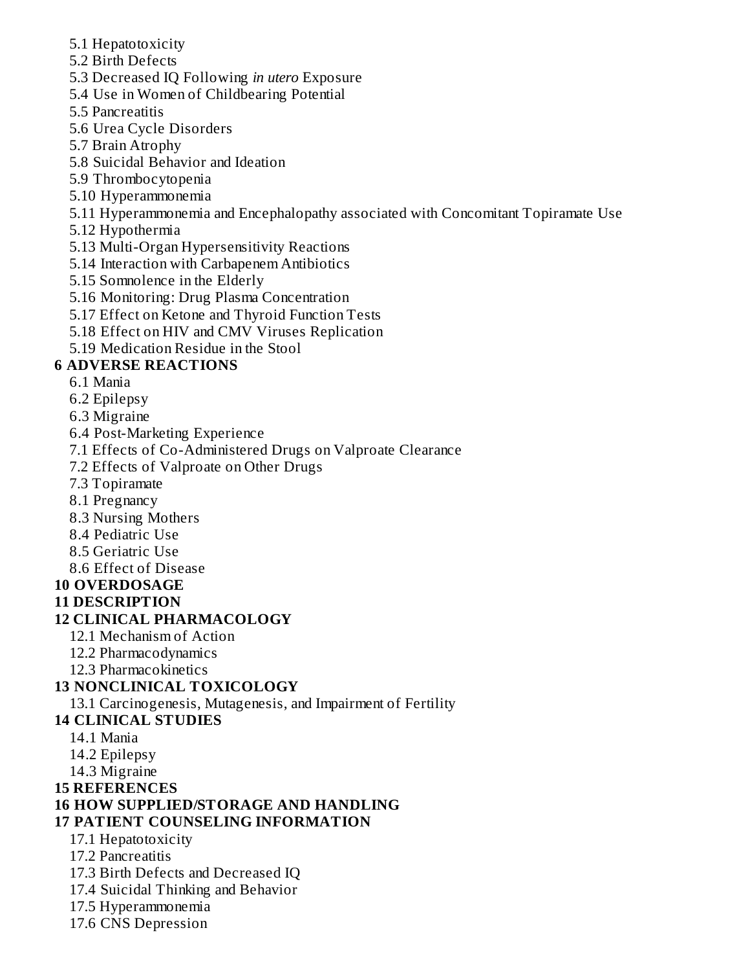- 5.1 Hepatotoxicity
- 5.2 Birth Defects
- 5.3 Decreased IQ Following *in utero* Exposure
- 5.4 Use in Women of Childbearing Potential
- 5.5 Pancreatitis
- 5.6 Urea Cycle Disorders
- 5.7 Brain Atrophy
- 5.8 Suicidal Behavior and Ideation
- 5.9 Thrombocytopenia
- 5.10 Hyperammonemia
- 5.11 Hyperammonemia and Encephalopathy associated with Concomitant Topiramate Use
- 5.12 Hypothermia
- 5.13 Multi-Organ Hypersensitivity Reactions
- 5.14 Interaction with Carbapenem Antibiotics
- 5.15 Somnolence in the Elderly
- 5.16 Monitoring: Drug Plasma Concentration
- 5.17 Effect on Ketone and Thyroid Function Tests
- 5.18 Effect on HIV and CMV Viruses Replication
- 5.19 Medication Residue in the Stool

## **6 ADVERSE REACTIONS**

- 6.1 Mania
- 6.2 Epilepsy
- 6.3 Migraine
- 6.4 Post-Marketing Experience
- 7.1 Effects of Co-Administered Drugs on Valproate Clearance
- 7.2 Effects of Valproate on Other Drugs
- 7.3 Topiramate
- 8.1 Pregnancy
- 8.3 Nursing Mothers
- 8.4 Pediatric Use
- 8.5 Geriatric Use
- 8.6 Effect of Disease

## **10 OVERDOSAGE**

**11 DESCRIPTION**

## **12 CLINICAL PHARMACOLOGY**

- 12.1 Mechanism of Action
- 12.2 Pharmacodynamics
- 12.3 Pharmacokinetics

## **13 NONCLINICAL TOXICOLOGY**

13.1 Carcinogenesis, Mutagenesis, and Impairment of Fertility

## **14 CLINICAL STUDIES**

- 14.1 Mania
- 14.2 Epilepsy
- 14.3 Migraine
- **15 REFERENCES**

## **16 HOW SUPPLIED/STORAGE AND HANDLING**

## **17 PATIENT COUNSELING INFORMATION**

- 17.1 Hepatotoxicity
- 17.2 Pancreatitis
- 17.3 Birth Defects and Decreased IQ
- 17.4 Suicidal Thinking and Behavior
- 17.5 Hyperammonemia
- 17.6 CNS Depression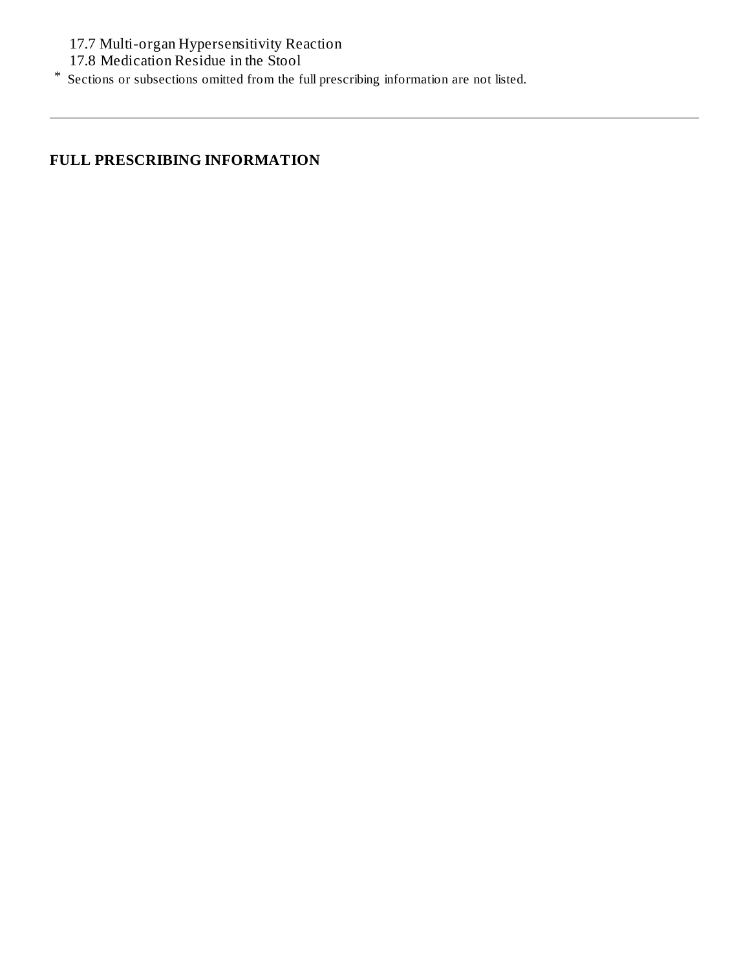17.7 Multi-organ Hypersensitivity Reaction

17.8 Medication Residue in the Stool

\* Sections or subsections omitted from the full prescribing information are not listed.

## **FULL PRESCRIBING INFORMATION**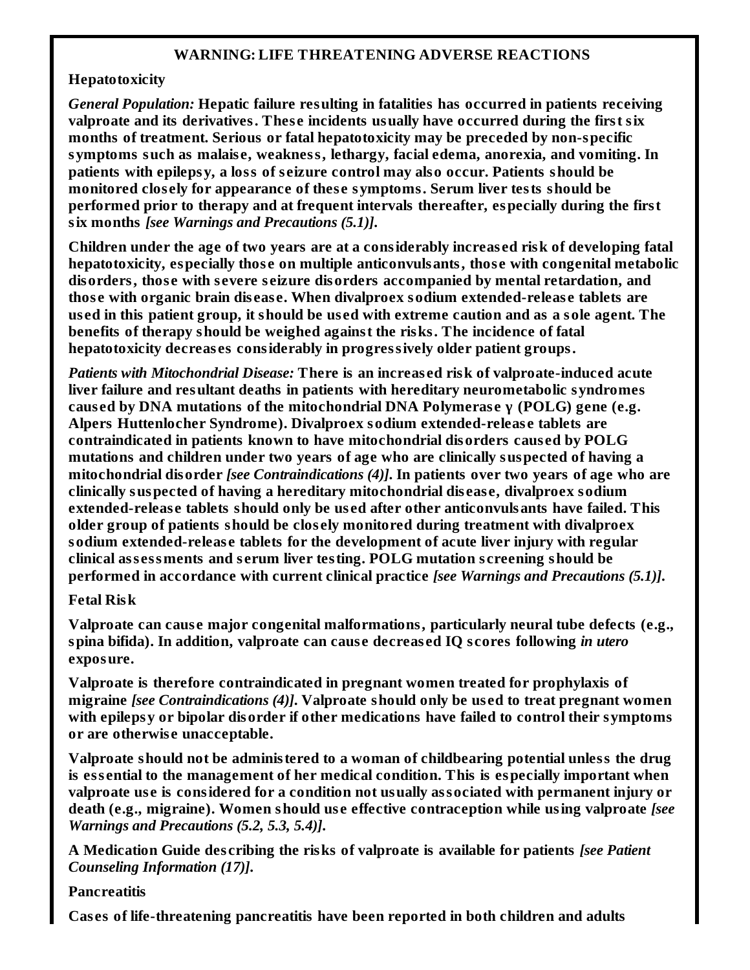#### **WARNING: LIFE THREATENING ADVERSE REACTIONS**

#### **Hepatotoxicity**

*General Population:* **Hepatic failure resulting in fatalities has occurred in patients receiving valproate and its derivatives. Thes e incidents usually have occurred during the first six months of treatment. Serious or fatal hepatotoxicity may be preceded by non-specific symptoms such as malais e, weakness, lethargy, facial edema, anorexia, and vomiting. In patients with epilepsy, a loss of s eizure control may also occur. Patients should be monitored clos ely for appearance of thes e symptoms. Serum liver tests should be performed prior to therapy and at frequent intervals thereafter, especially during the first six months** *[see Warnings and Precautions (5.1)]***.**

**Children under the age of two years are at a considerably increas ed risk of developing fatal hepatotoxicity, especially thos e on multiple anticonvulsants, thos e with congenital metabolic disorders, thos e with s evere s eizure disorders accompanied by mental retardation, and thos e with organic brain dis eas e. When divalproex sodium extended-releas e tablets are** used in this patient group, it should be used with extreme caution and as a sole agent. The **benefits of therapy should be weighed against the risks. The incidence of fatal hepatotoxicity decreas es considerably in progressively older patient groups.**

*Patients with Mitochondrial Disease:* **There is an increas ed risk of valproate-induced acute liver failure and resultant deaths in patients with hereditary neurometabolic syndromes caus ed by DNA mutations of the mitochondrial DNA Polymeras e γ (POLG) gene (e.g. Alpers Huttenlocher Syndrome). Divalproex sodium extended-releas e tablets are contraindicated in patients known to have mitochondrial disorders caus ed by POLG mutations and children under two years of age who are clinically suspected of having a mitochondrial disorder** *[see Contraindications (4)]***. In patients over two years of age who are clinically suspected of having a hereditary mitochondrial dis eas e, divalproex sodium extended-releas e tablets should only be us ed after other anticonvulsants have failed. This older group of patients should be clos ely monitored during treatment with divalproex sodium extended-releas e tablets for the development of acute liver injury with regular clinical ass essments and s erum liver testing. POLG mutation s creening should be performed in accordance with current clinical practice** *[see Warnings and Precautions (5.1)]***.**

#### **Fetal Risk**

**Valproate can caus e major congenital malformations, particularly neural tube defects (e.g., spina bifida). In addition, valproate can caus e decreas ed IQ s cores following** *in utero* **exposure.**

**Valproate is therefore contraindicated in pregnant women treated for prophylaxis of migraine** *[see Contraindications (4)]***. Valproate should only be us ed to treat pregnant women with epilepsy or bipolar disorder if other medications have failed to control their symptoms or are otherwis e unacceptable.**

**Valproate should not be administered to a woman of childbearing potential unless the drug is ess ential to the management of her medical condition. This is especially important when valproate us e is considered for a condition not usually associated with permanent injury or death (e.g., migraine). Women should us e effective contraception while using valproate** *[see Warnings and Precautions (5.2, 5.3, 5.4)]***.**

**A Medication Guide des cribing the risks of valproate is available for patients** *[see Patient Counseling Information (17)]***.**

#### **Pancreatitis**

**Cas es of life-threatening pancreatitis have been reported in both children and adults**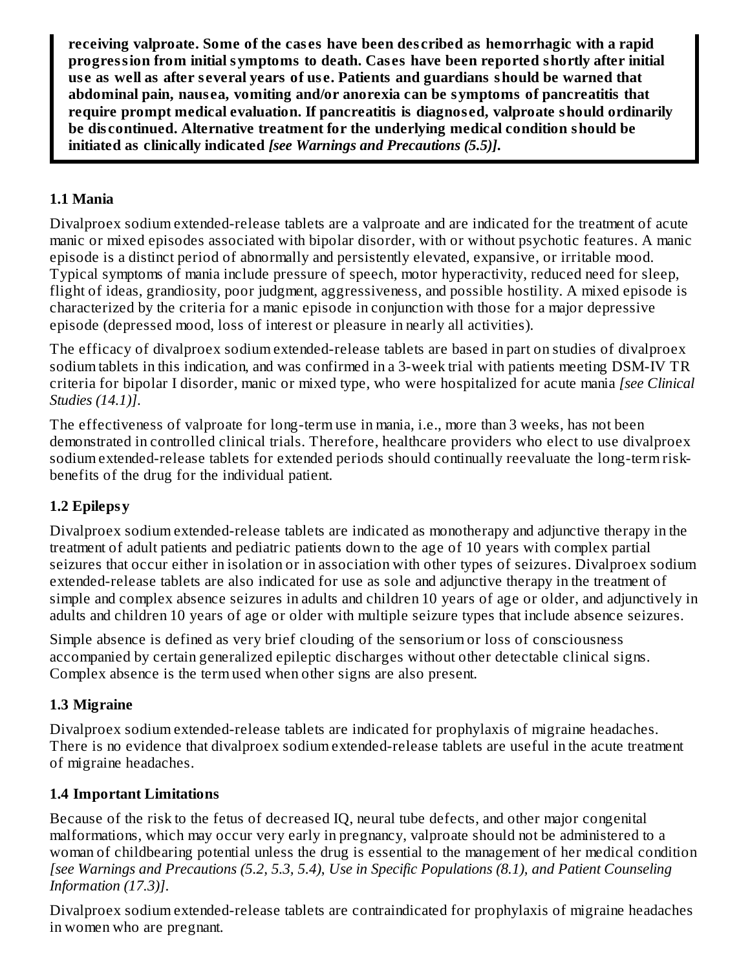**receiving valproate. Some of the cas es have been des cribed as hemorrhagic with a rapid progression from initial symptoms to death. Cas es have been reported shortly after initial us e as well as after s everal years of us e. Patients and guardians should be warned that abdominal pain, naus ea, vomiting and/or anorexia can be symptoms of pancreatitis that require prompt medical evaluation. If pancreatitis is diagnos ed, valproate should ordinarily be dis continued. Alternative treatment for the underlying medical condition should be initiated as clinically indicated** *[see Warnings and Precautions (5.5)]***.**

## **1.1 Mania**

Divalproex sodium extended-release tablets are a valproate and are indicated for the treatment of acute manic or mixed episodes associated with bipolar disorder, with or without psychotic features. A manic episode is a distinct period of abnormally and persistently elevated, expansive, or irritable mood. Typical symptoms of mania include pressure of speech, motor hyperactivity, reduced need for sleep, flight of ideas, grandiosity, poor judgment, aggressiveness, and possible hostility. A mixed episode is characterized by the criteria for a manic episode in conjunction with those for a major depressive episode (depressed mood, loss of interest or pleasure in nearly all activities).

The efficacy of divalproex sodium extended-release tablets are based in part on studies of divalproex sodium tablets in this indication, and was confirmed in a 3-week trial with patients meeting DSM-IV TR criteria for bipolar I disorder, manic or mixed type, who were hospitalized for acute mania *[see Clinical Studies (14.1)]*.

The effectiveness of valproate for long-term use in mania, i.e., more than 3 weeks, has not been demonstrated in controlled clinical trials. Therefore, healthcare providers who elect to use divalproex sodium extended-release tablets for extended periods should continually reevaluate the long-term riskbenefits of the drug for the individual patient.

## **1.2 Epilepsy**

Divalproex sodium extended-release tablets are indicated as monotherapy and adjunctive therapy in the treatment of adult patients and pediatric patients down to the age of 10 years with complex partial seizures that occur either in isolation or in association with other types of seizures. Divalproex sodium extended-release tablets are also indicated for use as sole and adjunctive therapy in the treatment of simple and complex absence seizures in adults and children 10 years of age or older, and adjunctively in adults and children 10 years of age or older with multiple seizure types that include absence seizures.

Simple absence is defined as very brief clouding of the sensorium or loss of consciousness accompanied by certain generalized epileptic discharges without other detectable clinical signs. Complex absence is the term used when other signs are also present.

## **1.3 Migraine**

Divalproex sodium extended-release tablets are indicated for prophylaxis of migraine headaches. There is no evidence that divalproex sodium extended-release tablets are useful in the acute treatment of migraine headaches.

## **1.4 Important Limitations**

Because of the risk to the fetus of decreased IQ, neural tube defects, and other major congenital malformations, which may occur very early in pregnancy, valproate should not be administered to a woman of childbearing potential unless the drug is essential to the management of her medical condition *[see Warnings and Precautions (5.2, 5.3, 5.4)*, *Use in Specific Populations (8.1), and Patient Counseling Information (17.3)]*.

Divalproex sodium extended-release tablets are contraindicated for prophylaxis of migraine headaches in women who are pregnant.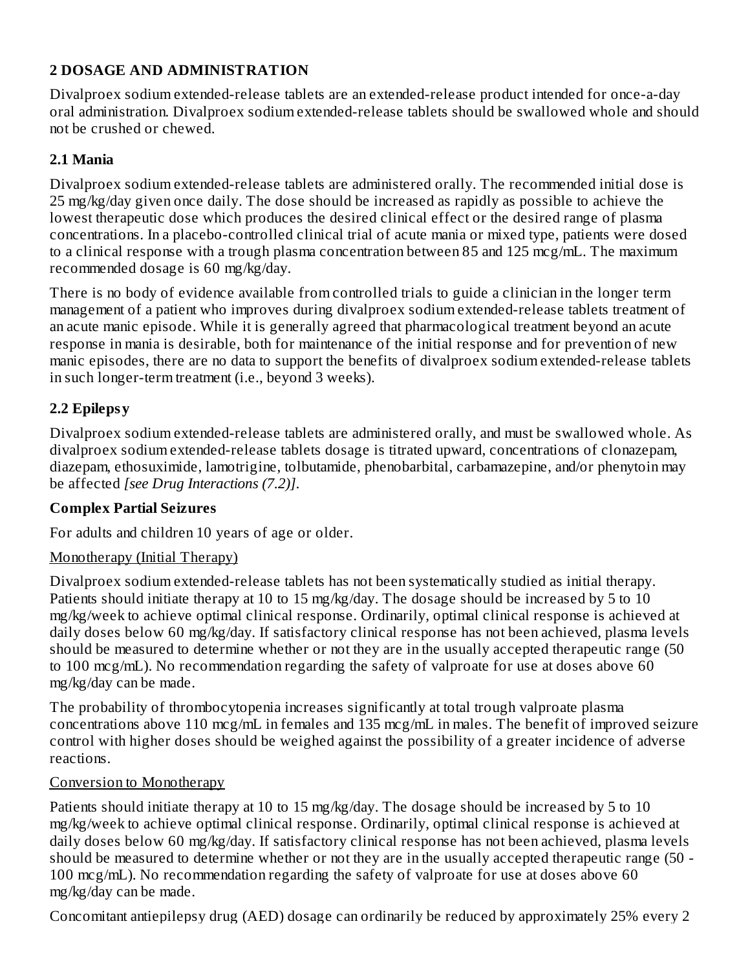## **2 DOSAGE AND ADMINISTRATION**

Divalproex sodium extended-release tablets are an extended-release product intended for once-a-day oral administration. Divalproex sodium extended-release tablets should be swallowed whole and should not be crushed or chewed.

#### **2.1 Mania**

Divalproex sodium extended-release tablets are administered orally. The recommended initial dose is 25 mg/kg/day given once daily. The dose should be increased as rapidly as possible to achieve the lowest therapeutic dose which produces the desired clinical effect or the desired range of plasma concentrations. In a placebo-controlled clinical trial of acute mania or mixed type, patients were dosed to a clinical response with a trough plasma concentration between 85 and 125 mcg/mL. The maximum recommended dosage is 60 mg/kg/day.

There is no body of evidence available from controlled trials to guide a clinician in the longer term management of a patient who improves during divalproex sodium extended-release tablets treatment of an acute manic episode. While it is generally agreed that pharmacological treatment beyond an acute response in mania is desirable, both for maintenance of the initial response and for prevention of new manic episodes, there are no data to support the benefits of divalproex sodium extended-release tablets in such longer-term treatment (i.e., beyond 3 weeks).

## **2.2 Epilepsy**

Divalproex sodium extended-release tablets are administered orally, and must be swallowed whole. As divalproex sodium extended-release tablets dosage is titrated upward, concentrations of clonazepam, diazepam, ethosuximide, lamotrigine, tolbutamide, phenobarbital, carbamazepine, and/or phenytoin may be affected *[see Drug Interactions (7.2)]*.

## **Complex Partial Seizures**

For adults and children 10 years of age or older.

#### Monotherapy (Initial Therapy)

Divalproex sodium extended-release tablets has not been systematically studied as initial therapy. Patients should initiate therapy at 10 to 15 mg/kg/day. The dosage should be increased by 5 to 10 mg/kg/week to achieve optimal clinical response. Ordinarily, optimal clinical response is achieved at daily doses below 60 mg/kg/day. If satisfactory clinical response has not been achieved, plasma levels should be measured to determine whether or not they are in the usually accepted therapeutic range (50 to 100 mcg/mL). No recommendation regarding the safety of valproate for use at doses above 60 mg/kg/day can be made.

The probability of thrombocytopenia increases significantly at total trough valproate plasma concentrations above 110 mcg/mL in females and 135 mcg/mL in males. The benefit of improved seizure control with higher doses should be weighed against the possibility of a greater incidence of adverse reactions.

#### Conversion to Monotherapy

Patients should initiate therapy at 10 to 15 mg/kg/day. The dosage should be increased by 5 to 10 mg/kg/week to achieve optimal clinical response. Ordinarily, optimal clinical response is achieved at daily doses below 60 mg/kg/day. If satisfactory clinical response has not been achieved, plasma levels should be measured to determine whether or not they are in the usually accepted therapeutic range (50 - 100 mcg/mL). No recommendation regarding the safety of valproate for use at doses above 60 mg/kg/day can be made.

Concomitant antiepilepsy drug (AED) dosage can ordinarily be reduced by approximately 25% every 2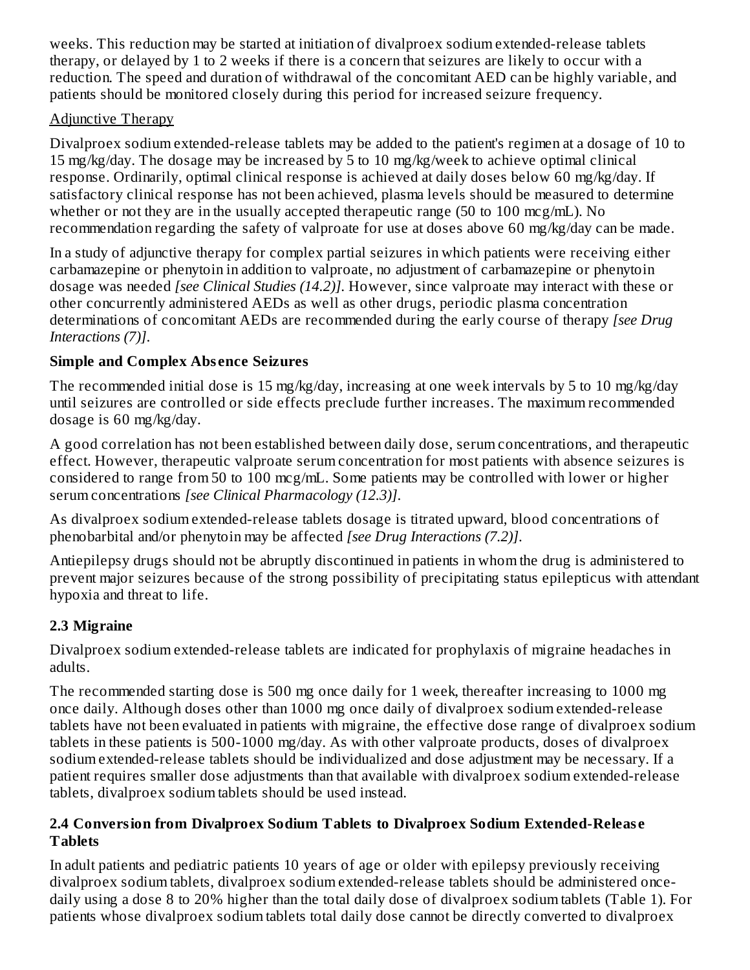weeks. This reduction may be started at initiation of divalproex sodium extended-release tablets therapy, or delayed by 1 to 2 weeks if there is a concern that seizures are likely to occur with a reduction. The speed and duration of withdrawal of the concomitant AED can be highly variable, and patients should be monitored closely during this period for increased seizure frequency.

## Adjunctive Therapy

Divalproex sodium extended-release tablets may be added to the patient's regimen at a dosage of 10 to 15 mg/kg/day. The dosage may be increased by 5 to 10 mg/kg/week to achieve optimal clinical response. Ordinarily, optimal clinical response is achieved at daily doses below 60 mg/kg/day. If satisfactory clinical response has not been achieved, plasma levels should be measured to determine whether or not they are in the usually accepted therapeutic range (50 to 100 mcg/mL). No recommendation regarding the safety of valproate for use at doses above 60 mg/kg/day can be made.

In a study of adjunctive therapy for complex partial seizures in which patients were receiving either carbamazepine or phenytoin in addition to valproate, no adjustment of carbamazepine or phenytoin dosage was needed *[see Clinical Studies (14.2)]*. However, since valproate may interact with these or other concurrently administered AEDs as well as other drugs, periodic plasma concentration determinations of concomitant AEDs are recommended during the early course of therapy *[see Drug Interactions (7)]*.

## **Simple and Complex Abs ence Seizures**

The recommended initial dose is 15 mg/kg/day, increasing at one week intervals by 5 to 10 mg/kg/day until seizures are controlled or side effects preclude further increases. The maximum recommended dosage is 60 mg/kg/day.

A good correlation has not been established between daily dose, serum concentrations, and therapeutic effect. However, therapeutic valproate serum concentration for most patients with absence seizures is considered to range from 50 to 100 mcg/mL. Some patients may be controlled with lower or higher serum concentrations *[see Clinical Pharmacology (12.3)]*.

As divalproex sodium extended-release tablets dosage is titrated upward, blood concentrations of phenobarbital and/or phenytoin may be affected *[see Drug Interactions (7.2)]*.

Antiepilepsy drugs should not be abruptly discontinued in patients in whom the drug is administered to prevent major seizures because of the strong possibility of precipitating status epilepticus with attendant hypoxia and threat to life.

# **2.3 Migraine**

Divalproex sodium extended-release tablets are indicated for prophylaxis of migraine headaches in adults.

The recommended starting dose is 500 mg once daily for 1 week, thereafter increasing to 1000 mg once daily. Although doses other than 1000 mg once daily of divalproex sodium extended-release tablets have not been evaluated in patients with migraine, the effective dose range of divalproex sodium tablets in these patients is 500-1000 mg/day. As with other valproate products, doses of divalproex sodium extended-release tablets should be individualized and dose adjustment may be necessary. If a patient requires smaller dose adjustments than that available with divalproex sodium extended-release tablets, divalproex sodium tablets should be used instead.

#### **2.4 Conversion from Divalproex Sodium Tablets to Divalproex Sodium Extended-Releas e Tablets**

In adult patients and pediatric patients 10 years of age or older with epilepsy previously receiving divalproex sodium tablets, divalproex sodium extended-release tablets should be administered oncedaily using a dose 8 to 20% higher than the total daily dose of divalproex sodium tablets (Table 1). For patients whose divalproex sodium tablets total daily dose cannot be directly converted to divalproex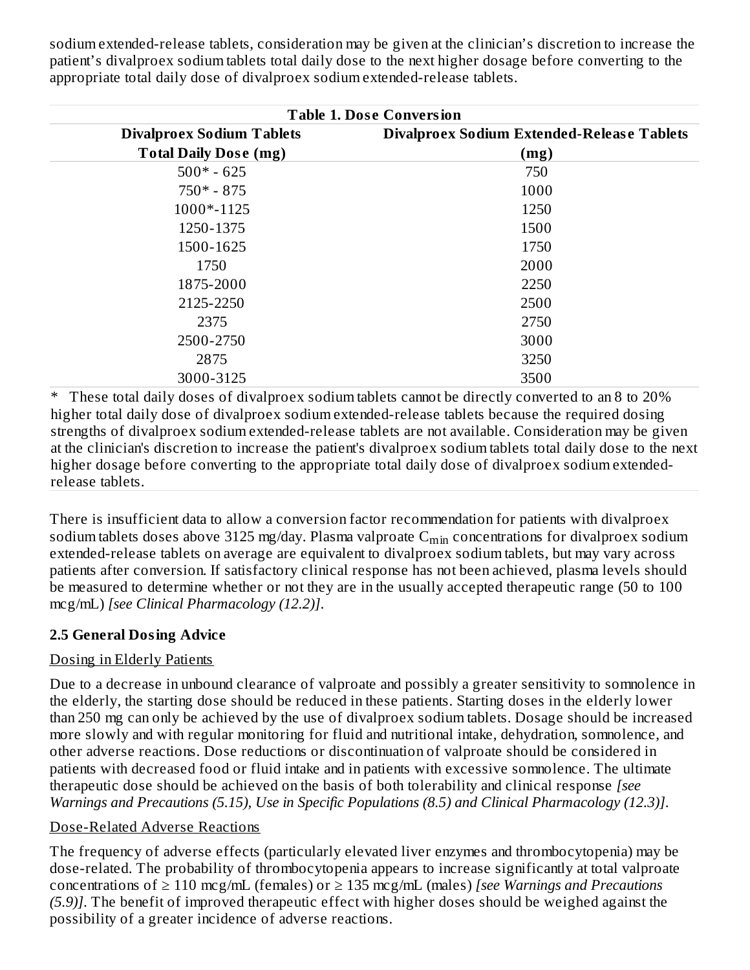sodium extended-release tablets, consideration may be given at the clinician's discretion to increase the patient's divalproex sodium tablets total daily dose to the next higher dosage before converting to the appropriate total daily dose of divalproex sodium extended-release tablets.

| <b>Table 1. Dose Conversion</b>  |                                                   |  |  |
|----------------------------------|---------------------------------------------------|--|--|
| <b>Divalproex Sodium Tablets</b> | <b>Divalproex Sodium Extended-Release Tablets</b> |  |  |
| <b>Total Daily Dose (mg)</b>     | (mg)                                              |  |  |
| $500* - 625$                     | 750                                               |  |  |
| $750* - 875$                     | 1000                                              |  |  |
| 1000*-1125                       | 1250                                              |  |  |
| 1250-1375                        | 1500                                              |  |  |
| 1500-1625                        | 1750                                              |  |  |
| 1750                             | 2000                                              |  |  |
| 1875-2000                        | 2250                                              |  |  |
| 2125-2250                        | 2500                                              |  |  |
| 2375                             | 2750                                              |  |  |
| 2500-2750                        | 3000                                              |  |  |
| 2875                             | 3250                                              |  |  |
| 3000-3125                        | 3500                                              |  |  |

These total daily doses of divalproex sodium tablets cannot be directly converted to an 8 to 20% higher total daily dose of divalproex sodium extended-release tablets because the required dosing strengths of divalproex sodium extended-release tablets are not available. Consideration may be given at the clinician's discretion to increase the patient's divalproex sodium tablets total daily dose to the next higher dosage before converting to the appropriate total daily dose of divalproex sodium extendedrelease tablets.

There is insufficient data to allow a conversion factor recommendation for patients with divalproex sodium tablets doses above 3125 mg/day. Plasma valproate  $\mathsf{C}_{\min}$  concentrations for divalproex sodium extended-release tablets on average are equivalent to divalproex sodium tablets, but may vary across patients after conversion. If satisfactory clinical response has not been achieved, plasma levels should be measured to determine whether or not they are in the usually accepted therapeutic range (50 to 100 mcg/mL) *[see Clinical Pharmacology (12.2)]*.

## **2.5 General Dosing Advice**

## Dosing in Elderly Patients

Due to a decrease in unbound clearance of valproate and possibly a greater sensitivity to somnolence in the elderly, the starting dose should be reduced in these patients. Starting doses in the elderly lower than 250 mg can only be achieved by the use of divalproex sodium tablets. Dosage should be increased more slowly and with regular monitoring for fluid and nutritional intake, dehydration, somnolence, and other adverse reactions. Dose reductions or discontinuation of valproate should be considered in patients with decreased food or fluid intake and in patients with excessive somnolence. The ultimate therapeutic dose should be achieved on the basis of both tolerability and clinical response *[see Warnings and Precautions (5.15), Use in Specific Populations (8.5) and Clinical Pharmacology (12.3)]*.

#### Dose-Related Adverse Reactions

The frequency of adverse effects (particularly elevated liver enzymes and thrombocytopenia) may be dose-related. The probability of thrombocytopenia appears to increase significantly at total valproate concentrations of ≥ 110 mcg/mL (females) or ≥ 135 mcg/mL (males) *[see Warnings and Precautions (5.9)]*. The benefit of improved therapeutic effect with higher doses should be weighed against the possibility of a greater incidence of adverse reactions.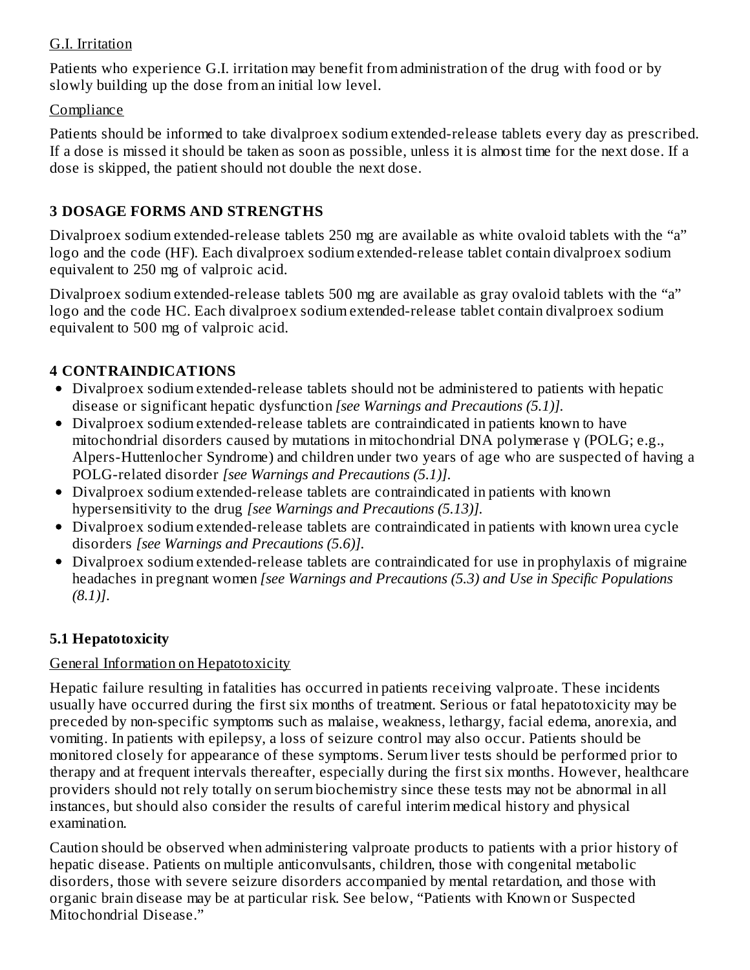#### G.I. Irritation

Patients who experience G.I. irritation may benefit from administration of the drug with food or by slowly building up the dose from an initial low level.

#### **Compliance**

Patients should be informed to take divalproex sodium extended-release tablets every day as prescribed. If a dose is missed it should be taken as soon as possible, unless it is almost time for the next dose. If a dose is skipped, the patient should not double the next dose.

## **3 DOSAGE FORMS AND STRENGTHS**

Divalproex sodium extended-release tablets 250 mg are available as white ovaloid tablets with the "a" logo and the code (HF). Each divalproex sodium extended-release tablet contain divalproex sodium equivalent to 250 mg of valproic acid.

Divalproex sodium extended-release tablets 500 mg are available as gray ovaloid tablets with the "a" logo and the code HC. Each divalproex sodium extended-release tablet contain divalproex sodium equivalent to 500 mg of valproic acid.

## **4 CONTRAINDICATIONS**

- Divalproex sodium extended-release tablets should not be administered to patients with hepatic disease or significant hepatic dysfunction *[see Warnings and Precautions (5.1)].*
- Divalproex sodium extended-release tablets are contraindicated in patients known to have mitochondrial disorders caused by mutations in mitochondrial DNA polymerase γ (POLG; e.g., Alpers-Huttenlocher Syndrome) and children under two years of age who are suspected of having a POLG-related disorder *[see Warnings and Precautions (5.1)]*.
- Divalproex sodium extended-release tablets are contraindicated in patients with known hypersensitivity to the drug *[see Warnings and Precautions (5.13)].*
- Divalproex sodium extended-release tablets are contraindicated in patients with known urea cycle disorders *[see Warnings and Precautions (5.6)].*
- Divalproex sodium extended-release tablets are contraindicated for use in prophylaxis of migraine headaches in pregnant women *[see Warnings and Precautions (5.3) and Use in Specific Populations (8.1)]*.

## **5.1 Hepatotoxicity**

## General Information on Hepatotoxicity

Hepatic failure resulting in fatalities has occurred in patients receiving valproate. These incidents usually have occurred during the first six months of treatment. Serious or fatal hepatotoxicity may be preceded by non-specific symptoms such as malaise, weakness, lethargy, facial edema, anorexia, and vomiting. In patients with epilepsy, a loss of seizure control may also occur. Patients should be monitored closely for appearance of these symptoms. Serum liver tests should be performed prior to therapy and at frequent intervals thereafter, especially during the first six months. However, healthcare providers should not rely totally on serum biochemistry since these tests may not be abnormal in all instances, but should also consider the results of careful interim medical history and physical examination.

Caution should be observed when administering valproate products to patients with a prior history of hepatic disease. Patients on multiple anticonvulsants, children, those with congenital metabolic disorders, those with severe seizure disorders accompanied by mental retardation, and those with organic brain disease may be at particular risk. See below, "Patients with Known or Suspected Mitochondrial Disease."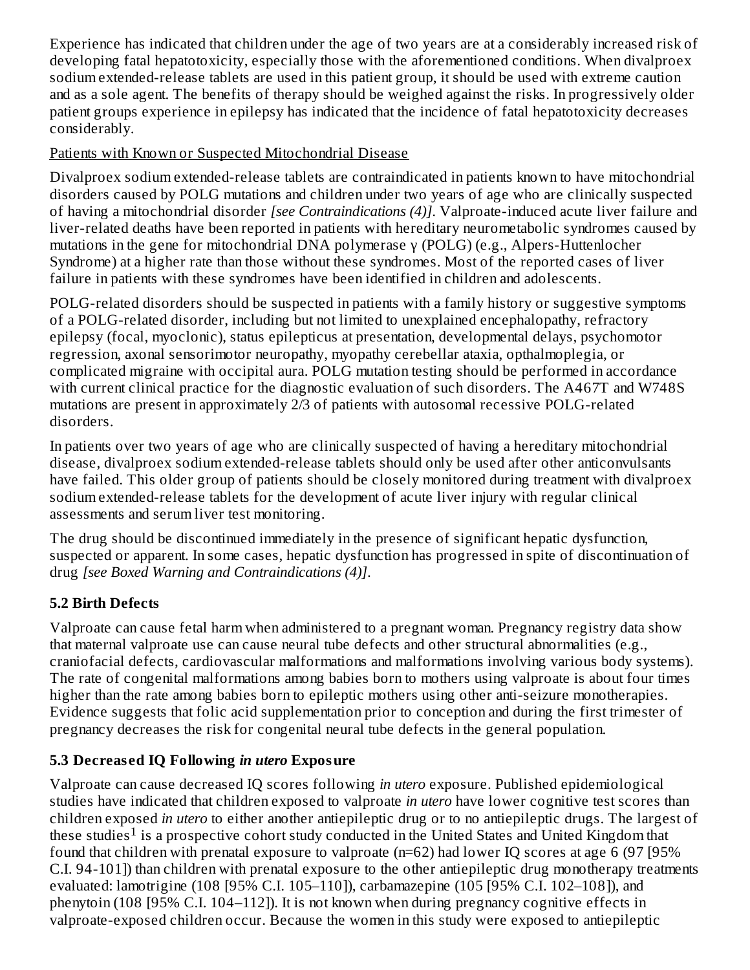Experience has indicated that children under the age of two years are at a considerably increased risk of developing fatal hepatotoxicity, especially those with the aforementioned conditions. When divalproex sodium extended-release tablets are used in this patient group, it should be used with extreme caution and as a sole agent. The benefits of therapy should be weighed against the risks. In progressively older patient groups experience in epilepsy has indicated that the incidence of fatal hepatotoxicity decreases considerably.

## Patients with Known or Suspected Mitochondrial Disease

Divalproex sodium extended-release tablets are contraindicated in patients known to have mitochondrial disorders caused by POLG mutations and children under two years of age who are clinically suspected of having a mitochondrial disorder *[see Contraindications (4)]*. Valproate-induced acute liver failure and liver-related deaths have been reported in patients with hereditary neurometabolic syndromes caused by mutations in the gene for mitochondrial DNA polymerase γ (POLG) (e.g., Alpers-Huttenlocher Syndrome) at a higher rate than those without these syndromes. Most of the reported cases of liver failure in patients with these syndromes have been identified in children and adolescents.

POLG-related disorders should be suspected in patients with a family history or suggestive symptoms of a POLG-related disorder, including but not limited to unexplained encephalopathy, refractory epilepsy (focal, myoclonic), status epilepticus at presentation, developmental delays, psychomotor regression, axonal sensorimotor neuropathy, myopathy cerebellar ataxia, opthalmoplegia, or complicated migraine with occipital aura. POLG mutation testing should be performed in accordance with current clinical practice for the diagnostic evaluation of such disorders. The A467T and W748S mutations are present in approximately 2/3 of patients with autosomal recessive POLG-related disorders.

In patients over two years of age who are clinically suspected of having a hereditary mitochondrial disease, divalproex sodium extended-release tablets should only be used after other anticonvulsants have failed. This older group of patients should be closely monitored during treatment with divalproex sodium extended-release tablets for the development of acute liver injury with regular clinical assessments and serum liver test monitoring.

The drug should be discontinued immediately in the presence of significant hepatic dysfunction, suspected or apparent. In some cases, hepatic dysfunction has progressed in spite of discontinuation of drug *[see Boxed Warning and Contraindications (4)]*.

# **5.2 Birth Defects**

Valproate can cause fetal harm when administered to a pregnant woman. Pregnancy registry data show that maternal valproate use can cause neural tube defects and other structural abnormalities (e.g., craniofacial defects, cardiovascular malformations and malformations involving various body systems). The rate of congenital malformations among babies born to mothers using valproate is about four times higher than the rate among babies born to epileptic mothers using other anti-seizure monotherapies. Evidence suggests that folic acid supplementation prior to conception and during the first trimester of pregnancy decreases the risk for congenital neural tube defects in the general population.

# **5.3 Decreas ed IQ Following** *in utero* **Exposure**

Valproate can cause decreased IQ scores following *in utero* exposure. Published epidemiological studies have indicated that children exposed to valproate *in utero* have lower cognitive test scores than children exposed *in utero* to either another antiepileptic drug or to no antiepileptic drugs. The largest of these studies<sup>1</sup> is a prospective cohort study conducted in the United States and United Kingdom that found that children with prenatal exposure to valproate (n=62) had lower IQ scores at age 6 (97 [95% C.I. 94-101]) than children with prenatal exposure to the other antiepileptic drug monotherapy treatments evaluated: lamotrigine (108 [95% C.I. 105–110]), carbamazepine (105 [95% C.I. 102–108]), and phenytoin (108 [95% C.I. 104–112]). It is not known when during pregnancy cognitive effects in valproate-exposed children occur. Because the women in this study were exposed to antiepileptic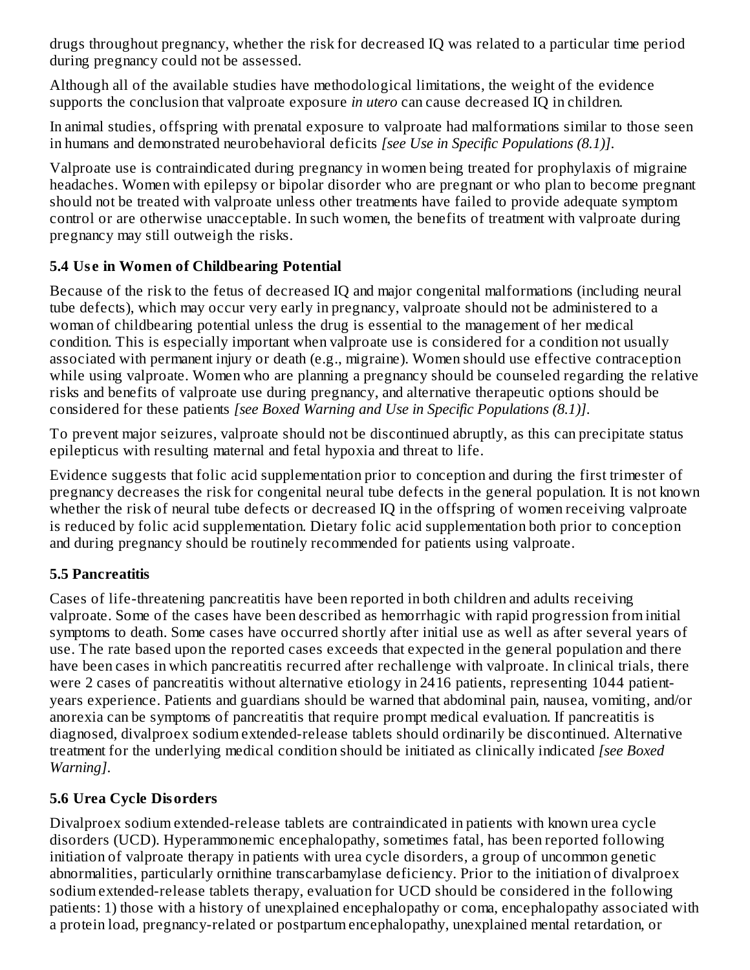drugs throughout pregnancy, whether the risk for decreased IQ was related to a particular time period during pregnancy could not be assessed.

Although all of the available studies have methodological limitations, the weight of the evidence supports the conclusion that valproate exposure *in utero* can cause decreased IQ in children.

In animal studies, offspring with prenatal exposure to valproate had malformations similar to those seen in humans and demonstrated neurobehavioral deficits *[see Use in Specific Populations (8.1)]*.

Valproate use is contraindicated during pregnancy in women being treated for prophylaxis of migraine headaches. Women with epilepsy or bipolar disorder who are pregnant or who plan to become pregnant should not be treated with valproate unless other treatments have failed to provide adequate symptom control or are otherwise unacceptable. In such women, the benefits of treatment with valproate during pregnancy may still outweigh the risks.

## **5.4 Us e in Women of Childbearing Potential**

Because of the risk to the fetus of decreased IQ and major congenital malformations (including neural tube defects), which may occur very early in pregnancy, valproate should not be administered to a woman of childbearing potential unless the drug is essential to the management of her medical condition. This is especially important when valproate use is considered for a condition not usually associated with permanent injury or death (e.g., migraine). Women should use effective contraception while using valproate. Women who are planning a pregnancy should be counseled regarding the relative risks and benefits of valproate use during pregnancy, and alternative therapeutic options should be considered for these patients *[see Boxed Warning and Use in Specific Populations (8.1)]*.

To prevent major seizures, valproate should not be discontinued abruptly, as this can precipitate status epilepticus with resulting maternal and fetal hypoxia and threat to life.

Evidence suggests that folic acid supplementation prior to conception and during the first trimester of pregnancy decreases the risk for congenital neural tube defects in the general population. It is not known whether the risk of neural tube defects or decreased IQ in the offspring of women receiving valproate is reduced by folic acid supplementation. Dietary folic acid supplementation both prior to conception and during pregnancy should be routinely recommended for patients using valproate.

## **5.5 Pancreatitis**

Cases of life-threatening pancreatitis have been reported in both children and adults receiving valproate. Some of the cases have been described as hemorrhagic with rapid progression from initial symptoms to death. Some cases have occurred shortly after initial use as well as after several years of use. The rate based upon the reported cases exceeds that expected in the general population and there have been cases in which pancreatitis recurred after rechallenge with valproate. In clinical trials, there were 2 cases of pancreatitis without alternative etiology in 2416 patients, representing 1044 patientyears experience. Patients and guardians should be warned that abdominal pain, nausea, vomiting, and/or anorexia can be symptoms of pancreatitis that require prompt medical evaluation. If pancreatitis is diagnosed, divalproex sodium extended-release tablets should ordinarily be discontinued. Alternative treatment for the underlying medical condition should be initiated as clinically indicated *[see Boxed Warning]*.

## **5.6 Urea Cycle Disorders**

Divalproex sodium extended-release tablets are contraindicated in patients with known urea cycle disorders (UCD). Hyperammonemic encephalopathy, sometimes fatal, has been reported following initiation of valproate therapy in patients with urea cycle disorders, a group of uncommon genetic abnormalities, particularly ornithine transcarbamylase deficiency. Prior to the initiation of divalproex sodium extended-release tablets therapy, evaluation for UCD should be considered in the following patients: 1) those with a history of unexplained encephalopathy or coma, encephalopathy associated with a protein load, pregnancy-related or postpartum encephalopathy, unexplained mental retardation, or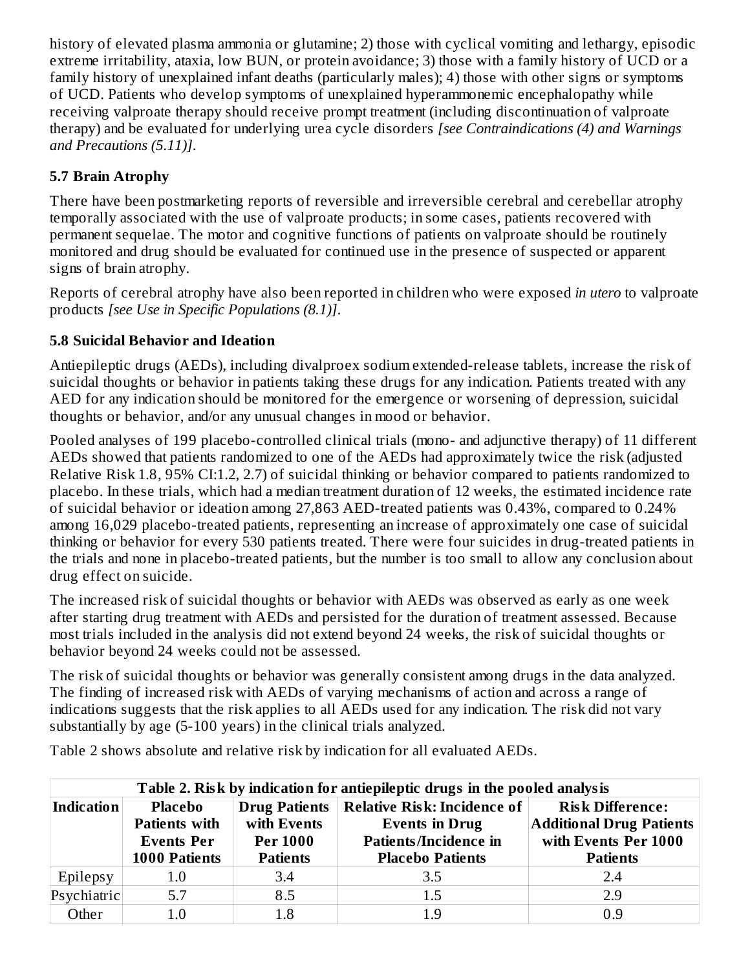history of elevated plasma ammonia or glutamine; 2) those with cyclical vomiting and lethargy, episodic extreme irritability, ataxia, low BUN, or protein avoidance; 3) those with a family history of UCD or a family history of unexplained infant deaths (particularly males); 4) those with other signs or symptoms of UCD. Patients who develop symptoms of unexplained hyperammonemic encephalopathy while receiving valproate therapy should receive prompt treatment (including discontinuation of valproate therapy) and be evaluated for underlying urea cycle disorders *[see Contraindications (4) and Warnings and Precautions (5.11)]*.

# **5.7 Brain Atrophy**

There have been postmarketing reports of reversible and irreversible cerebral and cerebellar atrophy temporally associated with the use of valproate products; in some cases, patients recovered with permanent sequelae. The motor and cognitive functions of patients on valproate should be routinely monitored and drug should be evaluated for continued use in the presence of suspected or apparent signs of brain atrophy.

Reports of cerebral atrophy have also been reported in children who were exposed *in utero* to valproate products *[see Use in Specific Populations (8.1)]*.

## **5.8 Suicidal Behavior and Ideation**

Antiepileptic drugs (AEDs), including divalproex sodium extended-release tablets, increase the risk of suicidal thoughts or behavior in patients taking these drugs for any indication. Patients treated with any AED for any indication should be monitored for the emergence or worsening of depression, suicidal thoughts or behavior, and/or any unusual changes in mood or behavior.

Pooled analyses of 199 placebo-controlled clinical trials (mono- and adjunctive therapy) of 11 different AEDs showed that patients randomized to one of the AEDs had approximately twice the risk (adjusted Relative Risk 1.8, 95% CI:1.2, 2.7) of suicidal thinking or behavior compared to patients randomized to placebo. In these trials, which had a median treatment duration of 12 weeks, the estimated incidence rate of suicidal behavior or ideation among 27,863 AED-treated patients was 0.43%, compared to 0.24% among 16,029 placebo-treated patients, representing an increase of approximately one case of suicidal thinking or behavior for every 530 patients treated. There were four suicides in drug-treated patients in the trials and none in placebo-treated patients, but the number is too small to allow any conclusion about drug effect on suicide.

The increased risk of suicidal thoughts or behavior with AEDs was observed as early as one week after starting drug treatment with AEDs and persisted for the duration of treatment assessed. Because most trials included in the analysis did not extend beyond 24 weeks, the risk of suicidal thoughts or behavior beyond 24 weeks could not be assessed.

The risk of suicidal thoughts or behavior was generally consistent among drugs in the data analyzed. The finding of increased risk with AEDs of varying mechanisms of action and across a range of indications suggests that the risk applies to all AEDs used for any indication. The risk did not vary substantially by age (5-100 years) in the clinical trials analyzed.

Table 2 shows absolute and relative risk by indication for all evaluated AEDs.

| Table 2. Risk by indication for antiepileptic drugs in the pooled analysis                                                                                              |         |                                                                                                                         |                                                                                                       |     |
|-------------------------------------------------------------------------------------------------------------------------------------------------------------------------|---------|-------------------------------------------------------------------------------------------------------------------------|-------------------------------------------------------------------------------------------------------|-----|
| Placebo<br>Drug Patients<br><b>Indication</b><br>with Events<br><b>Patients with</b><br><b>Per 1000</b><br><b>Events Per</b><br><b>1000 Patients</b><br><b>Patients</b> |         | Relative Risk: Incidence of $\vert$<br><b>Events in Drug</b><br><b>Patients/Incidence in</b><br><b>Placebo Patients</b> | <b>Risk Difference:</b><br><b>Additional Drug Patients</b><br>with Events Per 1000<br><b>Patients</b> |     |
| Epilepsy                                                                                                                                                                | $1.0\,$ | 3.4                                                                                                                     | 3.5                                                                                                   | 2.4 |
| Psychiatric                                                                                                                                                             | 5.7     | 8.5                                                                                                                     | 1.5                                                                                                   | 2.9 |
| Other                                                                                                                                                                   | 1.0     | 1.8                                                                                                                     | 1.9                                                                                                   | 0.9 |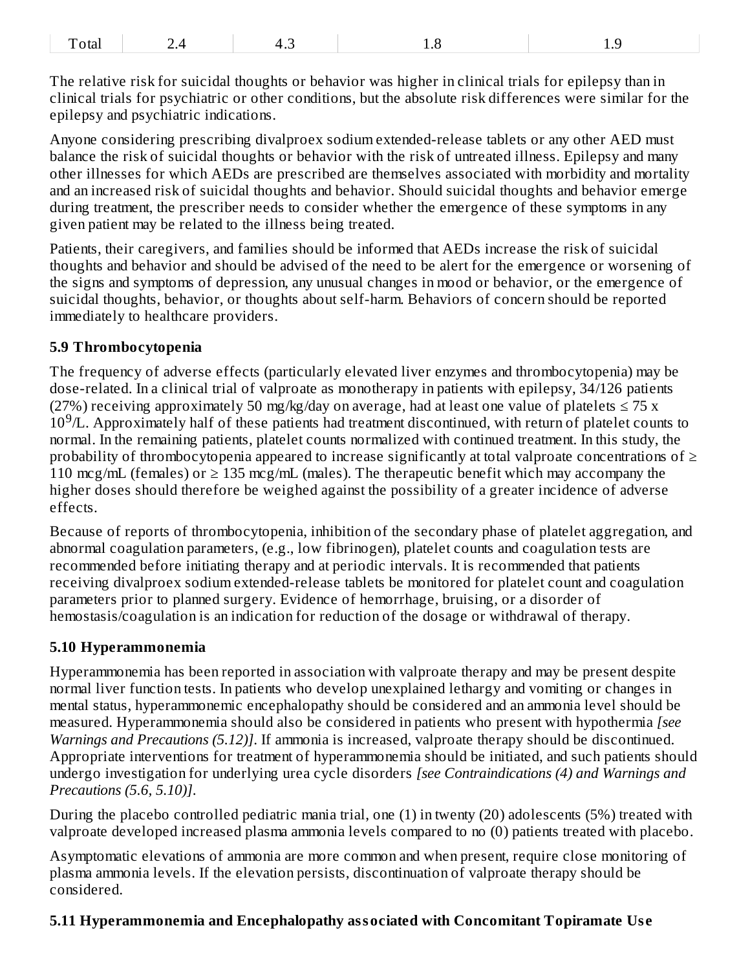| 1 Oldi |
|--------|
|--------|

The relative risk for suicidal thoughts or behavior was higher in clinical trials for epilepsy than in clinical trials for psychiatric or other conditions, but the absolute risk differences were similar for the epilepsy and psychiatric indications.

Anyone considering prescribing divalproex sodium extended-release tablets or any other AED must balance the risk of suicidal thoughts or behavior with the risk of untreated illness. Epilepsy and many other illnesses for which AEDs are prescribed are themselves associated with morbidity and mortality and an increased risk of suicidal thoughts and behavior. Should suicidal thoughts and behavior emerge during treatment, the prescriber needs to consider whether the emergence of these symptoms in any given patient may be related to the illness being treated.

Patients, their caregivers, and families should be informed that AEDs increase the risk of suicidal thoughts and behavior and should be advised of the need to be alert for the emergence or worsening of the signs and symptoms of depression, any unusual changes in mood or behavior, or the emergence of suicidal thoughts, behavior, or thoughts about self-harm. Behaviors of concern should be reported immediately to healthcare providers.

#### **5.9 Thrombocytopenia**

The frequency of adverse effects (particularly elevated liver enzymes and thrombocytopenia) may be dose-related. In a clinical trial of valproate as monotherapy in patients with epilepsy, 34/126 patients (27%) receiving approximately 50 mg/kg/day on average, had at least one value of platelets  $\leq$  75 x  $10<sup>9</sup>/L$ . Approximately half of these patients had treatment discontinued, with return of platelet counts to normal. In the remaining patients, platelet counts normalized with continued treatment. In this study, the probability of thrombocytopenia appeared to increase significantly at total valproate concentrations of  $\geq$ 110 mcg/mL (females) or  $\geq$  135 mcg/mL (males). The therapeutic benefit which may accompany the higher doses should therefore be weighed against the possibility of a greater incidence of adverse effects.

Because of reports of thrombocytopenia, inhibition of the secondary phase of platelet aggregation, and abnormal coagulation parameters, (e.g., low fibrinogen), platelet counts and coagulation tests are recommended before initiating therapy and at periodic intervals. It is recommended that patients receiving divalproex sodium extended-release tablets be monitored for platelet count and coagulation parameters prior to planned surgery. Evidence of hemorrhage, bruising, or a disorder of hemostasis/coagulation is an indication for reduction of the dosage or withdrawal of therapy.

#### **5.10 Hyperammonemia**

Hyperammonemia has been reported in association with valproate therapy and may be present despite normal liver function tests. In patients who develop unexplained lethargy and vomiting or changes in mental status, hyperammonemic encephalopathy should be considered and an ammonia level should be measured. Hyperammonemia should also be considered in patients who present with hypothermia *[see Warnings and Precautions (5.12)]*. If ammonia is increased, valproate therapy should be discontinued. Appropriate interventions for treatment of hyperammonemia should be initiated, and such patients should undergo investigation for underlying urea cycle disorders *[see Contraindications (4) and Warnings and Precautions (5.6, 5.10)]*.

During the placebo controlled pediatric mania trial, one (1) in twenty (20) adolescents (5%) treated with valproate developed increased plasma ammonia levels compared to no (0) patients treated with placebo.

Asymptomatic elevations of ammonia are more common and when present, require close monitoring of plasma ammonia levels. If the elevation persists, discontinuation of valproate therapy should be considered.

#### **5.11 Hyperammonemia and Encephalopathy associated with Concomitant Topiramate Us e**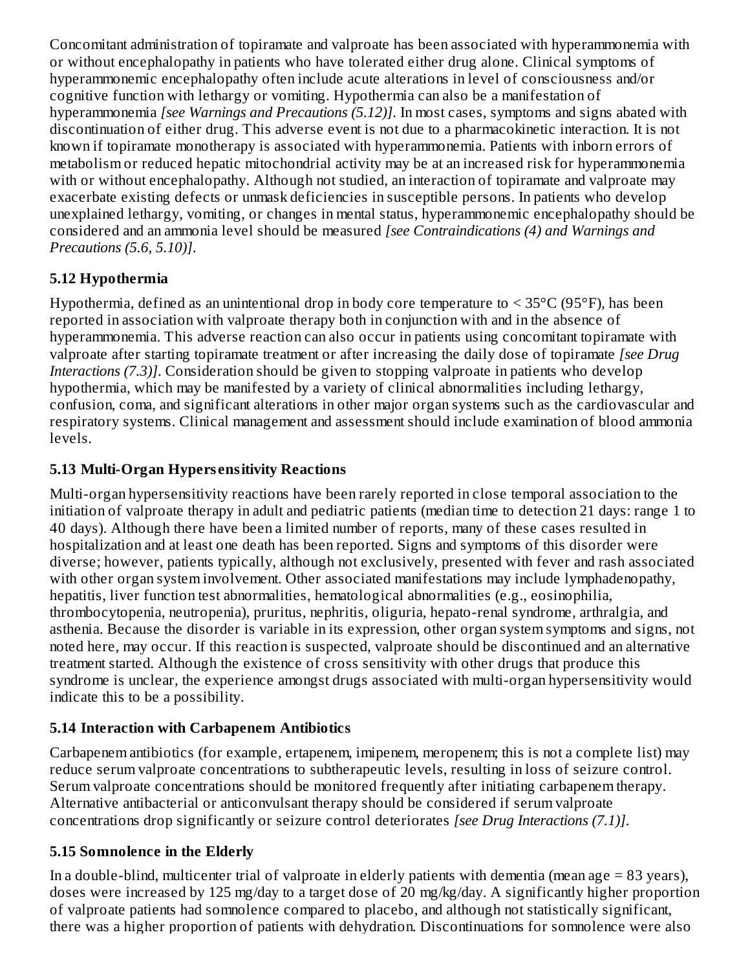Concomitant administration of topiramate and valproate has been associated with hyperammonemia with or without encephalopathy in patients who have tolerated either drug alone. Clinical symptoms of hyperammonemic encephalopathy often include acute alterations in level of consciousness and/or cognitive function with lethargy or vomiting. Hypothermia can also be a manifestation of hyperammonemia *[see Warnings and Precautions (5.12)]*. In most cases, symptoms and signs abated with discontinuation of either drug. This adverse event is not due to a pharmacokinetic interaction. It is not known if topiramate monotherapy is associated with hyperammonemia. Patients with inborn errors of metabolism or reduced hepatic mitochondrial activity may be at an increased risk for hyperammonemia with or without encephalopathy. Although not studied, an interaction of topiramate and valproate may exacerbate existing defects or unmask deficiencies in susceptible persons. In patients who develop unexplained lethargy, vomiting, or changes in mental status, hyperammonemic encephalopathy should be considered and an ammonia level should be measured *[see Contraindications (4) and Warnings and Precautions (5.6, 5.10)]*.

## **5.12 Hypothermia**

Hypothermia, defined as an unintentional drop in body core temperature to < 35°C (95°F), has been reported in association with valproate therapy both in conjunction with and in the absence of hyperammonemia. This adverse reaction can also occur in patients using concomitant topiramate with valproate after starting topiramate treatment or after increasing the daily dose of topiramate *[see Drug Interactions (7.3)]*. Consideration should be given to stopping valproate in patients who develop hypothermia, which may be manifested by a variety of clinical abnormalities including lethargy, confusion, coma, and significant alterations in other major organ systems such as the cardiovascular and respiratory systems. Clinical management and assessment should include examination of blood ammonia levels.

## **5.13 Multi-Organ Hypers ensitivity Reactions**

Multi-organ hypersensitivity reactions have been rarely reported in close temporal association to the initiation of valproate therapy in adult and pediatric patients (median time to detection 21 days: range 1 to 40 days). Although there have been a limited number of reports, many of these cases resulted in hospitalization and at least one death has been reported. Signs and symptoms of this disorder were diverse; however, patients typically, although not exclusively, presented with fever and rash associated with other organ system involvement. Other associated manifestations may include lymphadenopathy, hepatitis, liver function test abnormalities, hematological abnormalities (e.g., eosinophilia, thrombocytopenia, neutropenia), pruritus, nephritis, oliguria, hepato-renal syndrome, arthralgia, and asthenia. Because the disorder is variable in its expression, other organ system symptoms and signs, not noted here, may occur. If this reaction is suspected, valproate should be discontinued and an alternative treatment started. Although the existence of cross sensitivity with other drugs that produce this syndrome is unclear, the experience amongst drugs associated with multi-organ hypersensitivity would indicate this to be a possibility.

# **5.14 Interaction with Carbapenem Antibiotics**

Carbapenem antibiotics (for example, ertapenem, imipenem, meropenem; this is not a complete list) may reduce serum valproate concentrations to subtherapeutic levels, resulting in loss of seizure control. Serum valproate concentrations should be monitored frequently after initiating carbapenem therapy. Alternative antibacterial or anticonvulsant therapy should be considered if serum valproate concentrations drop significantly or seizure control deteriorates *[see Drug Interactions (7.1)]*.

# **5.15 Somnolence in the Elderly**

In a double-blind, multicenter trial of valproate in elderly patients with dementia (mean age  $= 83$  years), doses were increased by 125 mg/day to a target dose of 20 mg/kg/day. A significantly higher proportion of valproate patients had somnolence compared to placebo, and although not statistically significant, there was a higher proportion of patients with dehydration. Discontinuations for somnolence were also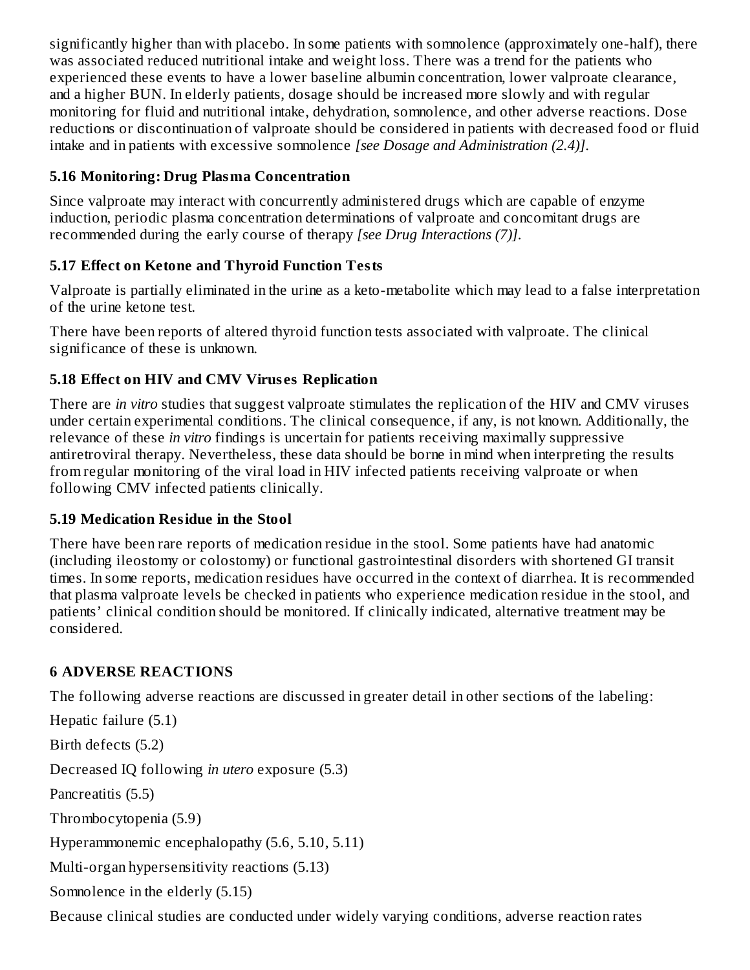significantly higher than with placebo. In some patients with somnolence (approximately one-half), there was associated reduced nutritional intake and weight loss. There was a trend for the patients who experienced these events to have a lower baseline albumin concentration, lower valproate clearance, and a higher BUN. In elderly patients, dosage should be increased more slowly and with regular monitoring for fluid and nutritional intake, dehydration, somnolence, and other adverse reactions. Dose reductions or discontinuation of valproate should be considered in patients with decreased food or fluid intake and in patients with excessive somnolence *[see Dosage and Administration (2.4)]*.

## **5.16 Monitoring: Drug Plasma Concentration**

Since valproate may interact with concurrently administered drugs which are capable of enzyme induction, periodic plasma concentration determinations of valproate and concomitant drugs are recommended during the early course of therapy *[see Drug Interactions (7)]*.

## **5.17 Effect on Ketone and Thyroid Function Tests**

Valproate is partially eliminated in the urine as a keto-metabolite which may lead to a false interpretation of the urine ketone test.

There have been reports of altered thyroid function tests associated with valproate. The clinical significance of these is unknown.

## **5.18 Effect on HIV and CMV Virus es Replication**

There are *in vitro* studies that suggest valproate stimulates the replication of the HIV and CMV viruses under certain experimental conditions. The clinical consequence, if any, is not known. Additionally, the relevance of these *in vitro* findings is uncertain for patients receiving maximally suppressive antiretroviral therapy. Nevertheless, these data should be borne in mind when interpreting the results from regular monitoring of the viral load in HIV infected patients receiving valproate or when following CMV infected patients clinically.

## **5.19 Medication Residue in the Stool**

There have been rare reports of medication residue in the stool. Some patients have had anatomic (including ileostomy or colostomy) or functional gastrointestinal disorders with shortened GI transit times. In some reports, medication residues have occurred in the context of diarrhea. It is recommended that plasma valproate levels be checked in patients who experience medication residue in the stool, and patients' clinical condition should be monitored. If clinically indicated, alternative treatment may be considered.

## **6 ADVERSE REACTIONS**

The following adverse reactions are discussed in greater detail in other sections of the labeling:

Hepatic failure (5.1) Birth defects (5.2) Decreased IQ following *in utero* exposure (5.3) Pancreatitis (5.5) Thrombocytopenia (5.9) Hyperammonemic encephalopathy (5.6, 5.10, 5.11) Multi-organ hypersensitivity reactions (5.13) Somnolence in the elderly (5.15)

Because clinical studies are conducted under widely varying conditions, adverse reaction rates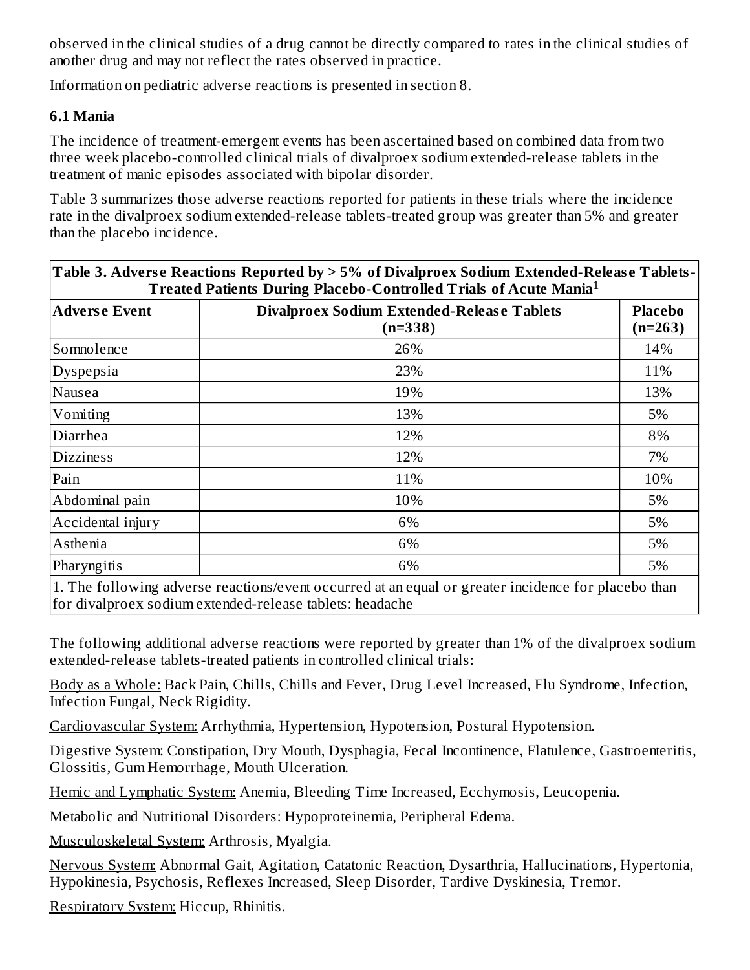observed in the clinical studies of a drug cannot be directly compared to rates in the clinical studies of another drug and may not reflect the rates observed in practice.

Information on pediatric adverse reactions is presented in section 8.

#### **6.1 Mania**

The incidence of treatment-emergent events has been ascertained based on combined data from two three week placebo-controlled clinical trials of divalproex sodium extended-release tablets in the treatment of manic episodes associated with bipolar disorder.

Table 3 summarizes those adverse reactions reported for patients in these trials where the incidence rate in the divalproex sodium extended-release tablets-treated group was greater than 5% and greater than the placebo incidence.

| Table 3. Adverse Reactions Reported by $> 5\%$ of Divalproex Sodium Extended-Release Tablets- $ $<br><b>Treated Patients During Placebo-Controlled Trials of Acute Mania</b> <sup>1</sup> |                                                                                                     |                             |
|-------------------------------------------------------------------------------------------------------------------------------------------------------------------------------------------|-----------------------------------------------------------------------------------------------------|-----------------------------|
| <b>Adverse Event</b>                                                                                                                                                                      | <b>Divalproex Sodium Extended-Release Tablets</b><br>$(n=338)$                                      | <b>Placebo</b><br>$(n=263)$ |
| Somnolence                                                                                                                                                                                | 26%                                                                                                 | 14%                         |
| Dyspepsia                                                                                                                                                                                 | 23%                                                                                                 | 11%                         |
| Nausea                                                                                                                                                                                    | 19%                                                                                                 | 13%                         |
| Vomiting                                                                                                                                                                                  | 13%                                                                                                 | 5%                          |
| Diarrhea                                                                                                                                                                                  | 12%                                                                                                 | 8%                          |
| <b>Dizziness</b>                                                                                                                                                                          | 12%                                                                                                 | 7%                          |
| Pain                                                                                                                                                                                      | 11%                                                                                                 | 10%                         |
| Abdominal pain                                                                                                                                                                            | 10%                                                                                                 | 5%                          |
| Accidental injury                                                                                                                                                                         | 6%                                                                                                  | 5%                          |
| Asthenia                                                                                                                                                                                  | 6%                                                                                                  | 5%                          |
| Pharyngitis                                                                                                                                                                               | 6%                                                                                                  | 5%                          |
|                                                                                                                                                                                           | 1. The following adverse reactions/event occurred at an equal or greater incidence for placebo than |                             |

for divalproex sodium extended-release tablets: headache

The following additional adverse reactions were reported by greater than 1% of the divalproex sodium extended-release tablets-treated patients in controlled clinical trials:

Body as a Whole: Back Pain, Chills, Chills and Fever, Drug Level Increased, Flu Syndrome, Infection, Infection Fungal, Neck Rigidity.

Cardiovascular System: Arrhythmia, Hypertension, Hypotension, Postural Hypotension.

Digestive System: Constipation, Dry Mouth, Dysphagia, Fecal Incontinence, Flatulence, Gastroenteritis, Glossitis, Gum Hemorrhage, Mouth Ulceration.

Hemic and Lymphatic System: Anemia, Bleeding Time Increased, Ecchymosis, Leucopenia.

Metabolic and Nutritional Disorders: Hypoproteinemia, Peripheral Edema.

Musculoskeletal System: Arthrosis, Myalgia.

Nervous System: Abnormal Gait, Agitation, Catatonic Reaction, Dysarthria, Hallucinations, Hypertonia, Hypokinesia, Psychosis, Reflexes Increased, Sleep Disorder, Tardive Dyskinesia, Tremor.

Respiratory System: Hiccup, Rhinitis.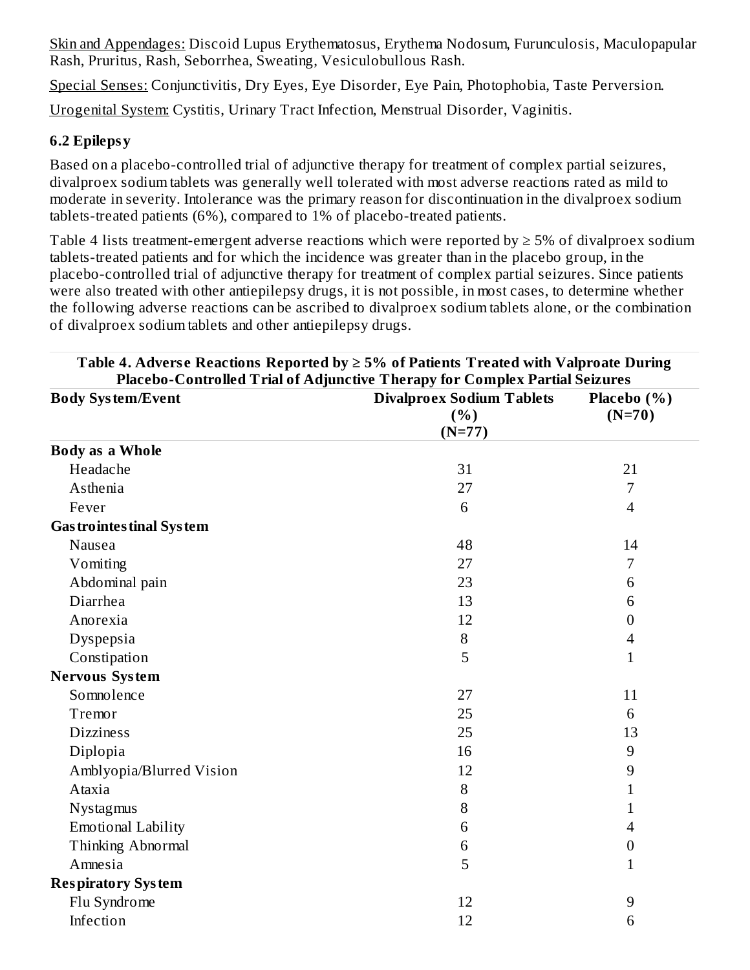Skin and Appendages: Discoid Lupus Erythematosus, Erythema Nodosum, Furunculosis, Maculopapular Rash, Pruritus, Rash, Seborrhea, Sweating, Vesiculobullous Rash.

Special Senses: Conjunctivitis, Dry Eyes, Eye Disorder, Eye Pain, Photophobia, Taste Perversion.

Urogenital System: Cystitis, Urinary Tract Infection, Menstrual Disorder, Vaginitis.

#### **6.2 Epilepsy**

Based on a placebo-controlled trial of adjunctive therapy for treatment of complex partial seizures, divalproex sodium tablets was generally well tolerated with most adverse reactions rated as mild to moderate in severity. Intolerance was the primary reason for discontinuation in the divalproex sodium tablets-treated patients (6%), compared to 1% of placebo-treated patients.

Table 4 lists treatment-emergent adverse reactions which were reported by  $\geq$  5% of divalproex sodium tablets-treated patients and for which the incidence was greater than in the placebo group, in the placebo-controlled trial of adjunctive therapy for treatment of complex partial seizures. Since patients were also treated with other antiepilepsy drugs, it is not possible, in most cases, to determine whether the following adverse reactions can be ascribed to divalproex sodium tablets alone, or the combination of divalproex sodium tablets and other antiepilepsy drugs.

| Placebo-Controlled Trial of Adjunctive Therapy for Complex Partial Seizures<br><b>Body System/Event</b> | <b>Divalproex Sodium Tablets</b> | Placebo (%)      |
|---------------------------------------------------------------------------------------------------------|----------------------------------|------------------|
|                                                                                                         | (%)                              | $(N=70)$         |
|                                                                                                         | $(N=77)$                         |                  |
| <b>Body as a Whole</b>                                                                                  |                                  |                  |
| Headache                                                                                                | 31                               | 21               |
| Asthenia                                                                                                | 27                               | 7                |
| Fever                                                                                                   | 6                                | $\overline{4}$   |
| <b>Gas trointes tinal System</b>                                                                        |                                  |                  |
| Nausea                                                                                                  | 48                               | 14               |
| Vomiting                                                                                                | 27                               | 7                |
| Abdominal pain                                                                                          | 23                               | 6                |
| Diarrhea                                                                                                | 13                               | 6                |
| Anorexia                                                                                                | 12                               | $\boldsymbol{0}$ |
| Dyspepsia                                                                                               | 8                                | $\overline{4}$   |
| Constipation                                                                                            | 5                                | $\mathbf{1}$     |
| <b>Nervous System</b>                                                                                   |                                  |                  |
| Somnolence                                                                                              | 27                               | 11               |
| Tremor                                                                                                  | 25                               | 6                |
| <b>Dizziness</b>                                                                                        | 25                               | 13               |
| Diplopia                                                                                                | 16                               | 9                |
| Amblyopia/Blurred Vision                                                                                | 12                               | $9\,$            |
| Ataxia                                                                                                  | 8                                | $\mathbf{1}$     |
| Nystagmus                                                                                               | 8                                | $\mathbf{1}$     |
| <b>Emotional Lability</b>                                                                               | 6                                | $\overline{4}$   |
| Thinking Abnormal                                                                                       | 6                                | $\boldsymbol{0}$ |
| Amnesia                                                                                                 | 5                                | $\mathbf{1}$     |
| <b>Respiratory System</b>                                                                               |                                  |                  |
| Flu Syndrome                                                                                            | 12                               | 9                |
| Infection                                                                                               | 12                               | 6                |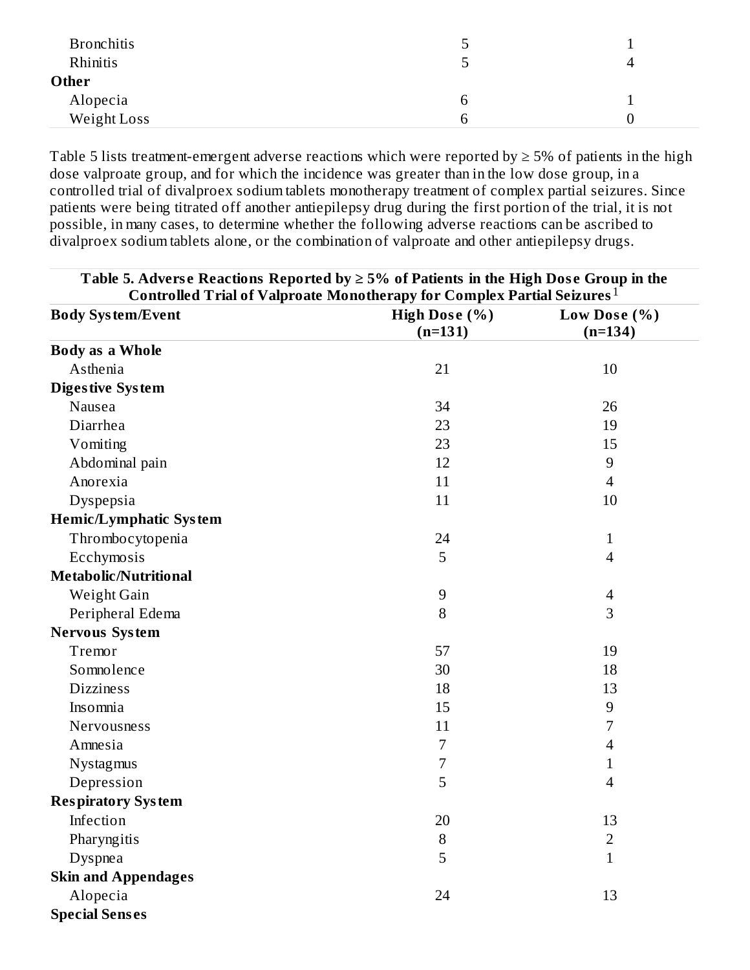| <b>Bronchitis</b> | כ  |  |
|-------------------|----|--|
| Rhinitis          | رس |  |
| Other             |    |  |
| Alopecia          | h  |  |
| Weight Loss       |    |  |

Table 5 lists treatment-emergent adverse reactions which were reported by  $\geq$  5% of patients in the high dose valproate group, and for which the incidence was greater than in the low dose group, in a controlled trial of divalproex sodium tablets monotherapy treatment of complex partial seizures. Since patients were being titrated off another antiepilepsy drug during the first portion of the trial, it is not possible, in many cases, to determine whether the following adverse reactions can be ascribed to divalproex sodium tablets alone, or the combination of valproate and other antiepilepsy drugs.

| Table 5. Adverse Reactions Reported by $\geq$ 5% of Patients in the High Dose Group in the |               |                          |  |
|--------------------------------------------------------------------------------------------|---------------|--------------------------|--|
| Controlled Trial of Valproate Monotherapy for Complex Partial Seizures $^1$                |               |                          |  |
| <b>Body System/Event</b>                                                                   | High Dose (%) | Low Dose $(\% )$         |  |
|                                                                                            | $(n=131)$     | $(n=134)$                |  |
| <b>Body as a Whole</b>                                                                     |               |                          |  |
| Asthenia                                                                                   | 21            | 10                       |  |
| <b>Digestive System</b>                                                                    |               |                          |  |
| Nausea                                                                                     | 34            | 26                       |  |
| Diarrhea                                                                                   | 23            | 19                       |  |
| Vomiting                                                                                   | 23            | 15                       |  |
| Abdominal pain                                                                             | 12            | 9                        |  |
| Anorexia                                                                                   | 11            | $\overline{\mathcal{A}}$ |  |
| Dyspepsia                                                                                  | 11            | 10                       |  |
| <b>Hemic/Lymphatic System</b>                                                              |               |                          |  |
| Thrombocytopenia                                                                           | 24            | $\mathbf{1}$             |  |
| Ecchymosis                                                                                 | 5             | $\overline{4}$           |  |
| <b>Metabolic/Nutritional</b>                                                               |               |                          |  |
| Weight Gain                                                                                | 9             | 4                        |  |
| Peripheral Edema                                                                           | 8             | 3                        |  |
| <b>Nervous System</b>                                                                      |               |                          |  |
| Tremor                                                                                     | 57            | 19                       |  |
| Somnolence                                                                                 | 30            | 18                       |  |
| <b>Dizziness</b>                                                                           | 18            | 13                       |  |
| Insomnia                                                                                   | 15            | $\boldsymbol{9}$         |  |
| Nervousness                                                                                | 11            | 7                        |  |
| Amnesia                                                                                    | 7             | 4                        |  |
| Nystagmus                                                                                  | 7             | 1                        |  |
| Depression                                                                                 | 5             | $\overline{4}$           |  |
| <b>Respiratory System</b>                                                                  |               |                          |  |
| Infection                                                                                  | 20            | 13                       |  |
| Pharyngitis                                                                                | 8             | $\overline{2}$           |  |
| Dyspnea                                                                                    | 5             | $\mathbf{1}$             |  |
| <b>Skin and Appendages</b>                                                                 |               |                          |  |
| Alopecia                                                                                   | 24            | 13                       |  |
| <b>Special Senses</b>                                                                      |               |                          |  |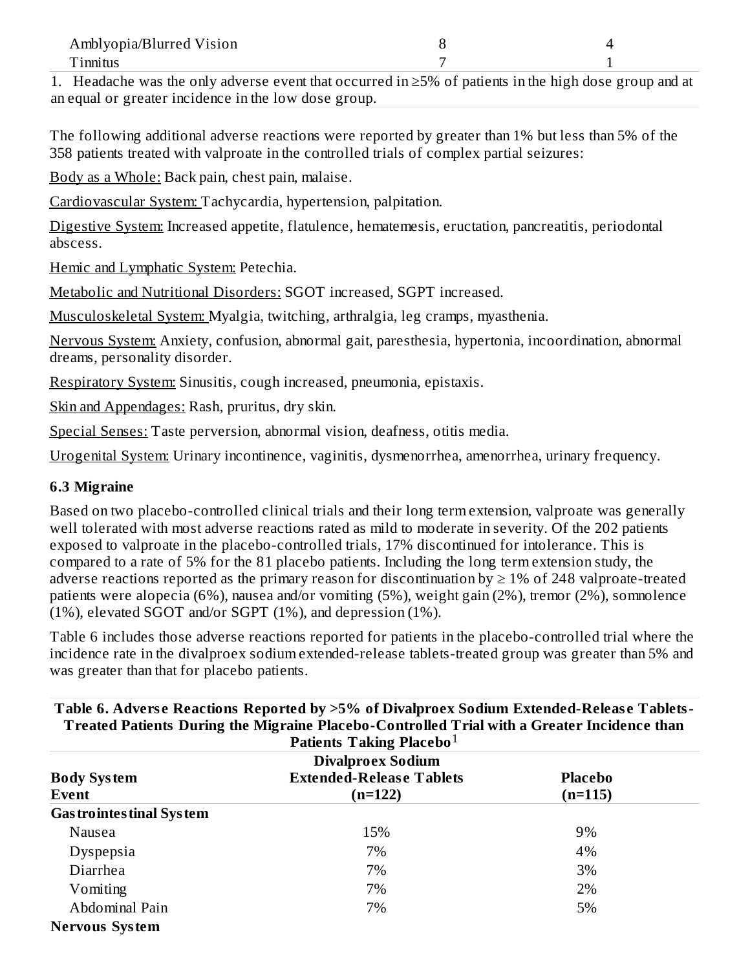| Amblyopia/Blurred Vision |  |
|--------------------------|--|
| Tinnitus                 |  |
| __________<br>_____      |  |

1. Headache was the only adverse event that occurred in ≥5% of patients in the high dose group and at an equal or greater incidence in the low dose group.

The following additional adverse reactions were reported by greater than 1% but less than 5% of the 358 patients treated with valproate in the controlled trials of complex partial seizures:

Body as a Whole: Back pain, chest pain, malaise.

Cardiovascular System: Tachycardia, hypertension, palpitation.

Digestive System: Increased appetite, flatulence, hematemesis, eructation, pancreatitis, periodontal abscess.

Hemic and Lymphatic System: Petechia.

Metabolic and Nutritional Disorders: SGOT increased, SGPT increased.

Musculoskeletal System: Myalgia, twitching, arthralgia, leg cramps, myasthenia.

Nervous System: Anxiety, confusion, abnormal gait, paresthesia, hypertonia, incoordination, abnormal dreams, personality disorder.

Respiratory System: Sinusitis, cough increased, pneumonia, epistaxis.

Skin and Appendages: Rash, pruritus, dry skin.

Special Senses: Taste perversion, abnormal vision, deafness, otitis media.

Urogenital System: Urinary incontinence, vaginitis, dysmenorrhea, amenorrhea, urinary frequency.

#### **6.3 Migraine**

Based on two placebo-controlled clinical trials and their long term extension, valproate was generally well tolerated with most adverse reactions rated as mild to moderate in severity. Of the 202 patients exposed to valproate in the placebo-controlled trials, 17% discontinued for intolerance. This is compared to a rate of 5% for the 81 placebo patients. Including the long term extension study, the adverse reactions reported as the primary reason for discontinuation by  $\geq 1\%$  of 248 valproate-treated patients were alopecia (6%), nausea and/or vomiting (5%), weight gain (2%), tremor (2%), somnolence (1%), elevated SGOT and/or SGPT (1%), and depression (1%).

Table 6 includes those adverse reactions reported for patients in the placebo-controlled trial where the incidence rate in the divalproex sodium extended-release tablets-treated group was greater than 5% and was greater than that for placebo patients.

| Patients Taking Placebo <sup>1</sup><br><b>Divalproex Sodium</b> |                                              |                           |  |
|------------------------------------------------------------------|----------------------------------------------|---------------------------|--|
| <b>Body System</b><br>Event                                      | <b>Extended-Release Tablets</b><br>$(n=122)$ | <b>Placebo</b><br>(n=115) |  |
| <b>Gas trointes tinal System</b>                                 |                                              |                           |  |
| Nausea                                                           | 15%                                          | 9%                        |  |
| Dyspepsia                                                        | 7%                                           | 4%                        |  |
| Diarrhea                                                         | 7%                                           | 3%                        |  |
| Vomiting                                                         | 7%                                           | 2%                        |  |
| Abdominal Pain                                                   | 7%                                           | 5%                        |  |
| <b>Nervous System</b>                                            |                                              |                           |  |

# **Table 6. Advers e Reactions Reported by >5% of Divalproex Sodium Extended-Releas e Tablets-**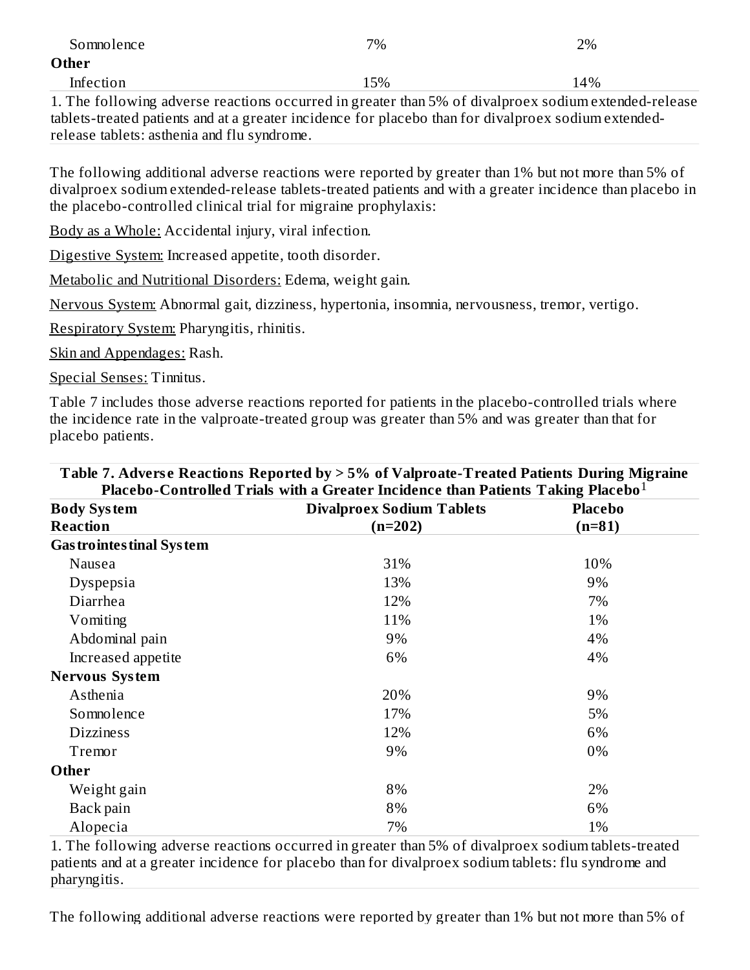| Somnolence                                                                                           | 7%  | 2%     |
|------------------------------------------------------------------------------------------------------|-----|--------|
| Other                                                                                                |     |        |
| Infection                                                                                            | 15% | $14\%$ |
| 1. The following adverse reactions occurred in greater than 5% of divalproex sodium extended-release |     |        |

tablets-treated patients and at a greater incidence for placebo than for divalproex sodium extendedrelease tablets: asthenia and flu syndrome.

The following additional adverse reactions were reported by greater than 1% but not more than 5% of divalproex sodium extended-release tablets-treated patients and with a greater incidence than placebo in the placebo-controlled clinical trial for migraine prophylaxis:

Body as a Whole: Accidental injury, viral infection.

Digestive System: Increased appetite, tooth disorder.

Metabolic and Nutritional Disorders: Edema, weight gain.

Nervous System: Abnormal gait, dizziness, hypertonia, insomnia, nervousness, tremor, vertigo.

Respiratory System: Pharyngitis, rhinitis.

Skin and Appendages: Rash.

Special Senses: Tinnitus.

Table 7 includes those adverse reactions reported for patients in the placebo-controlled trials where the incidence rate in the valproate-treated group was greater than 5% and was greater than that for placebo patients.

| Table 7. Adverse Reactions Reported by > 5% of Valproate-Treated Patients During Migraine<br>Placebo-Controlled Trials with a Greater Incidence than Patients Taking Placebo $1$ |                                  |                            |  |
|----------------------------------------------------------------------------------------------------------------------------------------------------------------------------------|----------------------------------|----------------------------|--|
| <b>Body System</b>                                                                                                                                                               | <b>Divalproex Sodium Tablets</b> | <b>Placebo</b><br>$(n=81)$ |  |
| <b>Reaction</b>                                                                                                                                                                  | $(n=202)$                        |                            |  |
| <b>Gas trointes tinal System</b>                                                                                                                                                 |                                  |                            |  |
| Nausea                                                                                                                                                                           | 31%                              | 10%                        |  |
| Dyspepsia                                                                                                                                                                        | 13%                              | 9%                         |  |
| Diarrhea                                                                                                                                                                         | 12%                              | 7%                         |  |
| Vomiting                                                                                                                                                                         | 11%                              | 1%                         |  |
| Abdominal pain                                                                                                                                                                   | 9%                               | 4%                         |  |
| Increased appetite                                                                                                                                                               | 6%                               | 4%                         |  |
| <b>Nervous System</b>                                                                                                                                                            |                                  |                            |  |
| Asthenia                                                                                                                                                                         | 20%                              | 9%                         |  |
| Somnolence                                                                                                                                                                       | 17%                              | 5%                         |  |
| <b>Dizziness</b>                                                                                                                                                                 | 12%                              | 6%                         |  |
| Tremor                                                                                                                                                                           | 9%                               | 0%                         |  |
| Other                                                                                                                                                                            |                                  |                            |  |
| Weight gain                                                                                                                                                                      | 8%                               | 2%                         |  |
| Back pain                                                                                                                                                                        | 8%                               | 6%                         |  |
| Alopecia                                                                                                                                                                         | 7%                               | 1%                         |  |

1. The following adverse reactions occurred in greater than 5% of divalproex sodium tablets-treated patients and at a greater incidence for placebo than for divalproex sodium tablets: flu syndrome and pharyngitis.

The following additional adverse reactions were reported by greater than 1% but not more than 5% of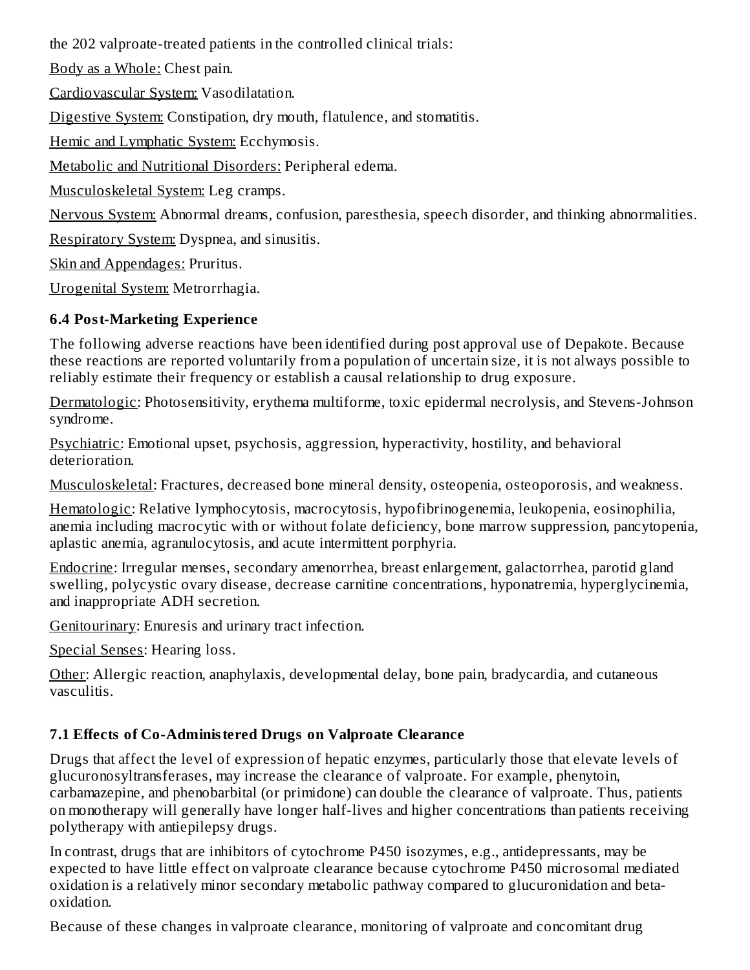the 202 valproate-treated patients in the controlled clinical trials:

Body as a Whole: Chest pain.

Cardiovascular System: Vasodilatation.

Digestive System: Constipation, dry mouth, flatulence, and stomatitis.

Hemic and Lymphatic System: Ecchymosis.

Metabolic and Nutritional Disorders: Peripheral edema.

Musculoskeletal System: Leg cramps.

Nervous System: Abnormal dreams, confusion, paresthesia, speech disorder, and thinking abnormalities.

Respiratory System: Dyspnea, and sinusitis.

Skin and Appendages: Pruritus.

Urogenital System: Metrorrhagia.

#### **6.4 Post-Marketing Experience**

The following adverse reactions have been identified during post approval use of Depakote. Because these reactions are reported voluntarily from a population of uncertain size, it is not always possible to reliably estimate their frequency or establish a causal relationship to drug exposure.

Dermatologic: Photosensitivity, erythema multiforme, toxic epidermal necrolysis, and Stevens-Johnson syndrome.

Psychiatric: Emotional upset, psychosis, aggression, hyperactivity, hostility, and behavioral deterioration.

Musculoskeletal: Fractures, decreased bone mineral density, osteopenia, osteoporosis, and weakness.

Hematologic: Relative lymphocytosis, macrocytosis, hypofibrinogenemia, leukopenia, eosinophilia, anemia including macrocytic with or without folate deficiency, bone marrow suppression, pancytopenia, aplastic anemia, agranulocytosis, and acute intermittent porphyria.

Endocrine: Irregular menses, secondary amenorrhea, breast enlargement, galactorrhea, parotid gland swelling, polycystic ovary disease, decrease carnitine concentrations, hyponatremia, hyperglycinemia, and inappropriate ADH secretion.

Genitourinary: Enuresis and urinary tract infection.

Special Senses: Hearing loss.

Other: Allergic reaction, anaphylaxis, developmental delay, bone pain, bradycardia, and cutaneous vasculitis.

## **7.1 Effects of Co-Administered Drugs on Valproate Clearance**

Drugs that affect the level of expression of hepatic enzymes, particularly those that elevate levels of glucuronosyltransferases, may increase the clearance of valproate. For example, phenytoin, carbamazepine, and phenobarbital (or primidone) can double the clearance of valproate. Thus, patients on monotherapy will generally have longer half-lives and higher concentrations than patients receiving polytherapy with antiepilepsy drugs.

In contrast, drugs that are inhibitors of cytochrome P450 isozymes, e.g., antidepressants, may be expected to have little effect on valproate clearance because cytochrome P450 microsomal mediated oxidation is a relatively minor secondary metabolic pathway compared to glucuronidation and betaoxidation.

Because of these changes in valproate clearance, monitoring of valproate and concomitant drug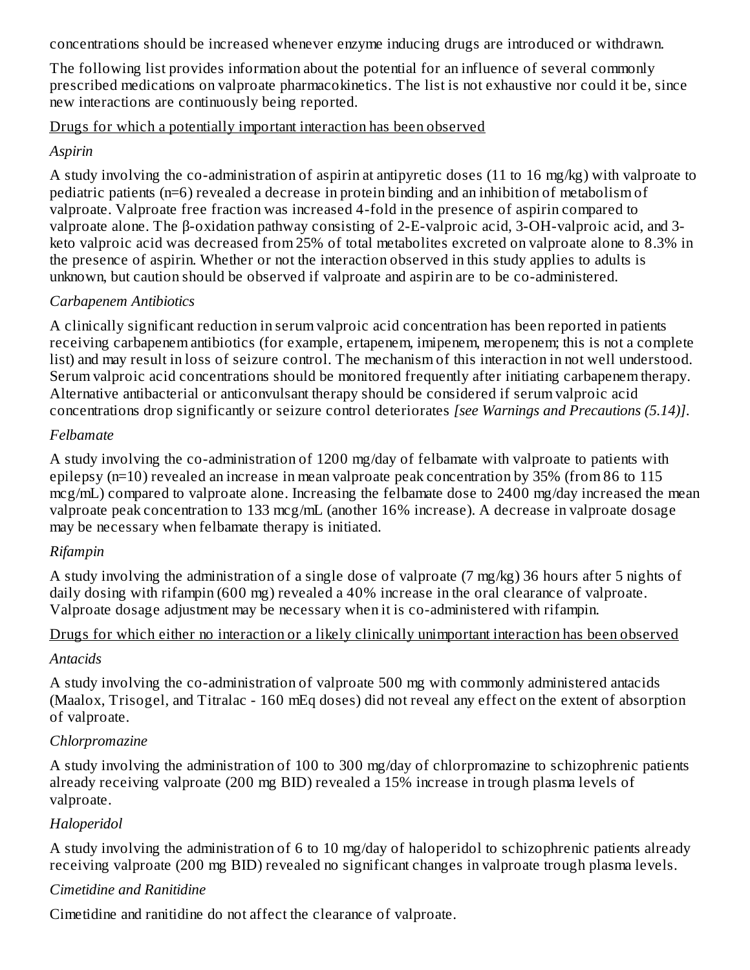concentrations should be increased whenever enzyme inducing drugs are introduced or withdrawn.

The following list provides information about the potential for an influence of several commonly prescribed medications on valproate pharmacokinetics. The list is not exhaustive nor could it be, since new interactions are continuously being reported.

#### Drugs for which a potentially important interaction has been observed

#### *Aspirin*

A study involving the co-administration of aspirin at antipyretic doses (11 to 16 mg/kg) with valproate to pediatric patients (n=6) revealed a decrease in protein binding and an inhibition of metabolism of valproate. Valproate free fraction was increased 4-fold in the presence of aspirin compared to valproate alone. The β-oxidation pathway consisting of 2-E-valproic acid, 3-OH-valproic acid, and 3 keto valproic acid was decreased from 25% of total metabolites excreted on valproate alone to 8.3% in the presence of aspirin. Whether or not the interaction observed in this study applies to adults is unknown, but caution should be observed if valproate and aspirin are to be co-administered.

#### *Carbapenem Antibiotics*

A clinically significant reduction in serum valproic acid concentration has been reported in patients receiving carbapenem antibiotics (for example, ertapenem, imipenem, meropenem; this is not a complete list) and may result in loss of seizure control. The mechanism of this interaction in not well understood. Serum valproic acid concentrations should be monitored frequently after initiating carbapenem therapy. Alternative antibacterial or anticonvulsant therapy should be considered if serum valproic acid concentrations drop significantly or seizure control deteriorates *[see Warnings and Precautions (5.14)]*.

#### *Felbamate*

A study involving the co-administration of 1200 mg/day of felbamate with valproate to patients with epilepsy (n=10) revealed an increase in mean valproate peak concentration by 35% (from 86 to 115 mcg/mL) compared to valproate alone. Increasing the felbamate dose to 2400 mg/day increased the mean valproate peak concentration to 133 mcg/mL (another 16% increase). A decrease in valproate dosage may be necessary when felbamate therapy is initiated.

#### *Rifampin*

A study involving the administration of a single dose of valproate (7 mg/kg) 36 hours after 5 nights of daily dosing with rifampin (600 mg) revealed a 40% increase in the oral clearance of valproate. Valproate dosage adjustment may be necessary when it is co-administered with rifampin.

#### Drugs for which either no interaction or a likely clinically unimportant interaction has been observed

#### *Antacids*

A study involving the co-administration of valproate 500 mg with commonly administered antacids (Maalox, Trisogel, and Titralac - 160 mEq doses) did not reveal any effect on the extent of absorption of valproate.

#### *Chlorpromazine*

A study involving the administration of 100 to 300 mg/day of chlorpromazine to schizophrenic patients already receiving valproate (200 mg BID) revealed a 15% increase in trough plasma levels of valproate.

#### *Haloperidol*

A study involving the administration of 6 to 10 mg/day of haloperidol to schizophrenic patients already receiving valproate (200 mg BID) revealed no significant changes in valproate trough plasma levels.

#### *Cimetidine and Ranitidine*

Cimetidine and ranitidine do not affect the clearance of valproate.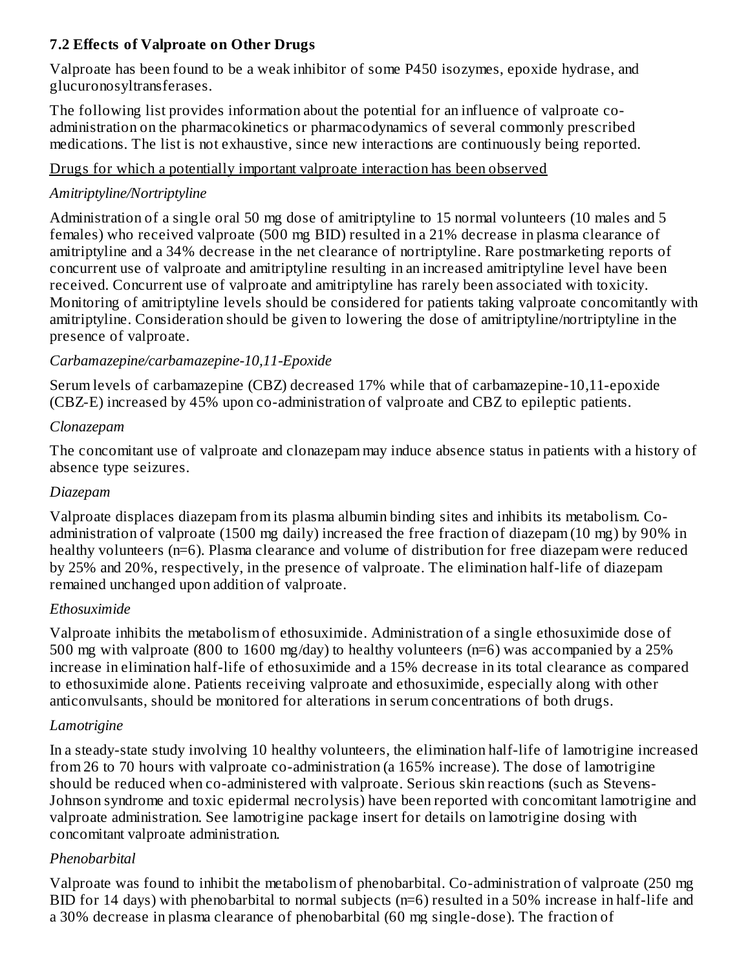#### **7.2 Effects of Valproate on Other Drugs**

Valproate has been found to be a weak inhibitor of some P450 isozymes, epoxide hydrase, and glucuronosyltransferases.

The following list provides information about the potential for an influence of valproate coadministration on the pharmacokinetics or pharmacodynamics of several commonly prescribed medications. The list is not exhaustive, since new interactions are continuously being reported.

#### Drugs for which a potentially important valproate interaction has been observed

#### *Amitriptyline/Nortriptyline*

Administration of a single oral 50 mg dose of amitriptyline to 15 normal volunteers (10 males and 5 females) who received valproate (500 mg BID) resulted in a 21% decrease in plasma clearance of amitriptyline and a 34% decrease in the net clearance of nortriptyline. Rare postmarketing reports of concurrent use of valproate and amitriptyline resulting in an increased amitriptyline level have been received. Concurrent use of valproate and amitriptyline has rarely been associated with toxicity. Monitoring of amitriptyline levels should be considered for patients taking valproate concomitantly with amitriptyline. Consideration should be given to lowering the dose of amitriptyline/nortriptyline in the presence of valproate.

#### *Carbamazepine/carbamazepine-10,11-Epoxide*

Serum levels of carbamazepine (CBZ) decreased 17% while that of carbamazepine-10,11-epoxide (CBZ-E) increased by 45% upon co-administration of valproate and CBZ to epileptic patients.

#### *Clonazepam*

The concomitant use of valproate and clonazepam may induce absence status in patients with a history of absence type seizures.

#### *Diazepam*

Valproate displaces diazepam from its plasma albumin binding sites and inhibits its metabolism. Coadministration of valproate (1500 mg daily) increased the free fraction of diazepam (10 mg) by 90% in healthy volunteers (n=6). Plasma clearance and volume of distribution for free diazepam were reduced by 25% and 20%, respectively, in the presence of valproate. The elimination half-life of diazepam remained unchanged upon addition of valproate.

#### *Ethosuximide*

Valproate inhibits the metabolism of ethosuximide. Administration of a single ethosuximide dose of 500 mg with valproate (800 to 1600 mg/day) to healthy volunteers (n=6) was accompanied by a 25% increase in elimination half-life of ethosuximide and a 15% decrease in its total clearance as compared to ethosuximide alone. Patients receiving valproate and ethosuximide, especially along with other anticonvulsants, should be monitored for alterations in serum concentrations of both drugs.

## *Lamotrigine*

In a steady-state study involving 10 healthy volunteers, the elimination half-life of lamotrigine increased from 26 to 70 hours with valproate co-administration (a 165% increase). The dose of lamotrigine should be reduced when co-administered with valproate. Serious skin reactions (such as Stevens-Johnson syndrome and toxic epidermal necrolysis) have been reported with concomitant lamotrigine and valproate administration. See lamotrigine package insert for details on lamotrigine dosing with concomitant valproate administration.

#### *Phenobarbital*

Valproate was found to inhibit the metabolism of phenobarbital. Co-administration of valproate (250 mg BID for 14 days) with phenobarbital to normal subjects (n=6) resulted in a 50% increase in half-life and a 30% decrease in plasma clearance of phenobarbital (60 mg single-dose). The fraction of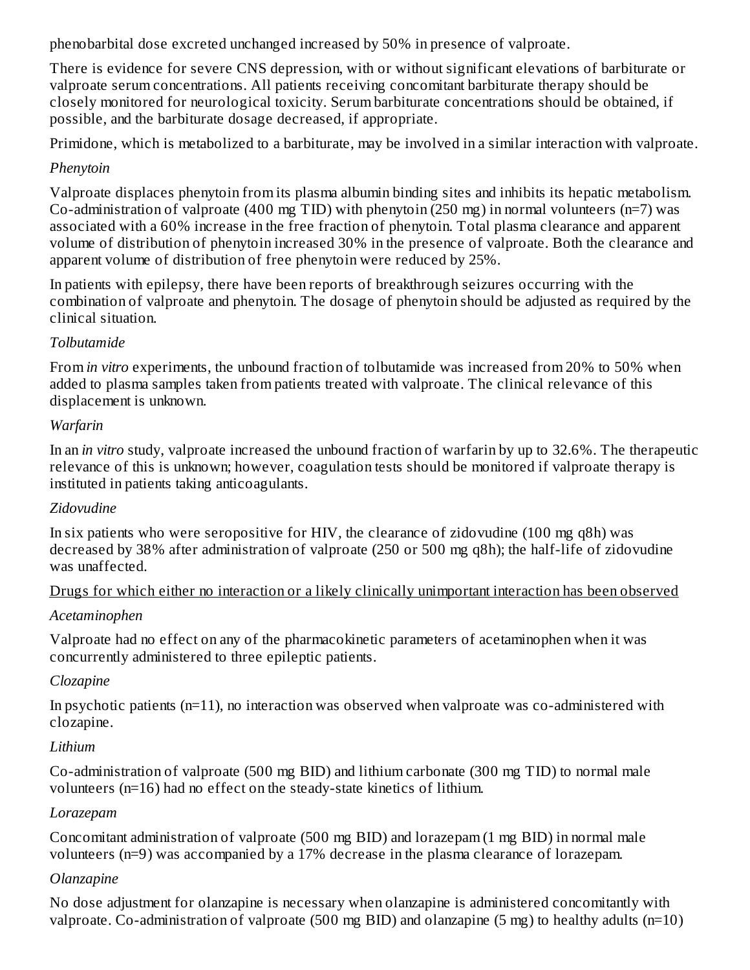phenobarbital dose excreted unchanged increased by 50% in presence of valproate.

There is evidence for severe CNS depression, with or without significant elevations of barbiturate or valproate serum concentrations. All patients receiving concomitant barbiturate therapy should be closely monitored for neurological toxicity. Serum barbiturate concentrations should be obtained, if possible, and the barbiturate dosage decreased, if appropriate.

Primidone, which is metabolized to a barbiturate, may be involved in a similar interaction with valproate.

#### *Phenytoin*

Valproate displaces phenytoin from its plasma albumin binding sites and inhibits its hepatic metabolism. Co-administration of valproate (400 mg TID) with phenytoin (250 mg) in normal volunteers (n=7) was associated with a 60% increase in the free fraction of phenytoin. Total plasma clearance and apparent volume of distribution of phenytoin increased 30% in the presence of valproate. Both the clearance and apparent volume of distribution of free phenytoin were reduced by 25%.

In patients with epilepsy, there have been reports of breakthrough seizures occurring with the combination of valproate and phenytoin. The dosage of phenytoin should be adjusted as required by the clinical situation.

## *Tolbutamide*

From *in vitro* experiments, the unbound fraction of tolbutamide was increased from 20% to 50% when added to plasma samples taken from patients treated with valproate. The clinical relevance of this displacement is unknown.

## *Warfarin*

In an *in vitro* study, valproate increased the unbound fraction of warfarin by up to 32.6%. The therapeutic relevance of this is unknown; however, coagulation tests should be monitored if valproate therapy is instituted in patients taking anticoagulants.

## *Zidovudine*

In six patients who were seropositive for HIV, the clearance of zidovudine (100 mg q8h) was decreased by 38% after administration of valproate (250 or 500 mg q8h); the half-life of zidovudine was unaffected.

## Drugs for which either no interaction or a likely clinically unimportant interaction has been observed

## *Acetaminophen*

Valproate had no effect on any of the pharmacokinetic parameters of acetaminophen when it was concurrently administered to three epileptic patients.

## *Clozapine*

In psychotic patients (n=11), no interaction was observed when valproate was co-administered with clozapine.

## *Lithium*

Co-administration of valproate (500 mg BID) and lithium carbonate (300 mg TID) to normal male volunteers (n=16) had no effect on the steady-state kinetics of lithium.

## *Lorazepam*

Concomitant administration of valproate (500 mg BID) and lorazepam (1 mg BID) in normal male volunteers (n=9) was accompanied by a 17% decrease in the plasma clearance of lorazepam.

## *Olanzapine*

No dose adjustment for olanzapine is necessary when olanzapine is administered concomitantly with valproate. Co-administration of valproate (500 mg BID) and olanzapine (5 mg) to healthy adults (n=10)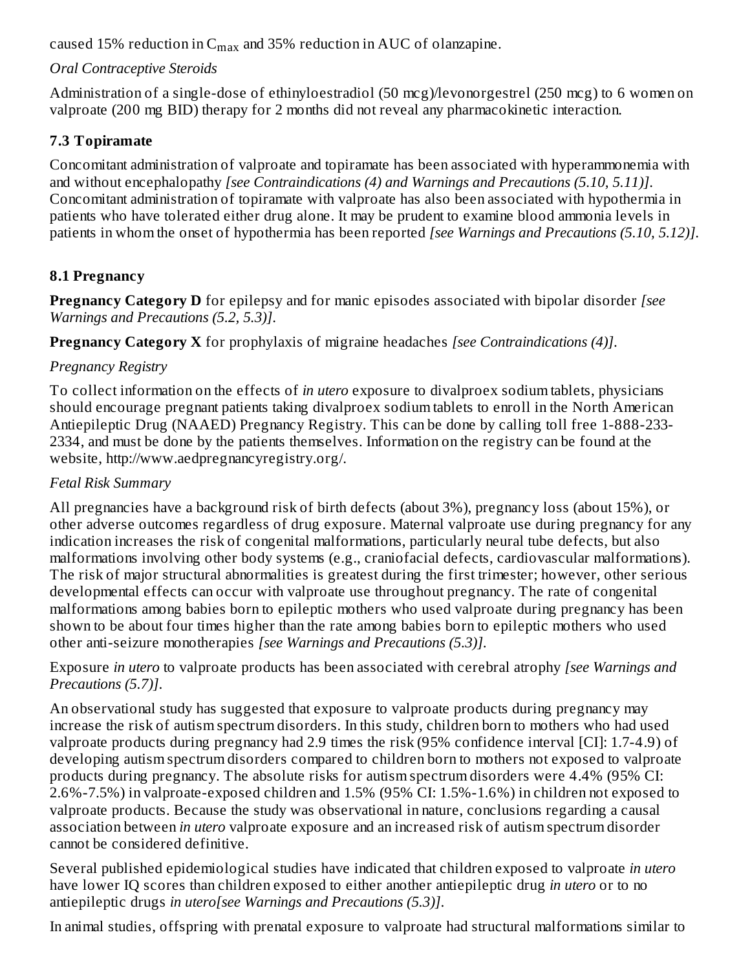caused 15% reduction in  $C_{max}$  and 35% reduction in AUC of olanzapine.

## *Oral Contraceptive Steroids*

Administration of a single-dose of ethinyloestradiol (50 mcg)/levonorgestrel (250 mcg) to 6 women on valproate (200 mg BID) therapy for 2 months did not reveal any pharmacokinetic interaction.

## **7.3 Topiramate**

Concomitant administration of valproate and topiramate has been associated with hyperammonemia with and without encephalopathy *[see Contraindications (4) and Warnings and Precautions (5.10, 5.11)]*. Concomitant administration of topiramate with valproate has also been associated with hypothermia in patients who have tolerated either drug alone. It may be prudent to examine blood ammonia levels in patients in whom the onset of hypothermia has been reported *[see Warnings and Precautions (5.10, 5.12)]*.

## **8.1 Pregnancy**

**Pregnancy Category D** for epilepsy and for manic episodes associated with bipolar disorder *[see Warnings and Precautions (5.2, 5.3)]*.

**Pregnancy Category X** for prophylaxis of migraine headaches *[see Contraindications (4)]*.

## *Pregnancy Registry*

To collect information on the effects of *in utero* exposure to divalproex sodium tablets, physicians should encourage pregnant patients taking divalproex sodium tablets to enroll in the North American Antiepileptic Drug (NAAED) Pregnancy Registry. This can be done by calling toll free 1-888-233- 2334, and must be done by the patients themselves. Information on the registry can be found at the website, http://www.aedpregnancyregistry.org/.

#### *Fetal Risk Summary*

All pregnancies have a background risk of birth defects (about 3%), pregnancy loss (about 15%), or other adverse outcomes regardless of drug exposure. Maternal valproate use during pregnancy for any indication increases the risk of congenital malformations, particularly neural tube defects, but also malformations involving other body systems (e.g., craniofacial defects, cardiovascular malformations). The risk of major structural abnormalities is greatest during the first trimester; however, other serious developmental effects can occur with valproate use throughout pregnancy. The rate of congenital malformations among babies born to epileptic mothers who used valproate during pregnancy has been shown to be about four times higher than the rate among babies born to epileptic mothers who used other anti-seizure monotherapies *[see Warnings and Precautions (5.3)]*.

Exposure *in utero* to valproate products has been associated with cerebral atrophy *[see Warnings and Precautions (5.7)]*.

An observational study has suggested that exposure to valproate products during pregnancy may increase the risk of autism spectrum disorders. In this study, children born to mothers who had used valproate products during pregnancy had 2.9 times the risk (95% confidence interval [CI]: 1.7-4.9) of developing autism spectrum disorders compared to children born to mothers not exposed to valproate products during pregnancy. The absolute risks for autism spectrum disorders were 4.4% (95% CI: 2.6%-7.5%) in valproate-exposed children and 1.5% (95% CI: 1.5%-1.6%) in children not exposed to valproate products. Because the study was observational in nature, conclusions regarding a causal association between *in utero* valproate exposure and an increased risk of autism spectrum disorder cannot be considered definitive.

Several published epidemiological studies have indicated that children exposed to valproate *in utero* have lower IQ scores than children exposed to either another antiepileptic drug *in utero* or to no antiepileptic drugs *in utero[see Warnings and Precautions (5.3)]*.

In animal studies, offspring with prenatal exposure to valproate had structural malformations similar to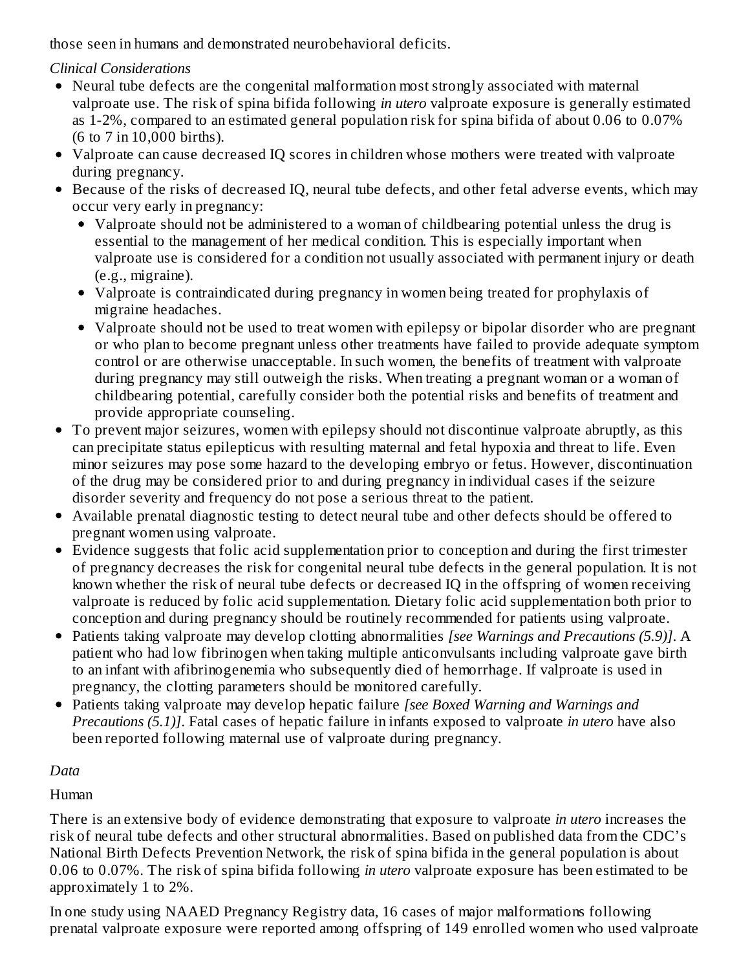those seen in humans and demonstrated neurobehavioral deficits.

## *Clinical Considerations*

- Neural tube defects are the congenital malformation most strongly associated with maternal valproate use. The risk of spina bifida following *in utero* valproate exposure is generally estimated as 1-2%, compared to an estimated general population risk for spina bifida of about 0.06 to 0.07% (6 to 7 in 10,000 births).
- Valproate can cause decreased IQ scores in children whose mothers were treated with valproate during pregnancy.
- Because of the risks of decreased IQ, neural tube defects, and other fetal adverse events, which may occur very early in pregnancy:
	- Valproate should not be administered to a woman of childbearing potential unless the drug is essential to the management of her medical condition. This is especially important when valproate use is considered for a condition not usually associated with permanent injury or death (e.g., migraine).
	- Valproate is contraindicated during pregnancy in women being treated for prophylaxis of migraine headaches.
	- Valproate should not be used to treat women with epilepsy or bipolar disorder who are pregnant or who plan to become pregnant unless other treatments have failed to provide adequate symptom control or are otherwise unacceptable. In such women, the benefits of treatment with valproate during pregnancy may still outweigh the risks. When treating a pregnant woman or a woman of childbearing potential, carefully consider both the potential risks and benefits of treatment and provide appropriate counseling.
- To prevent major seizures, women with epilepsy should not discontinue valproate abruptly, as this can precipitate status epilepticus with resulting maternal and fetal hypoxia and threat to life. Even minor seizures may pose some hazard to the developing embryo or fetus. However, discontinuation of the drug may be considered prior to and during pregnancy in individual cases if the seizure disorder severity and frequency do not pose a serious threat to the patient.
- Available prenatal diagnostic testing to detect neural tube and other defects should be offered to pregnant women using valproate.
- Evidence suggests that folic acid supplementation prior to conception and during the first trimester of pregnancy decreases the risk for congenital neural tube defects in the general population. It is not known whether the risk of neural tube defects or decreased IQ in the offspring of women receiving valproate is reduced by folic acid supplementation. Dietary folic acid supplementation both prior to conception and during pregnancy should be routinely recommended for patients using valproate.
- Patients taking valproate may develop clotting abnormalities *[see Warnings and Precautions (5.9)]*. A patient who had low fibrinogen when taking multiple anticonvulsants including valproate gave birth to an infant with afibrinogenemia who subsequently died of hemorrhage. If valproate is used in pregnancy, the clotting parameters should be monitored carefully.
- Patients taking valproate may develop hepatic failure *[see Boxed Warning and Warnings and Precautions (5.1)]*. Fatal cases of hepatic failure in infants exposed to valproate *in utero* have also been reported following maternal use of valproate during pregnancy.

# *Data*

## Human

There is an extensive body of evidence demonstrating that exposure to valproate *in utero* increases the risk of neural tube defects and other structural abnormalities. Based on published data from the CDC's National Birth Defects Prevention Network, the risk of spina bifida in the general population is about 0.06 to 0.07%. The risk of spina bifida following *in utero* valproate exposure has been estimated to be approximately 1 to 2%.

In one study using NAAED Pregnancy Registry data, 16 cases of major malformations following prenatal valproate exposure were reported among offspring of 149 enrolled women who used valproate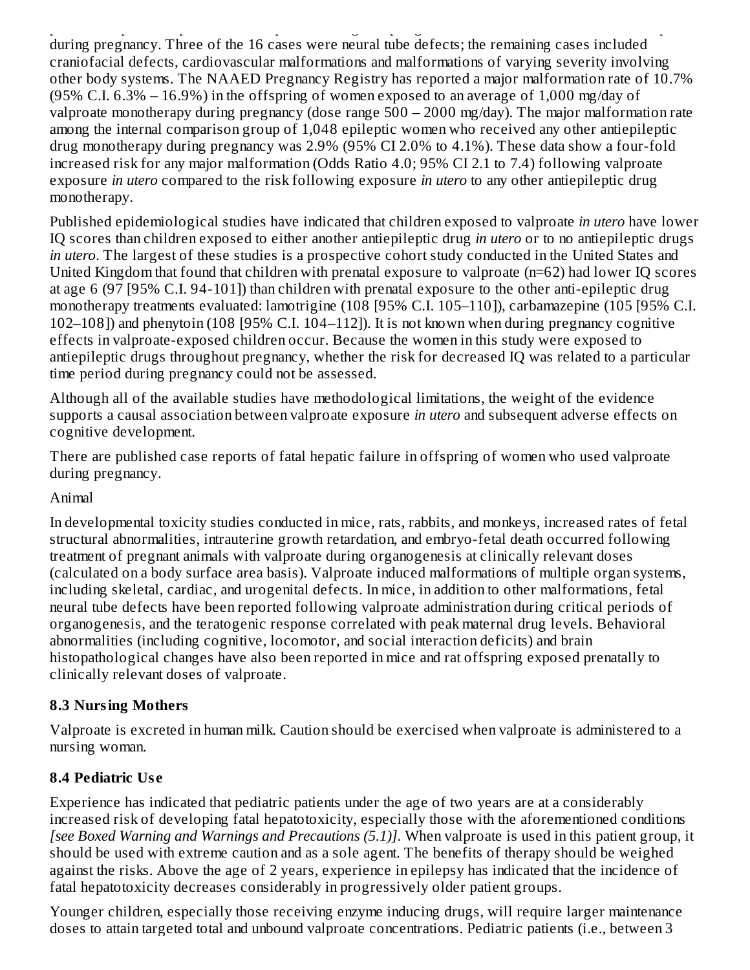prenatal valproate exposure were reported among offspring of 149 enrolled women who used valproate during pregnancy. Three of the 16 cases were neural tube defects; the remaining cases included craniofacial defects, cardiovascular malformations and malformations of varying severity involving other body systems. The NAAED Pregnancy Registry has reported a major malformation rate of 10.7% (95% C.I.  $6.3\%$  –  $16.9\%$ ) in the offspring of women exposed to an average of 1,000 mg/day of valproate monotherapy during pregnancy (dose range 500 – 2000 mg/day). The major malformation rate among the internal comparison group of 1,048 epileptic women who received any other antiepileptic drug monotherapy during pregnancy was 2.9% (95% CI 2.0% to 4.1%). These data show a four-fold increased risk for any major malformation (Odds Ratio 4.0; 95% CI 2.1 to 7.4) following valproate exposure *in utero* compared to the risk following exposure *in utero* to any other antiepileptic drug monotherapy.

Published epidemiological studies have indicated that children exposed to valproate *in utero* have lower IQ scores than children exposed to either another antiepileptic drug *in utero* or to no antiepileptic drugs *in utero*. The largest of these studies is a prospective cohort study conducted in the United States and United Kingdom that found that children with prenatal exposure to valproate (n=62) had lower IQ scores at age 6 (97 [95% C.I. 94-101]) than children with prenatal exposure to the other anti-epileptic drug monotherapy treatments evaluated: lamotrigine (108 [95% C.I. 105–110]), carbamazepine (105 [95% C.I. 102–108]) and phenytoin (108 [95% C.I. 104–112]). It is not known when during pregnancy cognitive effects in valproate-exposed children occur. Because the women in this study were exposed to antiepileptic drugs throughout pregnancy, whether the risk for decreased IQ was related to a particular time period during pregnancy could not be assessed.

Although all of the available studies have methodological limitations, the weight of the evidence supports a causal association between valproate exposure *in utero* and subsequent adverse effects on cognitive development.

There are published case reports of fatal hepatic failure in offspring of women who used valproate during pregnancy.

#### Animal

In developmental toxicity studies conducted in mice, rats, rabbits, and monkeys, increased rates of fetal structural abnormalities, intrauterine growth retardation, and embryo-fetal death occurred following treatment of pregnant animals with valproate during organogenesis at clinically relevant doses (calculated on a body surface area basis). Valproate induced malformations of multiple organ systems, including skeletal, cardiac, and urogenital defects. In mice, in addition to other malformations, fetal neural tube defects have been reported following valproate administration during critical periods of organogenesis, and the teratogenic response correlated with peak maternal drug levels. Behavioral abnormalities (including cognitive, locomotor, and social interaction deficits) and brain histopathological changes have also been reported in mice and rat offspring exposed prenatally to clinically relevant doses of valproate.

#### **8.3 Nursing Mothers**

Valproate is excreted in human milk. Caution should be exercised when valproate is administered to a nursing woman.

#### **8.4 Pediatric Us e**

Experience has indicated that pediatric patients under the age of two years are at a considerably increased risk of developing fatal hepatotoxicity, especially those with the aforementioned conditions *[see Boxed Warning and Warnings and Precautions (5.1)]*. When valproate is used in this patient group, it should be used with extreme caution and as a sole agent. The benefits of therapy should be weighed against the risks. Above the age of 2 years, experience in epilepsy has indicated that the incidence of fatal hepatotoxicity decreases considerably in progressively older patient groups.

Younger children, especially those receiving enzyme inducing drugs, will require larger maintenance doses to attain targeted total and unbound valproate concentrations. Pediatric patients (i.e., between 3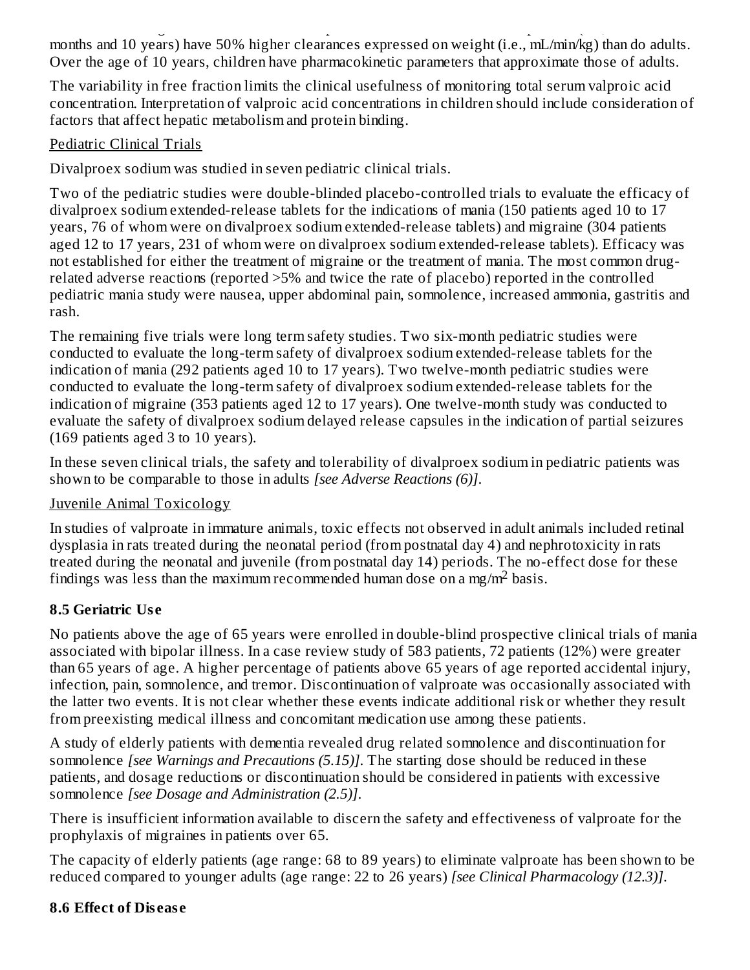doses to attain targeted total and unbound valproate concentrations. Pediatric patients (i.e., between 3 months and 10 years) have 50% higher clearances expressed on weight (i.e., mL/min/kg) than do adults. Over the age of 10 years, children have pharmacokinetic parameters that approximate those of adults.

The variability in free fraction limits the clinical usefulness of monitoring total serum valproic acid concentration. Interpretation of valproic acid concentrations in children should include consideration of factors that affect hepatic metabolism and protein binding.

## Pediatric Clinical Trials

Divalproex sodium was studied in seven pediatric clinical trials.

Two of the pediatric studies were double-blinded placebo-controlled trials to evaluate the efficacy of divalproex sodium extended-release tablets for the indications of mania (150 patients aged 10 to 17 years, 76 of whom were on divalproex sodium extended-release tablets) and migraine (304 patients aged 12 to 17 years, 231 of whom were on divalproex sodium extended-release tablets). Efficacy was not established for either the treatment of migraine or the treatment of mania. The most common drugrelated adverse reactions (reported >5% and twice the rate of placebo) reported in the controlled pediatric mania study were nausea, upper abdominal pain, somnolence, increased ammonia, gastritis and rash.

The remaining five trials were long term safety studies. Two six-month pediatric studies were conducted to evaluate the long-term safety of divalproex sodium extended-release tablets for the indication of mania (292 patients aged 10 to 17 years). Two twelve-month pediatric studies were conducted to evaluate the long-term safety of divalproex sodium extended-release tablets for the indication of migraine (353 patients aged 12 to 17 years). One twelve-month study was conducted to evaluate the safety of divalproex sodium delayed release capsules in the indication of partial seizures (169 patients aged 3 to 10 years).

In these seven clinical trials, the safety and tolerability of divalproex sodium in pediatric patients was shown to be comparable to those in adults *[see Adverse Reactions (6)]*.

## Juvenile Animal Toxicology

In studies of valproate in immature animals, toxic effects not observed in adult animals included retinal dysplasia in rats treated during the neonatal period (from postnatal day 4) and nephrotoxicity in rats treated during the neonatal and juvenile (from postnatal day 14) periods. The no-effect dose for these findings was less than the maximum recommended human dose on a mg/m<sup>2</sup> basis.

# **8.5 Geriatric Us e**

No patients above the age of 65 years were enrolled in double-blind prospective clinical trials of mania associated with bipolar illness. In a case review study of 583 patients, 72 patients (12%) were greater than 65 years of age. A higher percentage of patients above 65 years of age reported accidental injury, infection, pain, somnolence, and tremor. Discontinuation of valproate was occasionally associated with the latter two events. It is not clear whether these events indicate additional risk or whether they result from preexisting medical illness and concomitant medication use among these patients.

A study of elderly patients with dementia revealed drug related somnolence and discontinuation for somnolence *[see Warnings and Precautions (5.15)]*. The starting dose should be reduced in these patients, and dosage reductions or discontinuation should be considered in patients with excessive somnolence *[see Dosage and Administration (2.5)]*.

There is insufficient information available to discern the safety and effectiveness of valproate for the prophylaxis of migraines in patients over 65.

The capacity of elderly patients (age range: 68 to 89 years) to eliminate valproate has been shown to be reduced compared to younger adults (age range: 22 to 26 years) *[see Clinical Pharmacology (12.3)]*.

## **8.6 Effect of Dis eas e**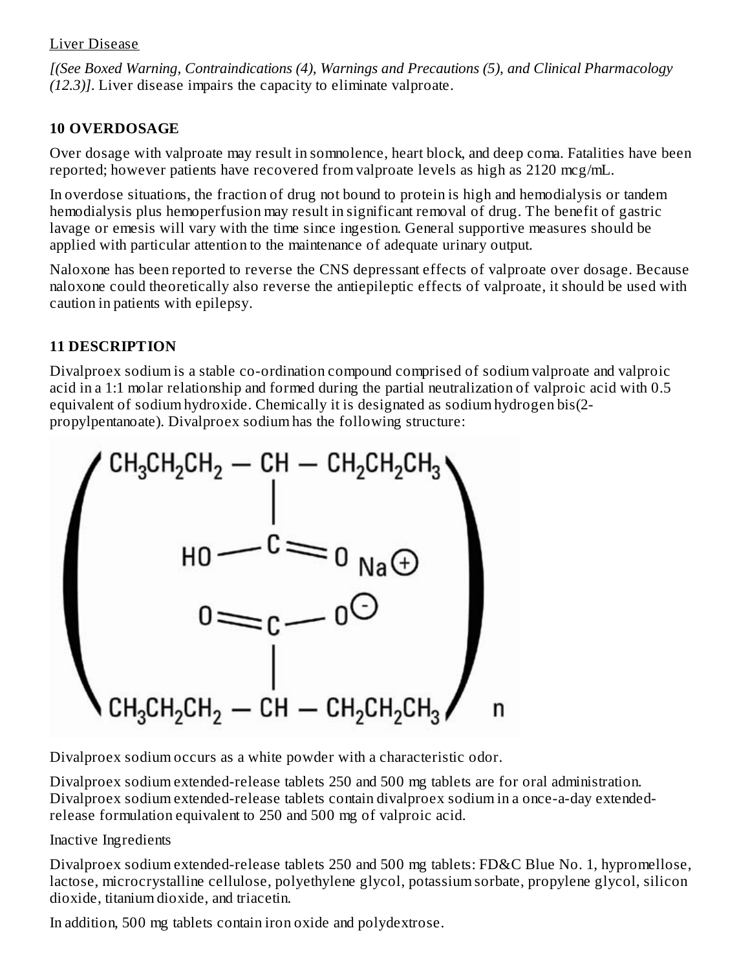#### Liver Disease

*[(See Boxed Warning, Contraindications (4), Warnings and Precautions (5), and Clinical Pharmacology (12.3)]*. Liver disease impairs the capacity to eliminate valproate.

## **10 OVERDOSAGE**

Over dosage with valproate may result in somnolence, heart block, and deep coma. Fatalities have been reported; however patients have recovered from valproate levels as high as 2120 mcg/mL.

In overdose situations, the fraction of drug not bound to protein is high and hemodialysis or tandem hemodialysis plus hemoperfusion may result in significant removal of drug. The benefit of gastric lavage or emesis will vary with the time since ingestion. General supportive measures should be applied with particular attention to the maintenance of adequate urinary output.

Naloxone has been reported to reverse the CNS depressant effects of valproate over dosage. Because naloxone could theoretically also reverse the antiepileptic effects of valproate, it should be used with caution in patients with epilepsy.

# **11 DESCRIPTION**

Divalproex sodium is a stable co-ordination compound comprised of sodium valproate and valproic acid in a 1:1 molar relationship and formed during the partial neutralization of valproic acid with 0.5 equivalent of sodium hydroxide. Chemically it is designated as sodium hydrogen bis(2 propylpentanoate). Divalproex sodium has the following structure:



Divalproex sodium occurs as a white powder with a characteristic odor.

Divalproex sodium extended-release tablets 250 and 500 mg tablets are for oral administration. Divalproex sodium extended-release tablets contain divalproex sodium in a once-a-day extendedrelease formulation equivalent to 250 and 500 mg of valproic acid.

## Inactive Ingredients

Divalproex sodium extended-release tablets 250 and 500 mg tablets: FD&C Blue No. 1, hypromellose, lactose, microcrystalline cellulose, polyethylene glycol, potassium sorbate, propylene glycol, silicon dioxide, titanium dioxide, and triacetin.

In addition, 500 mg tablets contain iron oxide and polydextrose.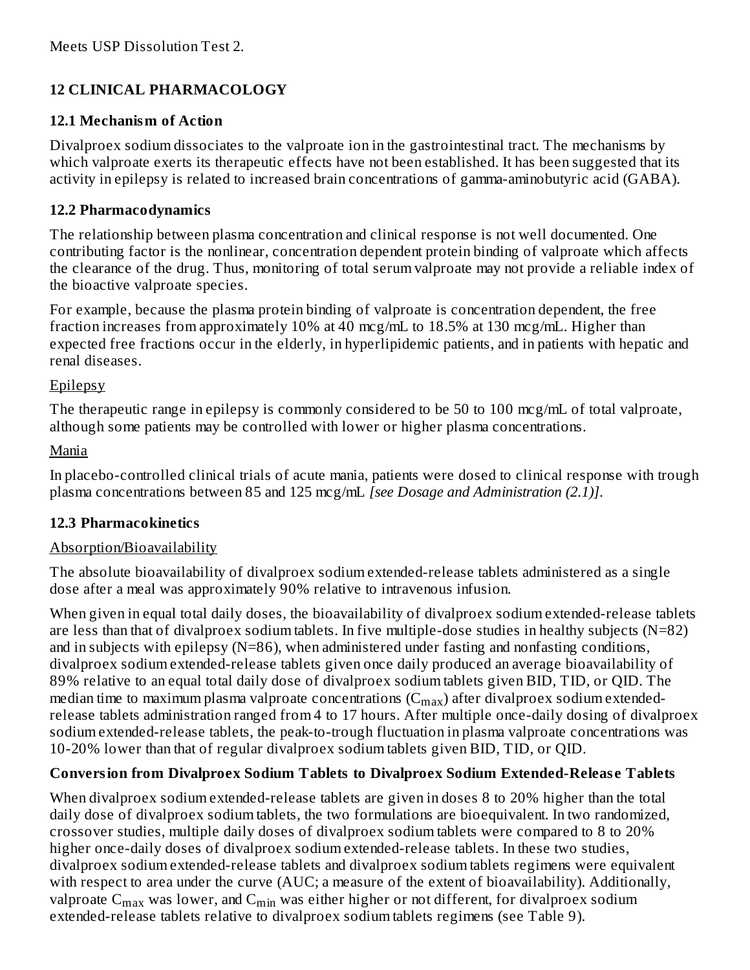## **12 CLINICAL PHARMACOLOGY**

#### **12.1 Mechanism of Action**

Divalproex sodium dissociates to the valproate ion in the gastrointestinal tract. The mechanisms by which valproate exerts its therapeutic effects have not been established. It has been suggested that its activity in epilepsy is related to increased brain concentrations of gamma-aminobutyric acid (GABA).

#### **12.2 Pharmacodynamics**

The relationship between plasma concentration and clinical response is not well documented. One contributing factor is the nonlinear, concentration dependent protein binding of valproate which affects the clearance of the drug. Thus, monitoring of total serum valproate may not provide a reliable index of the bioactive valproate species.

For example, because the plasma protein binding of valproate is concentration dependent, the free fraction increases from approximately 10% at 40 mcg/mL to 18.5% at 130 mcg/mL. Higher than expected free fractions occur in the elderly, in hyperlipidemic patients, and in patients with hepatic and renal diseases.

#### Epilepsy

The therapeutic range in epilepsy is commonly considered to be 50 to 100 mcg/mL of total valproate, although some patients may be controlled with lower or higher plasma concentrations.

#### Mania

In placebo-controlled clinical trials of acute mania, patients were dosed to clinical response with trough plasma concentrations between 85 and 125 mcg/mL *[see Dosage and Administration (2.1)]*.

## **12.3 Pharmacokinetics**

## Absorption/Bioavailability

The absolute bioavailability of divalproex sodium extended-release tablets administered as a single dose after a meal was approximately 90% relative to intravenous infusion.

When given in equal total daily doses, the bioavailability of divalproex sodium extended-release tablets are less than that of divalproex sodium tablets. In five multiple-dose studies in healthy subjects (N=82) and in subjects with epilepsy (N=86), when administered under fasting and nonfasting conditions, divalproex sodium extended-release tablets given once daily produced an average bioavailability of 89% relative to an equal total daily dose of divalproex sodium tablets given BID, TID, or QID. The median time to maximum plasma valproate concentrations ( $\rm C_{max}$ ) after divalproex sodium extendedrelease tablets administration ranged from 4 to 17 hours. After multiple once-daily dosing of divalproex sodium extended-release tablets, the peak-to-trough fluctuation in plasma valproate concentrations was 10-20% lower than that of regular divalproex sodium tablets given BID, TID, or QID.

## **Conversion from Divalproex Sodium Tablets to Divalproex Sodium Extended-Releas e Tablets**

When divalproex sodium extended-release tablets are given in doses 8 to 20% higher than the total daily dose of divalproex sodium tablets, the two formulations are bioequivalent. In two randomized, crossover studies, multiple daily doses of divalproex sodium tablets were compared to 8 to 20% higher once-daily doses of divalproex sodium extended-release tablets. In these two studies, divalproex sodium extended-release tablets and divalproex sodium tablets regimens were equivalent with respect to area under the curve (AUC; a measure of the extent of bioavailability). Additionally, valproate  $\mathsf{C_{max}}$  was lower, and  $\mathsf{C_{min}}$  was either higher or not different, for divalproex sodium extended-release tablets relative to divalproex sodium tablets regimens (see Table 9).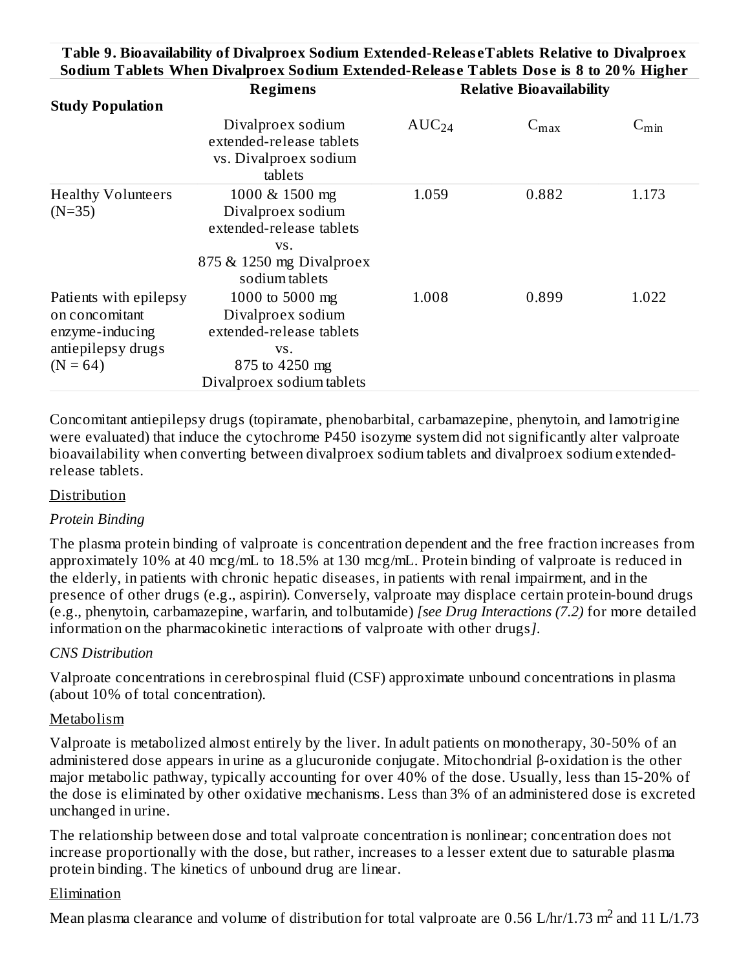#### **Table 9. Bioavailability of Divalproex Sodium Extended-Releas eTablets Relative to Divalproex Sodium Tablets When Divalproex Sodium Extended-Releas e Tablets Dos e is 8 to 20% Higher**

|                                                                                                 | <b>Regimens</b>                                                                                                        | <b>Relative Bioavailability</b> |                  |            |
|-------------------------------------------------------------------------------------------------|------------------------------------------------------------------------------------------------------------------------|---------------------------------|------------------|------------|
| <b>Study Population</b>                                                                         |                                                                                                                        |                                 |                  |            |
|                                                                                                 | Divalproex sodium<br>extended-release tablets<br>vs. Divalproex sodium<br>tablets                                      | $AUC_{24}$                      | $C_{\text{max}}$ | $C_{\min}$ |
| <b>Healthy Volunteers</b><br>$(N=35)$                                                           | 1000 & 1500 mg<br>Divalproex sodium<br>extended-release tablets<br>VS.<br>875 & 1250 mg Divalproex<br>sodium tablets   | 1.059                           | 0.882            | 1.173      |
| Patients with epilepsy<br>on concomitant<br>enzyme-inducing<br>antiepilepsy drugs<br>$(N = 64)$ | 1000 to 5000 mg<br>Divalproex sodium<br>extended-release tablets<br>VS.<br>875 to 4250 mg<br>Divalproex sodium tablets | 1.008                           | 0.899            | 1.022      |

Concomitant antiepilepsy drugs (topiramate, phenobarbital, carbamazepine, phenytoin, and lamotrigine were evaluated) that induce the cytochrome P450 isozyme system did not significantly alter valproate bioavailability when converting between divalproex sodium tablets and divalproex sodium extendedrelease tablets.

#### Distribution

#### *Protein Binding*

The plasma protein binding of valproate is concentration dependent and the free fraction increases from approximately 10% at 40 mcg/mL to 18.5% at 130 mcg/mL. Protein binding of valproate is reduced in the elderly, in patients with chronic hepatic diseases, in patients with renal impairment, and in the presence of other drugs (e.g., aspirin). Conversely, valproate may displace certain protein-bound drugs (e.g., phenytoin, carbamazepine, warfarin, and tolbutamide) *[see Drug Interactions (7.2)* for more detailed information on the pharmacokinetic interactions of valproate with other drugs*]*.

#### *CNS Distribution*

Valproate concentrations in cerebrospinal fluid (CSF) approximate unbound concentrations in plasma (about 10% of total concentration).

#### Metabolism

Valproate is metabolized almost entirely by the liver. In adult patients on monotherapy, 30-50% of an administered dose appears in urine as a glucuronide conjugate. Mitochondrial β-oxidation is the other major metabolic pathway, typically accounting for over 40% of the dose. Usually, less than 15-20% of the dose is eliminated by other oxidative mechanisms. Less than 3% of an administered dose is excreted unchanged in urine.

The relationship between dose and total valproate concentration is nonlinear; concentration does not increase proportionally with the dose, but rather, increases to a lesser extent due to saturable plasma protein binding. The kinetics of unbound drug are linear.

#### Elimination

Mean plasma clearance and volume of distribution for total valproate are 0.56 L/hr/1.73  $m^2$  and 11 L/1.73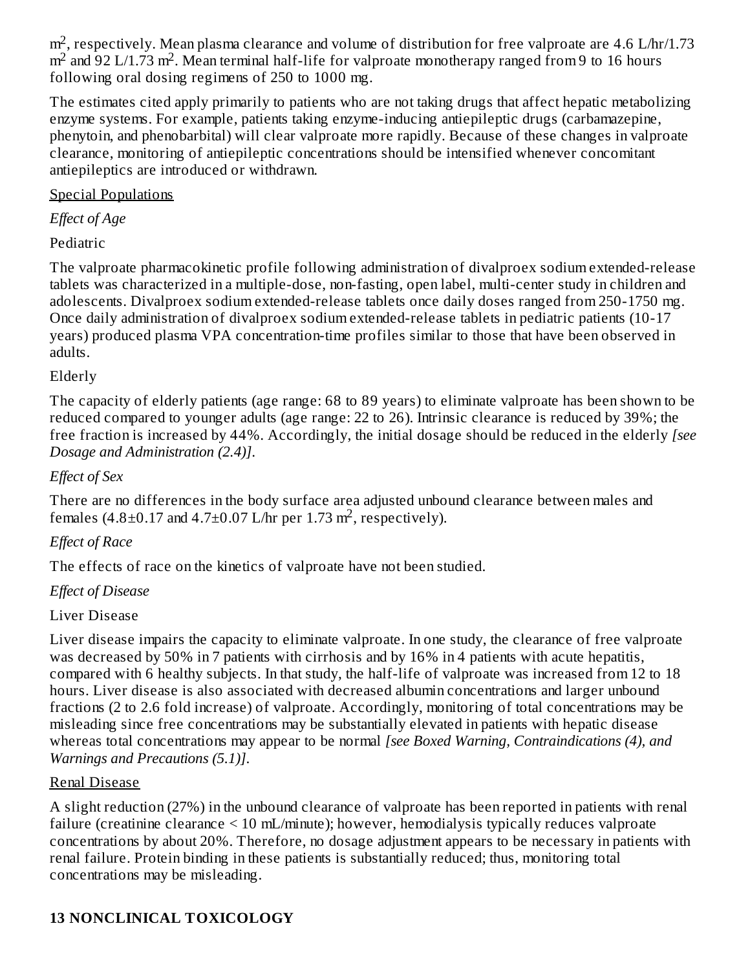$\rm m^2$ , respectively. Mean plasma clearance and volume of distribution for free valproate are 4.6 L/hr/1.73  $m<sup>2</sup>$  and 92 L/1.73 m<sup>2</sup>. Mean terminal half-life for valproate monotherapy ranged from 9 to 16 hours following oral dosing regimens of 250 to 1000 mg.

The estimates cited apply primarily to patients who are not taking drugs that affect hepatic metabolizing enzyme systems. For example, patients taking enzyme-inducing antiepileptic drugs (carbamazepine, phenytoin, and phenobarbital) will clear valproate more rapidly. Because of these changes in valproate clearance, monitoring of antiepileptic concentrations should be intensified whenever concomitant antiepileptics are introduced or withdrawn.

#### Special Populations

*Effect of Age*

## Pediatric

The valproate pharmacokinetic profile following administration of divalproex sodium extended-release tablets was characterized in a multiple-dose, non-fasting, open label, multi-center study in children and adolescents. Divalproex sodium extended-release tablets once daily doses ranged from 250-1750 mg. Once daily administration of divalproex sodium extended-release tablets in pediatric patients (10-17 years) produced plasma VPA concentration-time profiles similar to those that have been observed in adults.

## Elderly

The capacity of elderly patients (age range: 68 to 89 years) to eliminate valproate has been shown to be reduced compared to younger adults (age range: 22 to 26). Intrinsic clearance is reduced by 39%; the free fraction is increased by 44%. Accordingly, the initial dosage should be reduced in the elderly *[see Dosage and Administration (2.4)]*.

## *Effect of Sex*

There are no differences in the body surface area adjusted unbound clearance between males and females (4.8 $\pm$ 0.17 and 4.7 $\pm$ 0.07 L/hr per 1.73 m<sup>2</sup>, respectively).

## *Effect of Race*

The effects of race on the kinetics of valproate have not been studied.

## *Effect of Disease*

## Liver Disease

Liver disease impairs the capacity to eliminate valproate. In one study, the clearance of free valproate was decreased by 50% in 7 patients with cirrhosis and by 16% in 4 patients with acute hepatitis, compared with 6 healthy subjects. In that study, the half-life of valproate was increased from 12 to 18 hours. Liver disease is also associated with decreased albumin concentrations and larger unbound fractions (2 to 2.6 fold increase) of valproate. Accordingly, monitoring of total concentrations may be misleading since free concentrations may be substantially elevated in patients with hepatic disease whereas total concentrations may appear to be normal *[see Boxed Warning, Contraindications (4), and Warnings and Precautions (5.1)]*.

## Renal Disease

A slight reduction (27%) in the unbound clearance of valproate has been reported in patients with renal failure (creatinine clearance < 10 mL/minute); however, hemodialysis typically reduces valproate concentrations by about 20%. Therefore, no dosage adjustment appears to be necessary in patients with renal failure. Protein binding in these patients is substantially reduced; thus, monitoring total concentrations may be misleading.

# **13 NONCLINICAL TOXICOLOGY**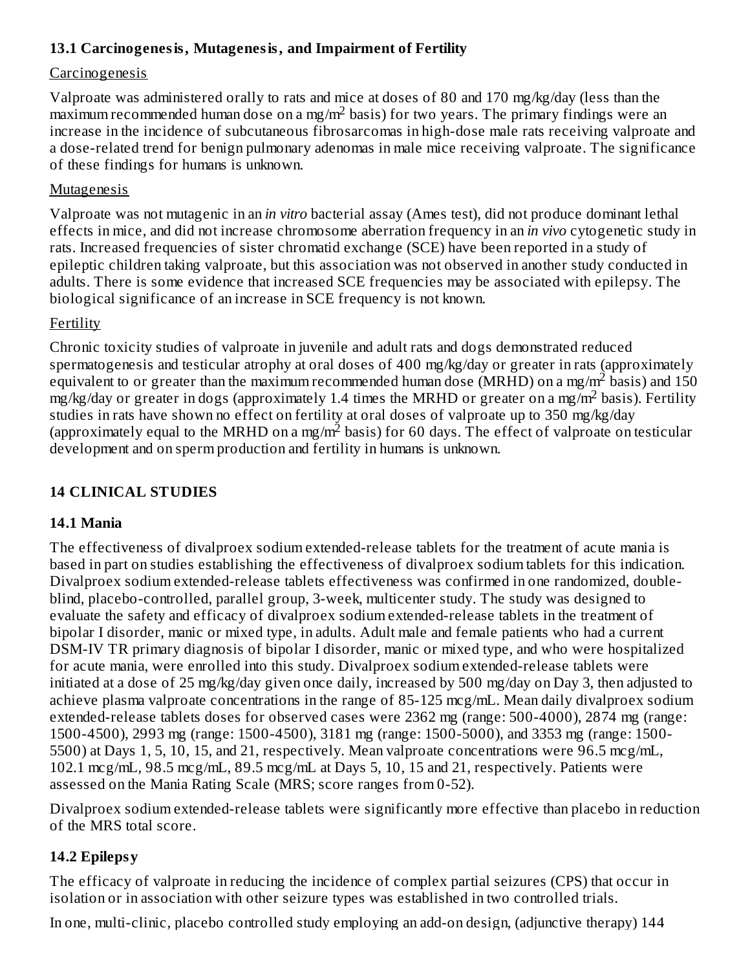## **13.1 Carcinogenesis, Mutagenesis, and Impairment of Fertility**

#### Carcinogenesis

Valproate was administered orally to rats and mice at doses of 80 and 170 mg/kg/day (less than the  $\frac{1}{2}$  maximum recommended human dose on a mg/m<sup>2</sup> basis) for two years. The primary findings were an increase in the incidence of subcutaneous fibrosarcomas in high-dose male rats receiving valproate and a dose-related trend for benign pulmonary adenomas in male mice receiving valproate. The significance of these findings for humans is unknown.

#### Mutagenesis

Valproate was not mutagenic in an *in vitro* bacterial assay (Ames test), did not produce dominant lethal effects in mice, and did not increase chromosome aberration frequency in an *in vivo* cytogenetic study in rats. Increased frequencies of sister chromatid exchange (SCE) have been reported in a study of epileptic children taking valproate, but this association was not observed in another study conducted in adults. There is some evidence that increased SCE frequencies may be associated with epilepsy. The biological significance of an increase in SCE frequency is not known.

#### Fertility

Chronic toxicity studies of valproate in juvenile and adult rats and dogs demonstrated reduced spermatogenesis and testicular atrophy at oral doses of 400 mg/kg/day or greater in rats (approximately equivalent to or greater than the maximum recommended human dose (MRHD) on a mg/m<sup>2</sup> basis) and 150 mg/kg/day or greater in dogs (approximately 1.4 times the MRHD or greater on a mg/m<sup>2</sup> basis). Fertility studies in rats have shown no effect on fertility at oral doses of valproate up to 350 mg/kg/day (approximately equal to the MRHD on a mg/m<sup>2</sup> basis) for 60 days. The effect of valproate on testicular development and on sperm production and fertility in humans is unknown.

## **14 CLINICAL STUDIES**

#### **14.1 Mania**

The effectiveness of divalproex sodium extended-release tablets for the treatment of acute mania is based in part on studies establishing the effectiveness of divalproex sodium tablets for this indication. Divalproex sodium extended-release tablets effectiveness was confirmed in one randomized, doubleblind, placebo-controlled, parallel group, 3-week, multicenter study. The study was designed to evaluate the safety and efficacy of divalproex sodium extended-release tablets in the treatment of bipolar I disorder, manic or mixed type, in adults. Adult male and female patients who had a current DSM-IV TR primary diagnosis of bipolar I disorder, manic or mixed type, and who were hospitalized for acute mania, were enrolled into this study. Divalproex sodium extended-release tablets were initiated at a dose of 25 mg/kg/day given once daily, increased by 500 mg/day on Day 3, then adjusted to achieve plasma valproate concentrations in the range of 85-125 mcg/mL. Mean daily divalproex sodium extended-release tablets doses for observed cases were 2362 mg (range: 500-4000), 2874 mg (range: 1500-4500), 2993 mg (range: 1500-4500), 3181 mg (range: 1500-5000), and 3353 mg (range: 1500- 5500) at Days 1, 5, 10, 15, and 21, respectively. Mean valproate concentrations were 96.5 mcg/mL, 102.1 mcg/mL, 98.5 mcg/mL, 89.5 mcg/mL at Days 5, 10, 15 and 21, respectively. Patients were assessed on the Mania Rating Scale (MRS; score ranges from 0-52).

Divalproex sodium extended-release tablets were significantly more effective than placebo in reduction of the MRS total score.

#### **14.2 Epilepsy**

The efficacy of valproate in reducing the incidence of complex partial seizures (CPS) that occur in isolation or in association with other seizure types was established in two controlled trials.

In one, multi-clinic, placebo controlled study employing an add-on design, (adjunctive therapy) 144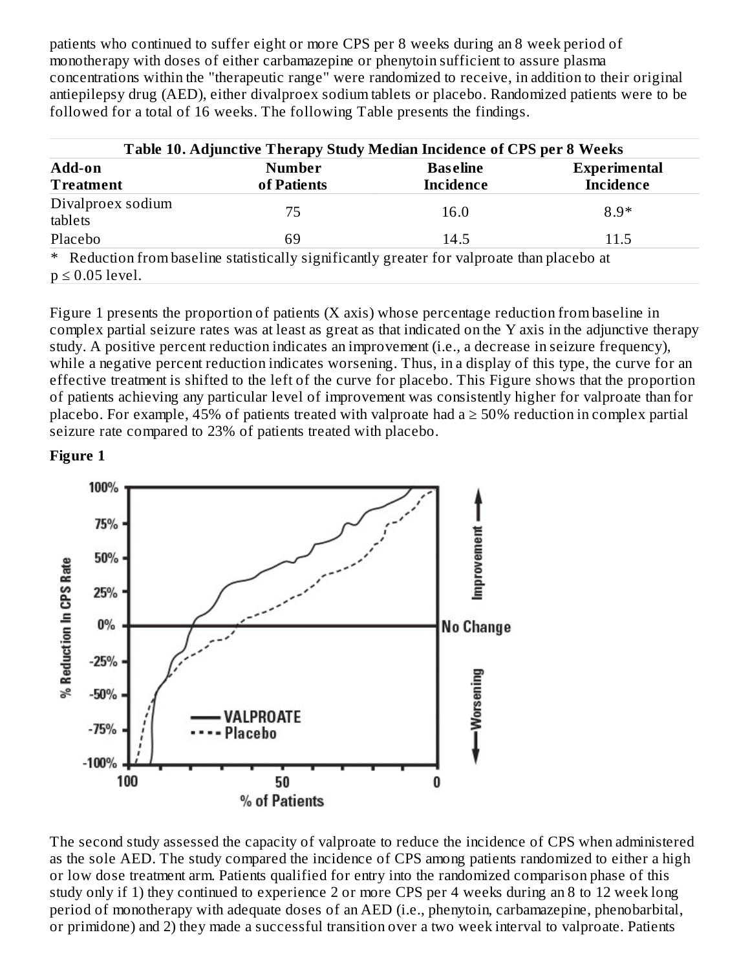patients who continued to suffer eight or more CPS per 8 weeks during an 8 week period of monotherapy with doses of either carbamazepine or phenytoin sufficient to assure plasma concentrations within the "therapeutic range" were randomized to receive, in addition to their original antiepilepsy drug (AED), either divalproex sodium tablets or placebo. Randomized patients were to be followed for a total of 16 weeks. The following Table presents the findings.

| Table 10. Adjunctive Therapy Study Median Incidence of CPS per 8 Weeks                                              |                              |                                     |                                         |  |  |
|---------------------------------------------------------------------------------------------------------------------|------------------------------|-------------------------------------|-----------------------------------------|--|--|
| Add-on<br><b>Treatment</b>                                                                                          | <b>Number</b><br>of Patients | <b>Baseline</b><br><b>Incidence</b> | <b>Experimental</b><br><b>Incidence</b> |  |  |
| Divalproex sodium<br>tablets                                                                                        | 75                           | 16.0                                | $8.9*$                                  |  |  |
| Placebo                                                                                                             | 69                           | 14.5                                | 11.5                                    |  |  |
| * Reduction from baseline statistically significantly greater for valproate than placebo at<br>$p \leq 0.05$ level. |                              |                                     |                                         |  |  |

Figure 1 presents the proportion of patients (X axis) whose percentage reduction from baseline in complex partial seizure rates was at least as great as that indicated on the Y axis in the adjunctive therapy study. A positive percent reduction indicates an improvement (i.e., a decrease in seizure frequency), while a negative percent reduction indicates worsening. Thus, in a display of this type, the curve for an effective treatment is shifted to the left of the curve for placebo. This Figure shows that the proportion of patients achieving any particular level of improvement was consistently higher for valproate than for placebo. For example, 45% of patients treated with valproate had a  $\geq$  50% reduction in complex partial seizure rate compared to 23% of patients treated with placebo.

**Figure 1**



The second study assessed the capacity of valproate to reduce the incidence of CPS when administered as the sole AED. The study compared the incidence of CPS among patients randomized to either a high or low dose treatment arm. Patients qualified for entry into the randomized comparison phase of this study only if 1) they continued to experience 2 or more CPS per 4 weeks during an 8 to 12 week long period of monotherapy with adequate doses of an AED (i.e., phenytoin, carbamazepine, phenobarbital, or primidone) and 2) they made a successful transition over a two week interval to valproate. Patients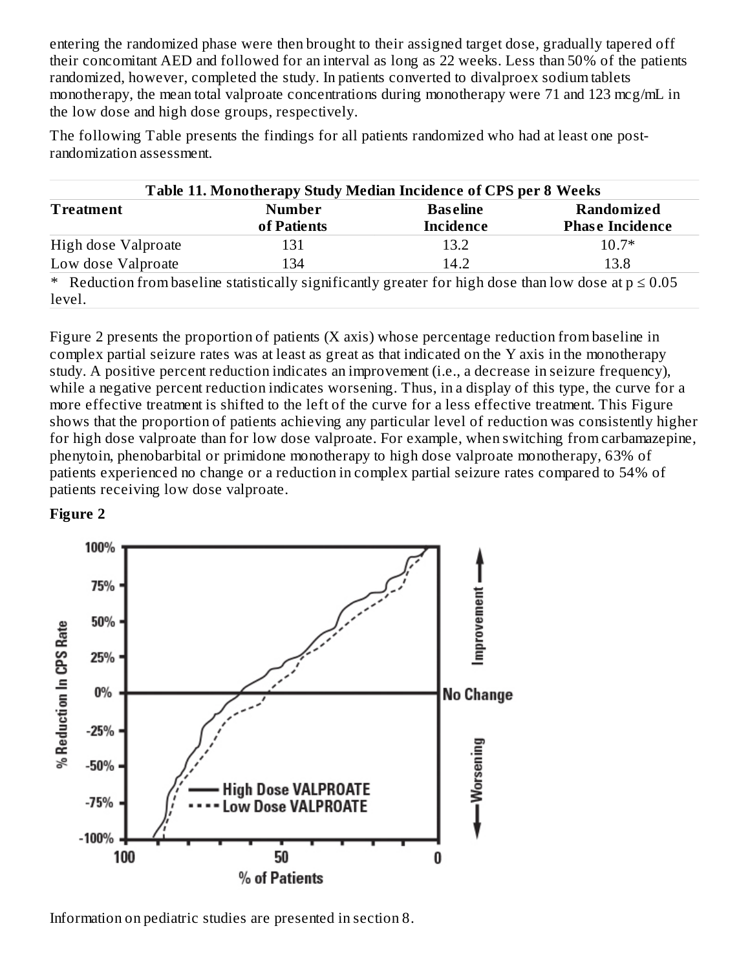entering the randomized phase were then brought to their assigned target dose, gradually tapered off their concomitant AED and followed for an interval as long as 22 weeks. Less than 50% of the patients randomized, however, completed the study. In patients converted to divalproex sodium tablets monotherapy, the mean total valproate concentrations during monotherapy were 71 and 123 mcg/mL in the low dose and high dose groups, respectively.

The following Table presents the findings for all patients randomized who had at least one postrandomization assessment.

| Table 11. Monotherapy Study Median Incidence of CPS per 8 Weeks                                           |               |                  |                        |  |  |
|-----------------------------------------------------------------------------------------------------------|---------------|------------------|------------------------|--|--|
| <b>Treatment</b>                                                                                          | <b>Number</b> | <b>Baseline</b>  | Randomized             |  |  |
|                                                                                                           | of Patients   | <b>Incidence</b> | <b>Phase Incidence</b> |  |  |
| High dose Valproate                                                                                       | 131           | 13.2             | $10.7*$                |  |  |
| Low dose Valproate                                                                                        | 134           | 14.2             | 13.8                   |  |  |
| * Reduction from baseline statistically significantly greater for high dose than low dose at $p \le 0.05$ |               |                  |                        |  |  |
| level.                                                                                                    |               |                  |                        |  |  |

Figure 2 presents the proportion of patients (X axis) whose percentage reduction from baseline in complex partial seizure rates was at least as great as that indicated on the Y axis in the monotherapy study. A positive percent reduction indicates an improvement (i.e., a decrease in seizure frequency), while a negative percent reduction indicates worsening. Thus, in a display of this type, the curve for a more effective treatment is shifted to the left of the curve for a less effective treatment. This Figure shows that the proportion of patients achieving any particular level of reduction was consistently higher for high dose valproate than for low dose valproate. For example, when switching from carbamazepine, phenytoin, phenobarbital or primidone monotherapy to high dose valproate monotherapy, 63% of patients experienced no change or a reduction in complex partial seizure rates compared to 54% of patients receiving low dose valproate.

#### **Figure 2**



Information on pediatric studies are presented in section 8.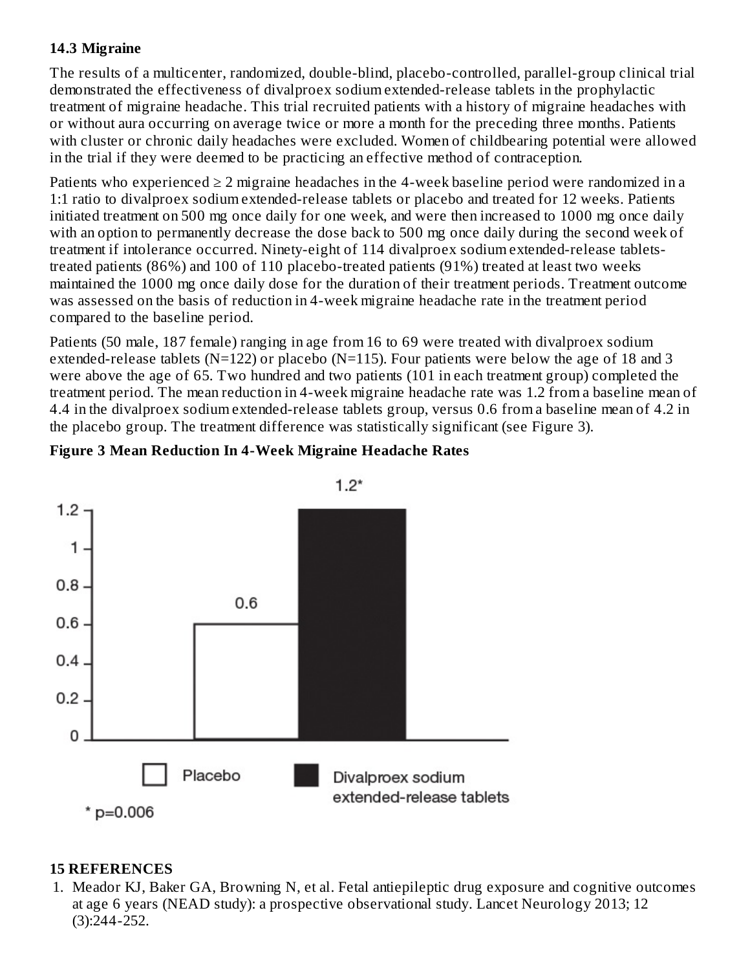#### **14.3 Migraine**

The results of a multicenter, randomized, double-blind, placebo-controlled, parallel-group clinical trial demonstrated the effectiveness of divalproex sodium extended-release tablets in the prophylactic treatment of migraine headache. This trial recruited patients with a history of migraine headaches with or without aura occurring on average twice or more a month for the preceding three months. Patients with cluster or chronic daily headaches were excluded. Women of childbearing potential were allowed in the trial if they were deemed to be practicing an effective method of contraception.

Patients who experienced  $\geq 2$  migraine headaches in the 4-week baseline period were randomized in a 1:1 ratio to divalproex sodium extended-release tablets or placebo and treated for 12 weeks. Patients initiated treatment on 500 mg once daily for one week, and were then increased to 1000 mg once daily with an option to permanently decrease the dose back to 500 mg once daily during the second week of treatment if intolerance occurred. Ninety-eight of 114 divalproex sodium extended-release tabletstreated patients (86%) and 100 of 110 placebo-treated patients (91%) treated at least two weeks maintained the 1000 mg once daily dose for the duration of their treatment periods. Treatment outcome was assessed on the basis of reduction in 4-week migraine headache rate in the treatment period compared to the baseline period.

Patients (50 male, 187 female) ranging in age from 16 to 69 were treated with divalproex sodium extended-release tablets (N=122) or placebo (N=115). Four patients were below the age of 18 and 3 were above the age of 65. Two hundred and two patients (101 in each treatment group) completed the treatment period. The mean reduction in 4-week migraine headache rate was 1.2 from a baseline mean of 4.4 in the divalproex sodium extended-release tablets group, versus 0.6 from a baseline mean of 4.2 in the placebo group. The treatment difference was statistically significant (see Figure 3).

#### **Figure 3 Mean Reduction In 4-Week Migraine Headache Rates**



#### **15 REFERENCES**

1. Meador KJ, Baker GA, Browning N, et al. Fetal antiepileptic drug exposure and cognitive outcomes at age 6 years (NEAD study): a prospective observational study. Lancet Neurology 2013; 12 (3):244-252.

 $1.2*$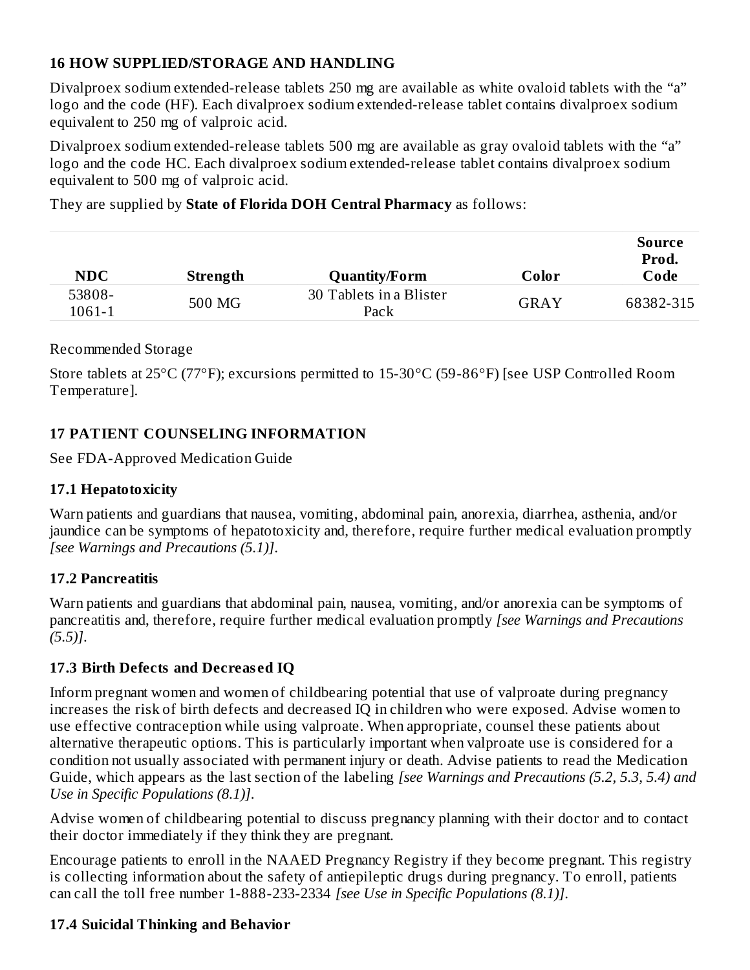## **16 HOW SUPPLIED/STORAGE AND HANDLING**

Divalproex sodium extended-release tablets 250 mg are available as white ovaloid tablets with the "a" logo and the code (HF). Each divalproex sodium extended-release tablet contains divalproex sodium equivalent to 250 mg of valproic acid.

Divalproex sodium extended-release tablets 500 mg are available as gray ovaloid tablets with the "a" logo and the code HC. Each divalproex sodium extended-release tablet contains divalproex sodium equivalent to 500 mg of valproic acid.

They are supplied by **State of Florida DOH Central Pharmacy** as follows:

|            |          |                         |       | Source<br>Prod. |
|------------|----------|-------------------------|-------|-----------------|
| <b>NDC</b> | Strength | <b>Quantity/Form</b>    | Color | Code            |
| 53808-     | 500 MG   | 30 Tablets in a Blister |       | 68382-315       |
| 1061-1     |          | Pack                    | GRAY  |                 |

#### Recommended Storage

Store tablets at 25°C (77°F); excursions permitted to 15-30°C (59-86°F) [see USP Controlled Room Temperature].

## **17 PATIENT COUNSELING INFORMATION**

See FDA-Approved Medication Guide

## **17.1 Hepatotoxicity**

Warn patients and guardians that nausea, vomiting, abdominal pain, anorexia, diarrhea, asthenia, and/or jaundice can be symptoms of hepatotoxicity and, therefore, require further medical evaluation promptly *[see Warnings and Precautions (5.1)]*.

## **17.2 Pancreatitis**

Warn patients and guardians that abdominal pain, nausea, vomiting, and/or anorexia can be symptoms of pancreatitis and, therefore, require further medical evaluation promptly *[see Warnings and Precautions (5.5)]*.

## **17.3 Birth Defects and Decreas ed IQ**

Inform pregnant women and women of childbearing potential that use of valproate during pregnancy increases the risk of birth defects and decreased IQ in children who were exposed. Advise women to use effective contraception while using valproate. When appropriate, counsel these patients about alternative therapeutic options. This is particularly important when valproate use is considered for a condition not usually associated with permanent injury or death. Advise patients to read the Medication Guide, which appears as the last section of the labeling *[see Warnings and Precautions (5.2, 5.3, 5.4) and Use in Specific Populations (8.1)]*.

Advise women of childbearing potential to discuss pregnancy planning with their doctor and to contact their doctor immediately if they think they are pregnant.

Encourage patients to enroll in the NAAED Pregnancy Registry if they become pregnant. This registry is collecting information about the safety of antiepileptic drugs during pregnancy. To enroll, patients can call the toll free number 1-888-233-2334 *[see Use in Specific Populations (8.1)]*.

## **17.4 Suicidal Thinking and Behavior**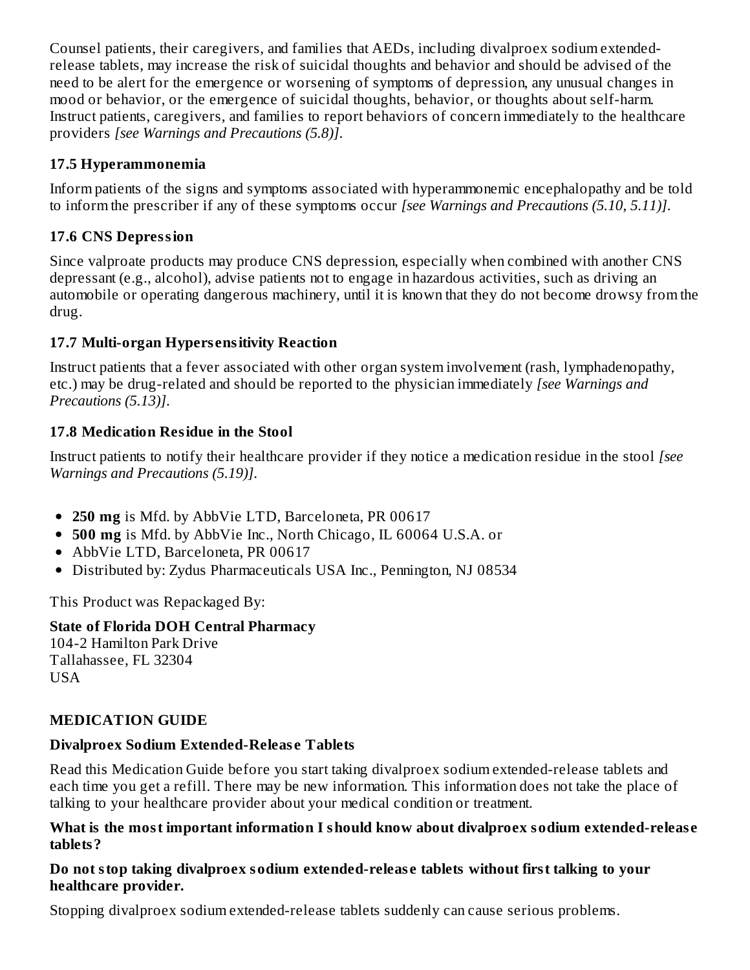Counsel patients, their caregivers, and families that AEDs, including divalproex sodium extendedrelease tablets, may increase the risk of suicidal thoughts and behavior and should be advised of the need to be alert for the emergence or worsening of symptoms of depression, any unusual changes in mood or behavior, or the emergence of suicidal thoughts, behavior, or thoughts about self-harm. Instruct patients, caregivers, and families to report behaviors of concern immediately to the healthcare providers *[see Warnings and Precautions (5.8)]*.

## **17.5 Hyperammonemia**

Inform patients of the signs and symptoms associated with hyperammonemic encephalopathy and be told to inform the prescriber if any of these symptoms occur *[see Warnings and Precautions (5.10, 5.11)]*.

# **17.6 CNS Depression**

Since valproate products may produce CNS depression, especially when combined with another CNS depressant (e.g., alcohol), advise patients not to engage in hazardous activities, such as driving an automobile or operating dangerous machinery, until it is known that they do not become drowsy from the drug.

# **17.7 Multi-organ Hypers ensitivity Reaction**

Instruct patients that a fever associated with other organ system involvement (rash, lymphadenopathy, etc.) may be drug-related and should be reported to the physician immediately *[see Warnings and Precautions (5.13)]*.

## **17.8 Medication Residue in the Stool**

Instruct patients to notify their healthcare provider if they notice a medication residue in the stool *[see Warnings and Precautions (5.19)]*.

- **250 mg** is Mfd. by AbbVie LTD, Barceloneta, PR 00617
- **500 mg** is Mfd. by AbbVie Inc., North Chicago, IL 60064 U.S.A. or
- AbbVie LTD, Barceloneta, PR 00617
- Distributed by: Zydus Pharmaceuticals USA Inc., Pennington, NJ 08534

This Product was Repackaged By:

# **State of Florida DOH Central Pharmacy**

104-2 Hamilton Park Drive Tallahassee, FL 32304 USA

# **MEDICATION GUIDE**

## **Divalproex Sodium Extended-Releas e Tablets**

Read this Medication Guide before you start taking divalproex sodium extended-release tablets and each time you get a refill. There may be new information. This information does not take the place of talking to your healthcare provider about your medical condition or treatment.

#### **What is the most important information I should know about divalproex sodium extended-releas e tablets?**

#### **Do not stop taking divalproex sodium extended-releas e tablets without first talking to your healthcare provider.**

Stopping divalproex sodium extended-release tablets suddenly can cause serious problems.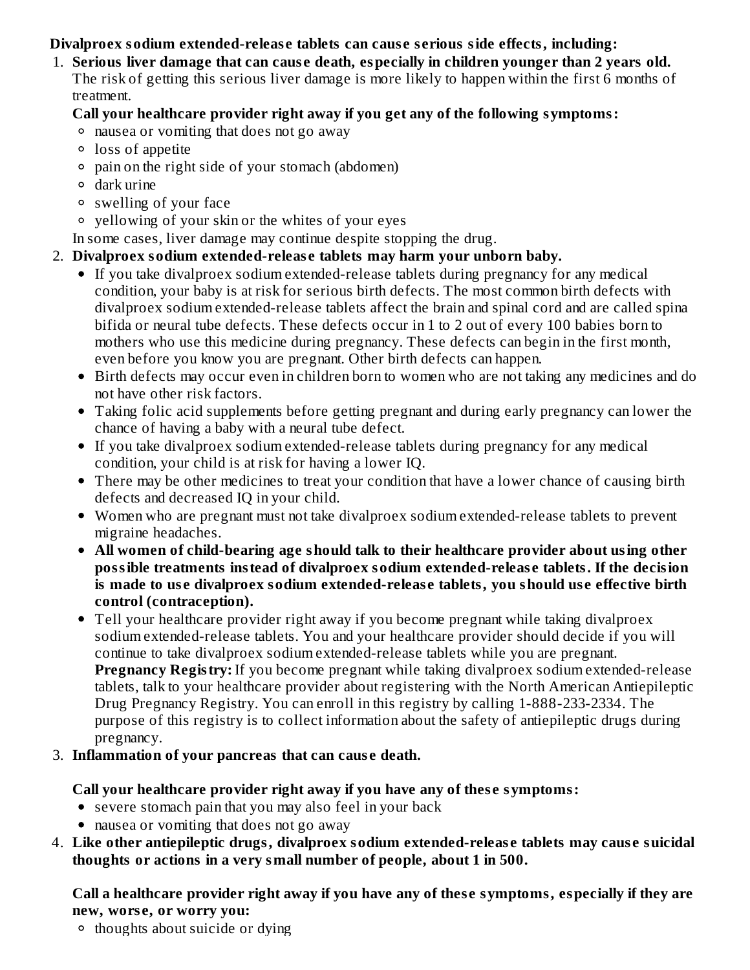## **Divalproex sodium extended-releas e tablets can caus e s erious side effects, including:**

1. **Serious liver damage that can caus e death, especially in children younger than 2 years old.** The risk of getting this serious liver damage is more likely to happen within the first 6 months of treatment.

#### **Call your healthcare provider right away if you get any of the following symptoms:**

- nausea or vomiting that does not go away
- loss of appetite
- pain on the right side of your stomach (abdomen)
- dark urine
- swelling of your face
- yellowing of your skin or the whites of your eyes
- In some cases, liver damage may continue despite stopping the drug.

## 2. **Divalproex sodium extended-releas e tablets may harm your unborn baby.**

- If you take divalproex sodium extended-release tablets during pregnancy for any medical condition, your baby is at risk for serious birth defects. The most common birth defects with divalproex sodium extended-release tablets affect the brain and spinal cord and are called spina bifida or neural tube defects. These defects occur in 1 to 2 out of every 100 babies born to mothers who use this medicine during pregnancy. These defects can begin in the first month, even before you know you are pregnant. Other birth defects can happen.
- Birth defects may occur even in children born to women who are not taking any medicines and do not have other risk factors.
- Taking folic acid supplements before getting pregnant and during early pregnancy can lower the chance of having a baby with a neural tube defect.
- If you take divalproex sodium extended-release tablets during pregnancy for any medical condition, your child is at risk for having a lower IQ.
- There may be other medicines to treat your condition that have a lower chance of causing birth defects and decreased IQ in your child.
- Women who are pregnant must not take divalproex sodium extended-release tablets to prevent migraine headaches.
- **All women of child-bearing age should talk to their healthcare provider about using other possible treatments instead of divalproex sodium extended-releas e tablets. If the decision is made to us e divalproex sodium extended-releas e tablets, you should us e effective birth control (contraception).**
- Tell your healthcare provider right away if you become pregnant while taking divalproex sodium extended-release tablets. You and your healthcare provider should decide if you will continue to take divalproex sodium extended-release tablets while you are pregnant. **Pregnancy Registry:** If you become pregnant while taking divalproex sodium extended-release tablets, talk to your healthcare provider about registering with the North American Antiepileptic Drug Pregnancy Registry. You can enroll in this registry by calling 1-888-233-2334. The purpose of this registry is to collect information about the safety of antiepileptic drugs during pregnancy.
- 3. **Inflammation of your pancreas that can caus e death.**

## **Call your healthcare provider right away if you have any of thes e symptoms:**

- severe stomach pain that you may also feel in your back
- nausea or vomiting that does not go away
- 4. **Like other antiepileptic drugs, divalproex sodium extended-releas e tablets may caus e suicidal thoughts or actions in a very small number of people, about 1 in 500.**

#### **Call a healthcare provider right away if you have any of thes e symptoms, especially if they are new, wors e, or worry you:**

<sup>o</sup> thoughts about suicide or dving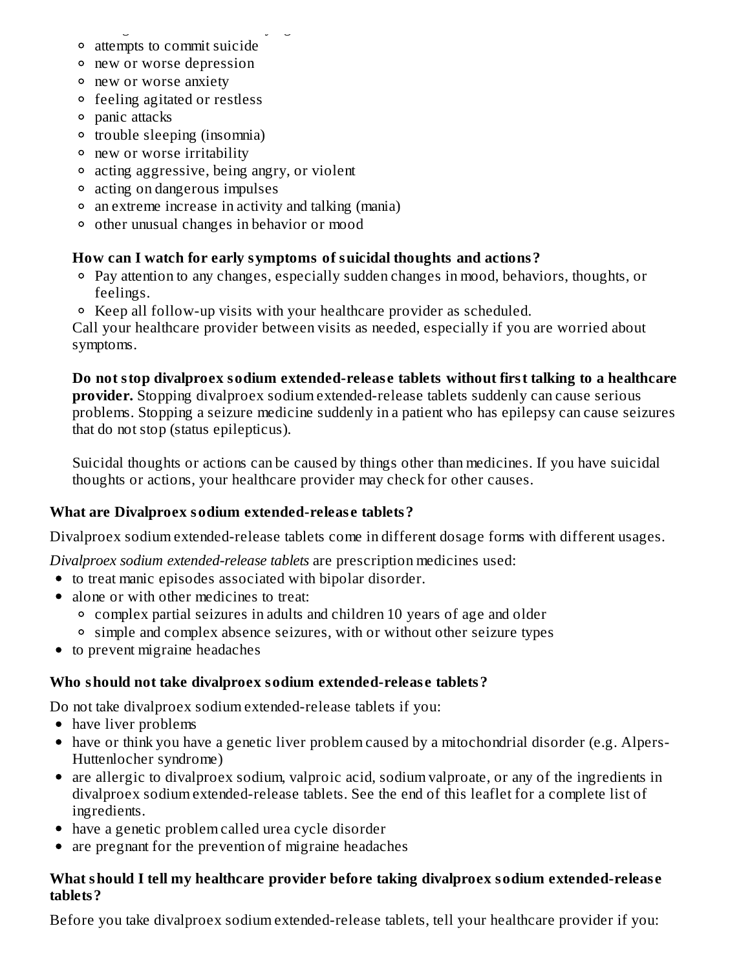- thoughts about suicide or dying attempts to commit suicide
- new or worse depression
- new or worse anxiety
- feeling agitated or restless
- panic attacks
- trouble sleeping (insomnia)
- new or worse irritability
- acting aggressive, being angry, or violent
- acting on dangerous impulses
- an extreme increase in activity and talking (mania)
- other unusual changes in behavior or mood

## **How can I watch for early symptoms of suicidal thoughts and actions?**

- Pay attention to any changes, especially sudden changes in mood, behaviors, thoughts, or feelings.
- Keep all follow-up visits with your healthcare provider as scheduled.

Call your healthcare provider between visits as needed, especially if you are worried about symptoms.

#### **Do not stop divalproex sodium extended-releas e tablets without first talking to a healthcare provider.** Stopping divalproex sodium extended-release tablets suddenly can cause serious problems. Stopping a seizure medicine suddenly in a patient who has epilepsy can cause seizures that do not stop (status epilepticus).

Suicidal thoughts or actions can be caused by things other than medicines. If you have suicidal thoughts or actions, your healthcare provider may check for other causes.

## **What are Divalproex sodium extended-releas e tablets?**

Divalproex sodium extended-release tablets come in different dosage forms with different usages.

*Divalproex sodium extended-release tablets* are prescription medicines used:

- to treat manic episodes associated with bipolar disorder.
- alone or with other medicines to treat:
	- complex partial seizures in adults and children 10 years of age and older
	- simple and complex absence seizures, with or without other seizure types
- to prevent migraine headaches

## **Who should not take divalproex sodium extended-releas e tablets?**

Do not take divalproex sodium extended-release tablets if you:

- have liver problems
- have or think you have a genetic liver problem caused by a mitochondrial disorder (e.g. Alpers-Huttenlocher syndrome)
- are allergic to divalproex sodium, valproic acid, sodium valproate, or any of the ingredients in divalproex sodium extended-release tablets. See the end of this leaflet for a complete list of ingredients.
- have a genetic problem called urea cycle disorder
- are pregnant for the prevention of migraine headaches

#### **What should I tell my healthcare provider before taking divalproex sodium extended-releas e tablets?**

Before you take divalproex sodium extended-release tablets, tell your healthcare provider if you: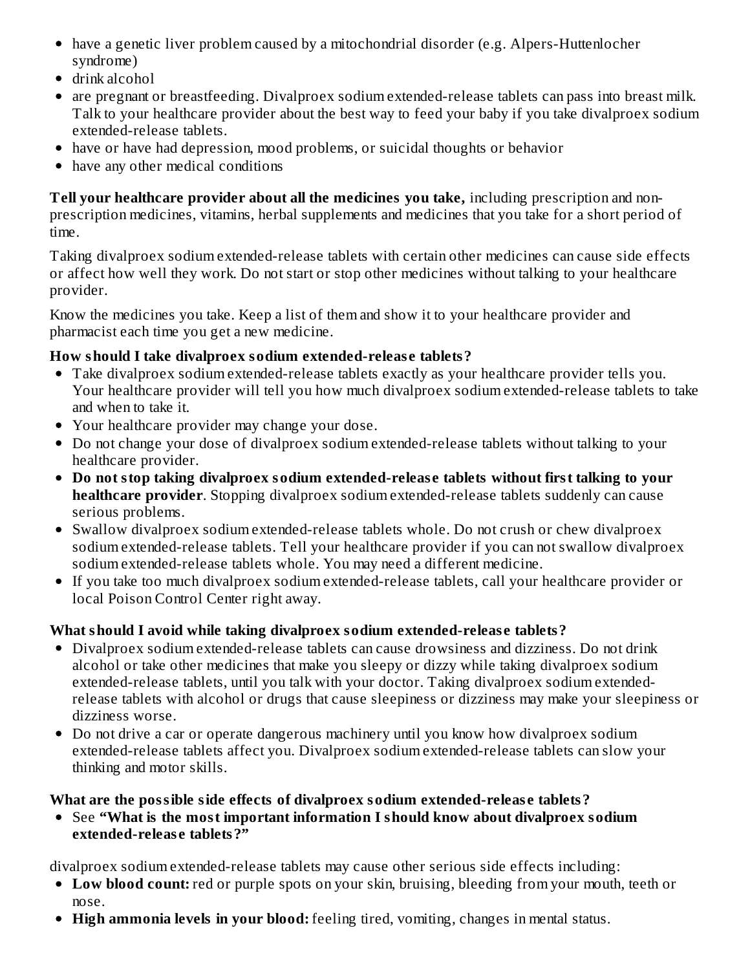- have a genetic liver problem caused by a mitochondrial disorder (e.g. Alpers-Huttenlocher syndrome)
- drink alcohol
- are pregnant or breastfeeding. Divalproex sodium extended-release tablets can pass into breast milk. Talk to your healthcare provider about the best way to feed your baby if you take divalproex sodium extended-release tablets.
- have or have had depression, mood problems, or suicidal thoughts or behavior
- have any other medical conditions

**Tell your healthcare provider about all the medicines you take,** including prescription and nonprescription medicines, vitamins, herbal supplements and medicines that you take for a short period of time.

Taking divalproex sodium extended-release tablets with certain other medicines can cause side effects or affect how well they work. Do not start or stop other medicines without talking to your healthcare provider.

Know the medicines you take. Keep a list of them and show it to your healthcare provider and pharmacist each time you get a new medicine.

## **How should I take divalproex sodium extended-releas e tablets?**

- Take divalproex sodium extended-release tablets exactly as your healthcare provider tells you. Your healthcare provider will tell you how much divalproex sodium extended-release tablets to take and when to take it.
- Your healthcare provider may change your dose.
- Do not change your dose of divalproex sodium extended-release tablets without talking to your healthcare provider.
- **Do not stop taking divalproex sodium extended-releas e tablets without first talking to your healthcare provider**. Stopping divalproex sodium extended-release tablets suddenly can cause serious problems.
- Swallow divalproex sodium extended-release tablets whole. Do not crush or chew divalproex sodium extended-release tablets. Tell your healthcare provider if you can not swallow divalproex sodium extended-release tablets whole. You may need a different medicine.
- If you take too much divalproex sodium extended-release tablets, call your healthcare provider or local Poison Control Center right away.

# **What should I avoid while taking divalproex sodium extended-releas e tablets?**

- Divalproex sodium extended-release tablets can cause drowsiness and dizziness. Do not drink alcohol or take other medicines that make you sleepy or dizzy while taking divalproex sodium extended-release tablets, until you talk with your doctor. Taking divalproex sodium extendedrelease tablets with alcohol or drugs that cause sleepiness or dizziness may make your sleepiness or dizziness worse.
- Do not drive a car or operate dangerous machinery until you know how divalproex sodium extended-release tablets affect you. Divalproex sodium extended-release tablets can slow your thinking and motor skills.

## **What are the possible side effects of divalproex sodium extended-releas e tablets?**

See **"What is the most important information I should know about divalproex sodium extended-releas e tablets?"**

divalproex sodium extended-release tablets may cause other serious side effects including:

- **Low blood count:** red or purple spots on your skin, bruising, bleeding from your mouth, teeth or nose.
- **High ammonia levels in your blood:** feeling tired, vomiting, changes in mental status.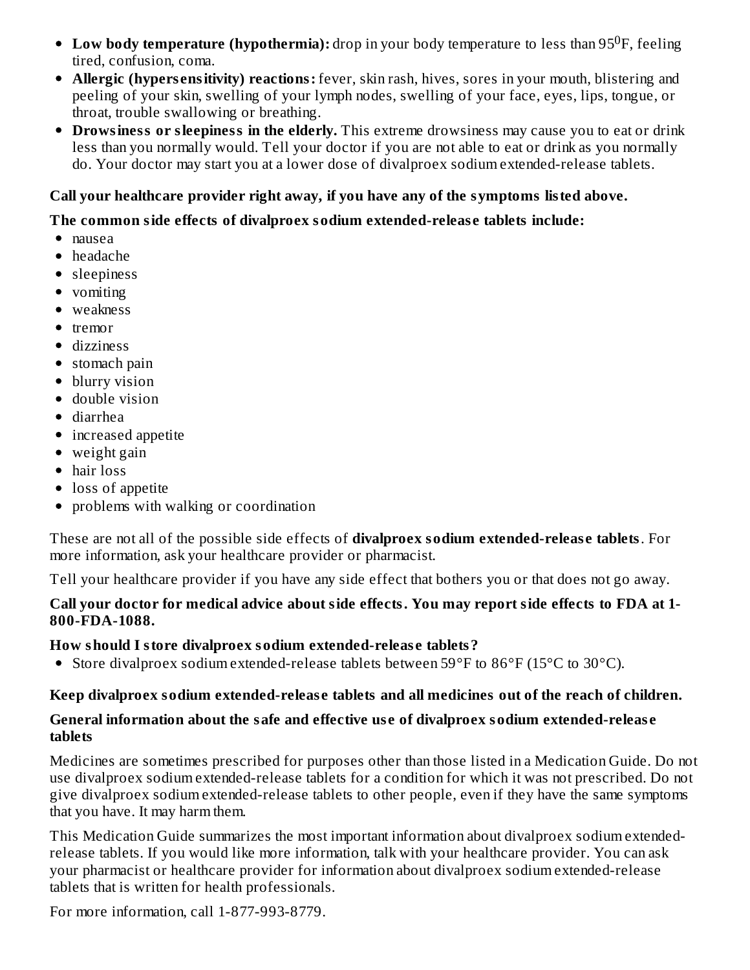- **Low body temperature (hypothermia):** drop in your body temperature to less than 95<sup>0</sup>F, feeling tired, confusion, coma.
- **Allergic (hypers ensitivity) reactions:** fever, skin rash, hives, sores in your mouth, blistering and peeling of your skin, swelling of your lymph nodes, swelling of your face, eyes, lips, tongue, or throat, trouble swallowing or breathing.
- **Drowsiness or sleepiness in the elderly.** This extreme drowsiness may cause you to eat or drink less than you normally would. Tell your doctor if you are not able to eat or drink as you normally do. Your doctor may start you at a lower dose of divalproex sodium extended-release tablets.

#### **Call your healthcare provider right away, if you have any of the symptoms listed above.**

#### **The common side effects of divalproex sodium extended-releas e tablets include:**

- nausea
- headache
- sleepiness
- vomiting
- weakness
- tremor
- dizziness
- stomach pain
- blurry vision
- double vision
- diarrhea
- increased appetite
- weight gain
- hair loss
- loss of appetite
- problems with walking or coordination

These are not all of the possible side effects of **divalproex sodium extended-releas e tablets**. For more information, ask your healthcare provider or pharmacist.

Tell your healthcare provider if you have any side effect that bothers you or that does not go away.

#### **Call your doctor for medical advice about side effects. You may report side effects to FDA at 1- 800-FDA-1088.**

#### **How should I store divalproex sodium extended-releas e tablets?**

Store divalproex sodium extended-release tablets between 59°F to 86°F (15°C to 30°C).

#### **Keep divalproex sodium extended-releas e tablets and all medicines out of the reach of children.**

#### **General information about the safe and effective us e of divalproex sodium extended-releas e tablets**

Medicines are sometimes prescribed for purposes other than those listed in a Medication Guide. Do not use divalproex sodium extended-release tablets for a condition for which it was not prescribed. Do not give divalproex sodium extended-release tablets to other people, even if they have the same symptoms that you have. It may harm them.

This Medication Guide summarizes the most important information about divalproex sodium extendedrelease tablets. If you would like more information, talk with your healthcare provider. You can ask your pharmacist or healthcare provider for information about divalproex sodium extended-release tablets that is written for health professionals.

For more information, call 1-877-993-8779.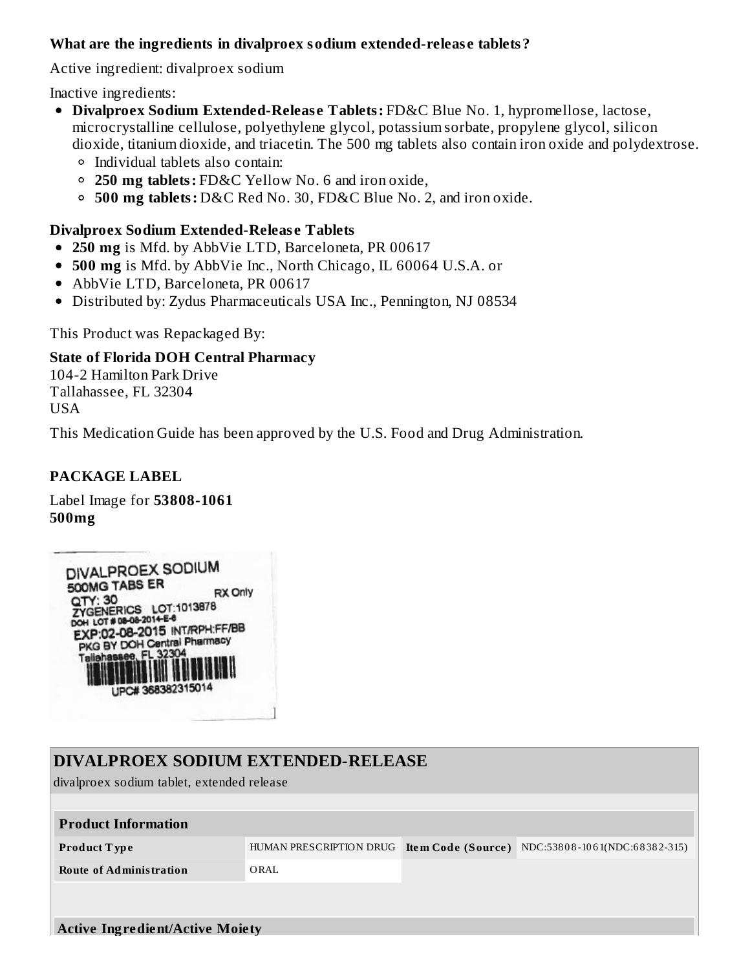#### **What are the ingredients in divalproex sodium extended-releas e tablets?**

Active ingredient: divalproex sodium

Inactive ingredients:

- **Divalproex Sodium Extended-Releas e Tablets:** FD&C Blue No. 1, hypromellose, lactose, microcrystalline cellulose, polyethylene glycol, potassium sorbate, propylene glycol, silicon dioxide, titanium dioxide, and triacetin. The 500 mg tablets also contain iron oxide and polydextrose. Individual tablets also contain:
	- **250 mg tablets:** FD&C Yellow No. 6 and iron oxide,
	- **500 mg tablets:** D&C Red No. 30, FD&C Blue No. 2, and iron oxide.

#### **Divalproex Sodium Extended-Releas e Tablets**

- **250 mg** is Mfd. by AbbVie LTD, Barceloneta, PR 00617
- **500 mg** is Mfd. by AbbVie Inc., North Chicago, IL 60064 U.S.A. or
- AbbVie LTD, Barceloneta, PR 00617
- Distributed by: Zydus Pharmaceuticals USA Inc., Pennington, NJ 08534

This Product was Repackaged By:

#### **State of Florida DOH Central Pharmacy**

104-2 Hamilton Park Drive Tallahassee, FL 32304 USA

This Medication Guide has been approved by the U.S. Food and Drug Administration.

#### **PACKAGE LABEL**

Label Image for **53808-1061 500mg**



| DIVALPROEX SODIUM EXTENDED-RELEASE         |                                              |  |                               |  |  |  |
|--------------------------------------------|----------------------------------------------|--|-------------------------------|--|--|--|
| divalproex sodium tablet, extended release |                                              |  |                               |  |  |  |
|                                            |                                              |  |                               |  |  |  |
| <b>Product Information</b>                 |                                              |  |                               |  |  |  |
| <b>Product Type</b>                        | HUMAN PRESCRIPTION DRUG   Item Code (Source) |  | NDC:53808-1061(NDC:68382-315) |  |  |  |
| <b>Route of Administration</b>             | ORAL                                         |  |                               |  |  |  |
|                                            |                                              |  |                               |  |  |  |
|                                            |                                              |  |                               |  |  |  |
| <b>Active Ingredient/Active Moiety</b>     |                                              |  |                               |  |  |  |